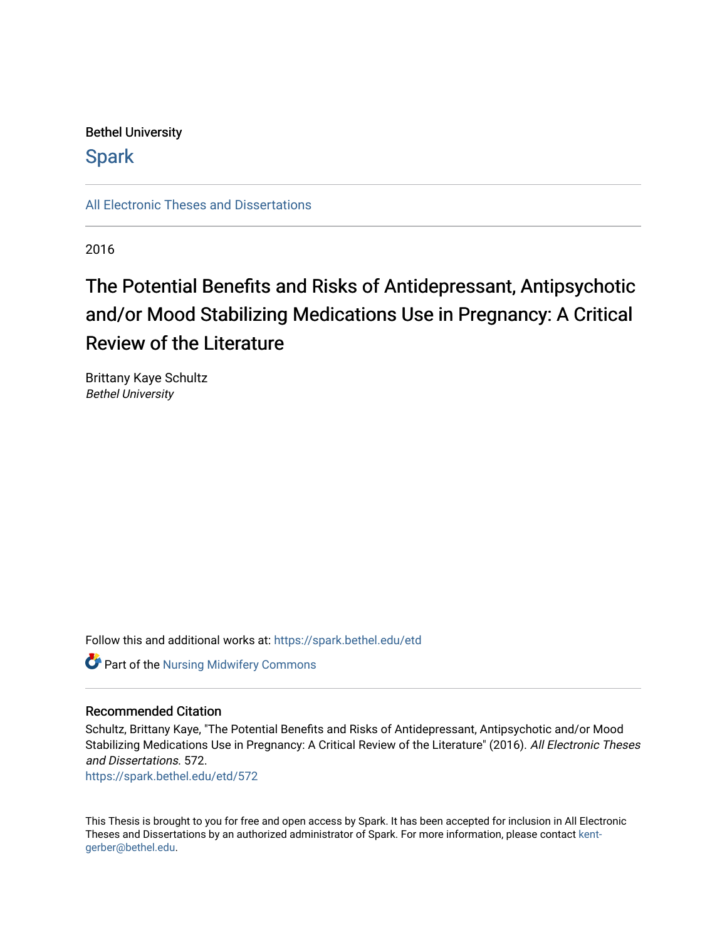# Bethel University

# **Spark**

[All Electronic Theses and Dissertations](https://spark.bethel.edu/etd) 

2016

# The Potential Benefits and Risks of Antidepressant, Antipsychotic and/or Mood Stabilizing Medications Use in Pregnancy: A Critical Review of the Literature

Brittany Kaye Schultz Bethel University

Follow this and additional works at: [https://spark.bethel.edu/etd](https://spark.bethel.edu/etd?utm_source=spark.bethel.edu%2Fetd%2F572&utm_medium=PDF&utm_campaign=PDFCoverPages)

Part of the [Nursing Midwifery Commons](http://network.bepress.com/hgg/discipline/722?utm_source=spark.bethel.edu%2Fetd%2F572&utm_medium=PDF&utm_campaign=PDFCoverPages) 

## Recommended Citation

Schultz, Brittany Kaye, "The Potential Benefits and Risks of Antidepressant, Antipsychotic and/or Mood Stabilizing Medications Use in Pregnancy: A Critical Review of the Literature" (2016). All Electronic Theses and Dissertations. 572.

[https://spark.bethel.edu/etd/572](https://spark.bethel.edu/etd/572?utm_source=spark.bethel.edu%2Fetd%2F572&utm_medium=PDF&utm_campaign=PDFCoverPages)

This Thesis is brought to you for free and open access by Spark. It has been accepted for inclusion in All Electronic Theses and Dissertations by an authorized administrator of Spark. For more information, please contact [kent](mailto:kent-gerber@bethel.edu)[gerber@bethel.edu.](mailto:kent-gerber@bethel.edu)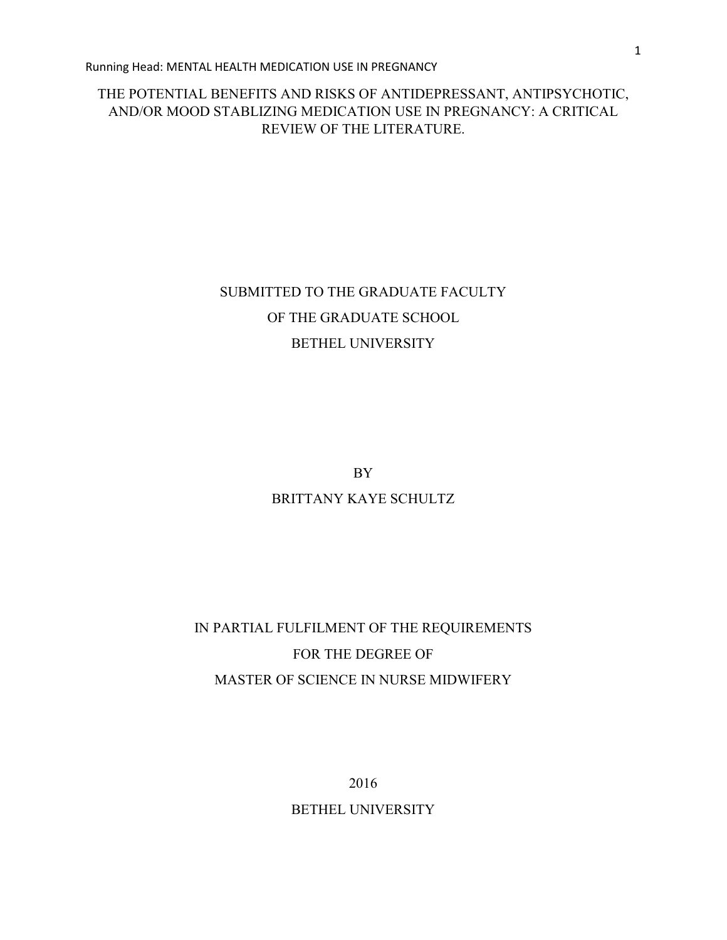# THE POTENTIAL BENEFITS AND RISKS OF ANTIDEPRESSANT, ANTIPSYCHOTIC, AND/OR MOOD STABLIZING MEDICATION USE IN PREGNANCY: A CRITICAL REVIEW OF THE LITERATURE.

# SUBMITTED TO THE GRADUATE FACULTY OF THE GRADUATE SCHOOL BETHEL UNIVERSITY

BY

# BRITTANY KAYE SCHULTZ

# IN PARTIAL FULFILMENT OF THE REQUIREMENTS FOR THE DEGREE OF MASTER OF SCIENCE IN NURSE MIDWIFERY

2016

BETHEL UNIVERSITY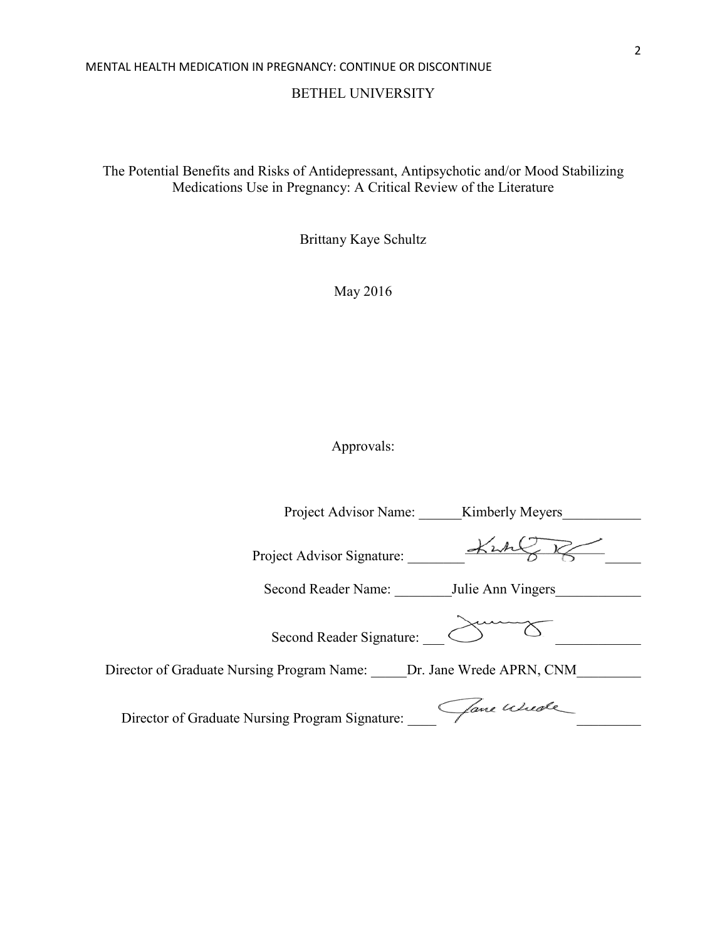BETHEL UNIVERSITY

The Potential Benefits and Risks of Antidepressant, Antipsychotic and/or Mood Stabilizing Medications Use in Pregnancy: A Critical Review of the Literature

Brittany Kaye Schultz

May 2016

Approvals:

Project Advisor Name: <br> Kimberly Meyers Project Advisor Signature: \_\_\_\_\_\_\_\_ \_\_\_\_\_ Second Reader Name: Julie Ann Vingers Second Reader Signature:  $\bigotimes$ Director of Graduate Nursing Program Name: \_\_\_\_\_ Dr. Jane Wrede APRN, CNM\_\_\_\_\_\_\_\_ Director of Graduate Nursing Program Signature: Aane Wester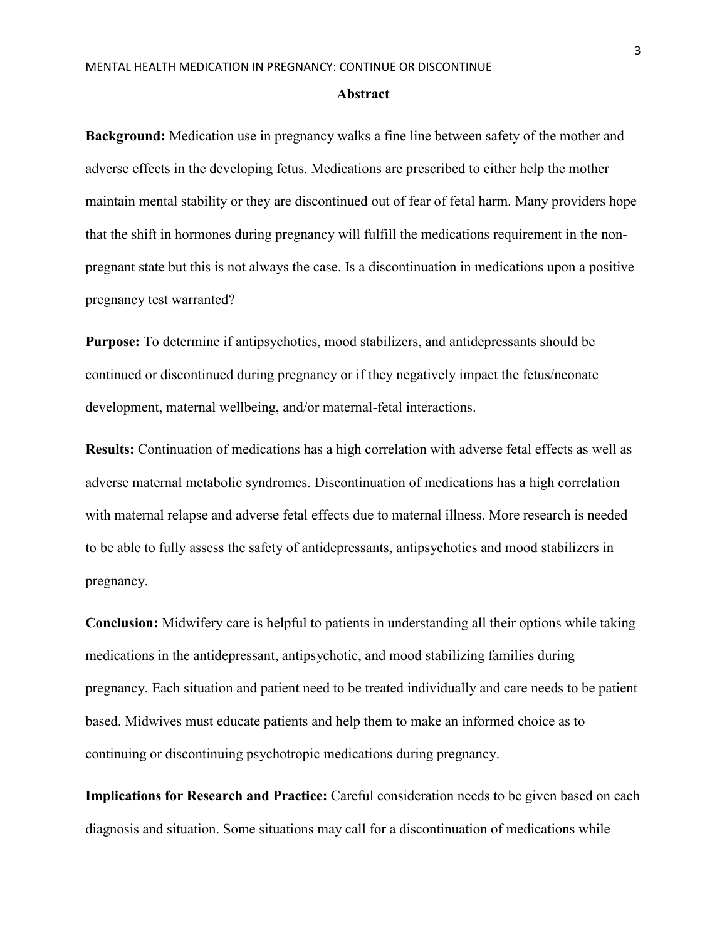#### **Abstract**

**Background:** Medication use in pregnancy walks a fine line between safety of the mother and adverse effects in the developing fetus. Medications are prescribed to either help the mother maintain mental stability or they are discontinued out of fear of fetal harm. Many providers hope that the shift in hormones during pregnancy will fulfill the medications requirement in the nonpregnant state but this is not always the case. Is a discontinuation in medications upon a positive pregnancy test warranted?

**Purpose:** To determine if antipsychotics, mood stabilizers, and antidepressants should be continued or discontinued during pregnancy or if they negatively impact the fetus/neonate development, maternal wellbeing, and/or maternal-fetal interactions.

**Results:** Continuation of medications has a high correlation with adverse fetal effects as well as adverse maternal metabolic syndromes. Discontinuation of medications has a high correlation with maternal relapse and adverse fetal effects due to maternal illness. More research is needed to be able to fully assess the safety of antidepressants, antipsychotics and mood stabilizers in pregnancy.

**Conclusion:** Midwifery care is helpful to patients in understanding all their options while taking medications in the antidepressant, antipsychotic, and mood stabilizing families during pregnancy. Each situation and patient need to be treated individually and care needs to be patient based. Midwives must educate patients and help them to make an informed choice as to continuing or discontinuing psychotropic medications during pregnancy.

**Implications for Research and Practice:** Careful consideration needs to be given based on each diagnosis and situation. Some situations may call for a discontinuation of medications while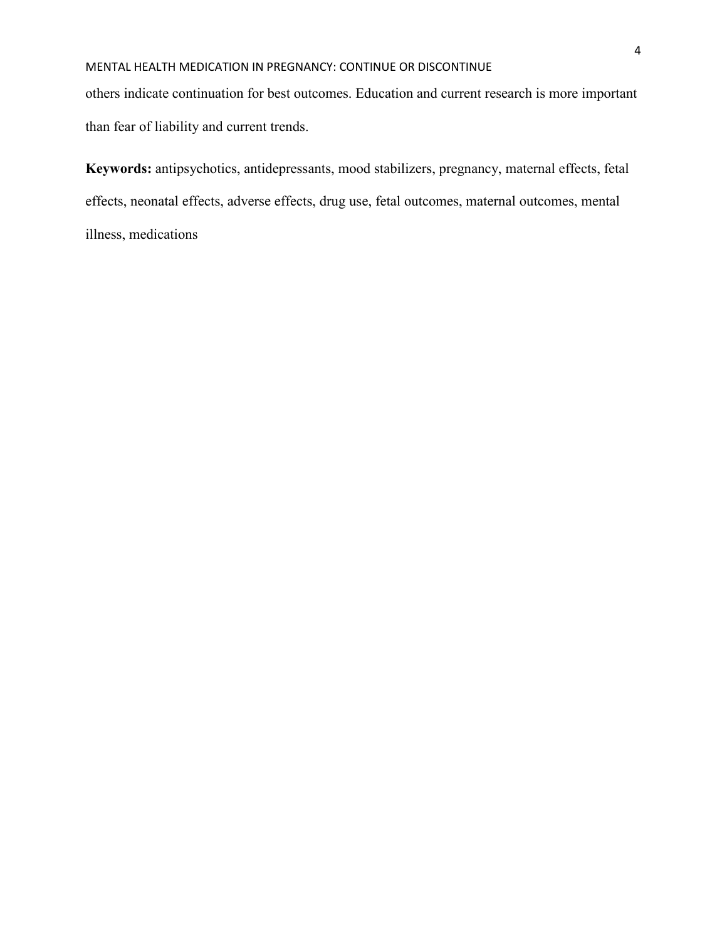others indicate continuation for best outcomes. Education and current research is more important than fear of liability and current trends.

**Keywords:** antipsychotics, antidepressants, mood stabilizers, pregnancy, maternal effects, fetal effects, neonatal effects, adverse effects, drug use, fetal outcomes, maternal outcomes, mental illness, medications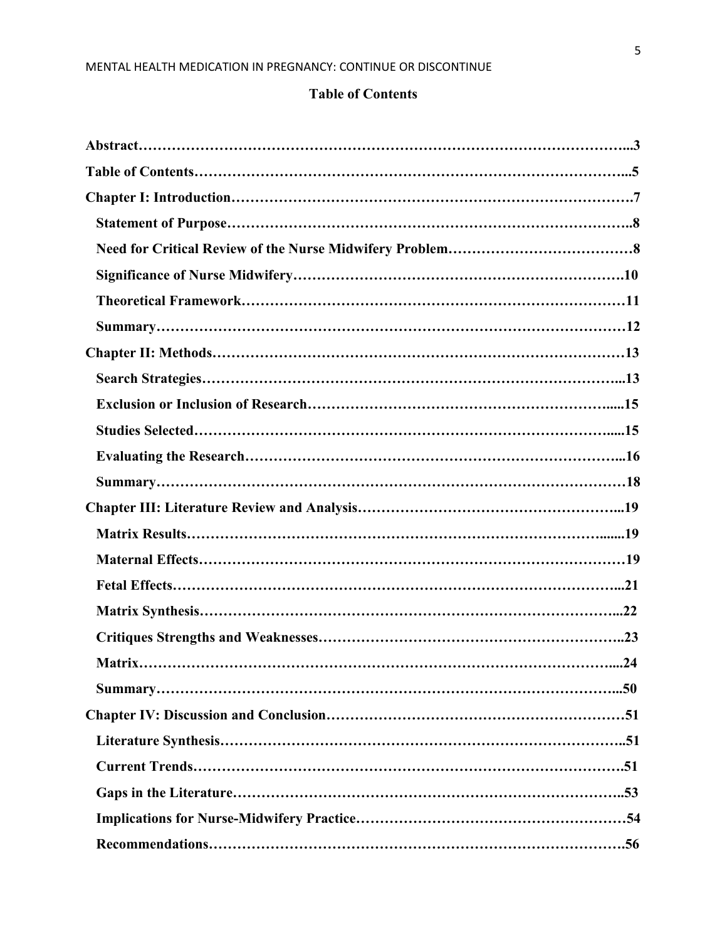# **Table of Contents**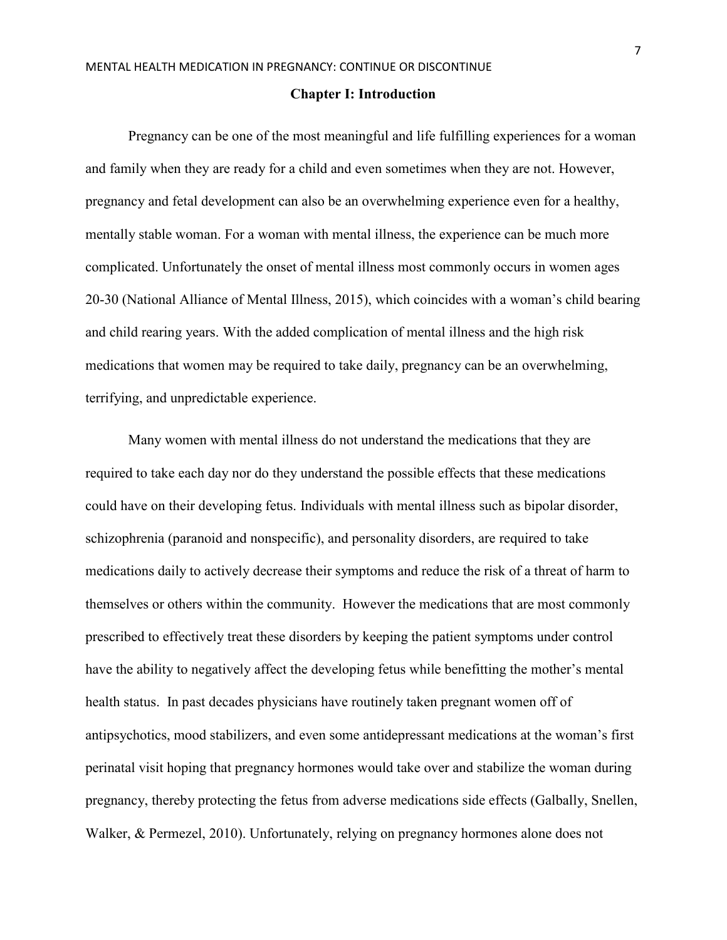#### **Chapter I: Introduction**

 Pregnancy can be one of the most meaningful and life fulfilling experiences for a woman and family when they are ready for a child and even sometimes when they are not. However, pregnancy and fetal development can also be an overwhelming experience even for a healthy, mentally stable woman. For a woman with mental illness, the experience can be much more complicated. Unfortunately the onset of mental illness most commonly occurs in women ages 20-30 (National Alliance of Mental Illness, 2015), which coincides with a woman's child bearing and child rearing years. With the added complication of mental illness and the high risk medications that women may be required to take daily, pregnancy can be an overwhelming, terrifying, and unpredictable experience.

Many women with mental illness do not understand the medications that they are required to take each day nor do they understand the possible effects that these medications could have on their developing fetus. Individuals with mental illness such as bipolar disorder, schizophrenia (paranoid and nonspecific), and personality disorders, are required to take medications daily to actively decrease their symptoms and reduce the risk of a threat of harm to themselves or others within the community. However the medications that are most commonly prescribed to effectively treat these disorders by keeping the patient symptoms under control have the ability to negatively affect the developing fetus while benefitting the mother's mental health status. In past decades physicians have routinely taken pregnant women off of antipsychotics, mood stabilizers, and even some antidepressant medications at the woman's first perinatal visit hoping that pregnancy hormones would take over and stabilize the woman during pregnancy, thereby protecting the fetus from adverse medications side effects (Galbally, Snellen, Walker, & Permezel, 2010). Unfortunately, relying on pregnancy hormones alone does not

7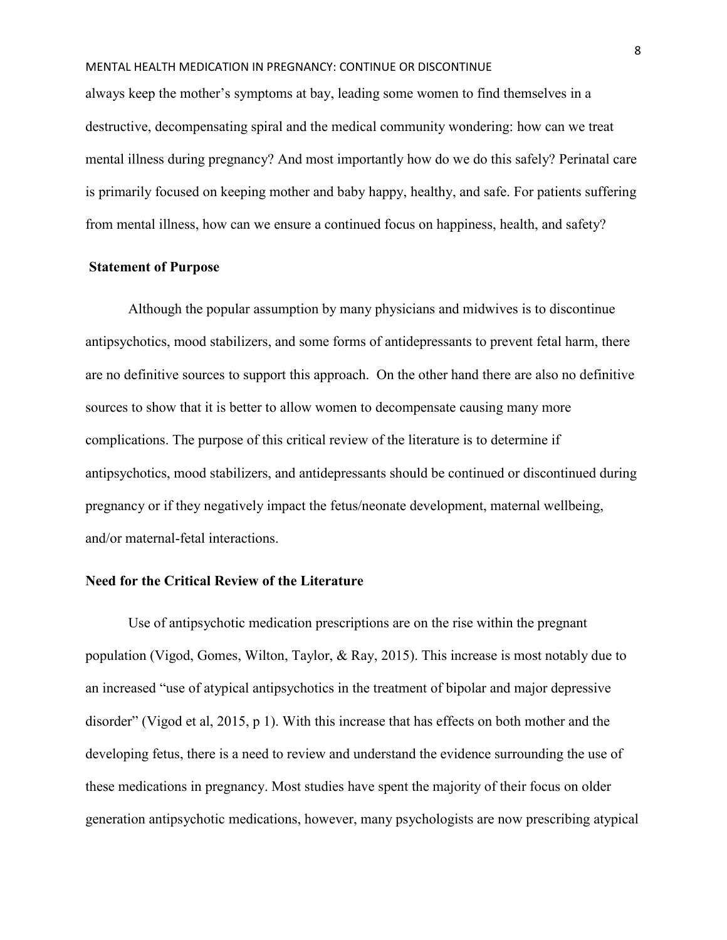always keep the mother's symptoms at bay, leading some women to find themselves in a destructive, decompensating spiral and the medical community wondering: how can we treat mental illness during pregnancy? And most importantly how do we do this safely? Perinatal care is primarily focused on keeping mother and baby happy, healthy, and safe. For patients suffering from mental illness, how can we ensure a continued focus on happiness, health, and safety?

### **Statement of Purpose**

Although the popular assumption by many physicians and midwives is to discontinue antipsychotics, mood stabilizers, and some forms of antidepressants to prevent fetal harm, there are no definitive sources to support this approach. On the other hand there are also no definitive sources to show that it is better to allow women to decompensate causing many more complications. The purpose of this critical review of the literature is to determine if antipsychotics, mood stabilizers, and antidepressants should be continued or discontinued during pregnancy or if they negatively impact the fetus/neonate development, maternal wellbeing, and/or maternal-fetal interactions.

# **Need for the Critical Review of the Literature**

Use of antipsychotic medication prescriptions are on the rise within the pregnant population (Vigod, Gomes, Wilton, Taylor, & Ray, 2015). This increase is most notably due to an increased "use of atypical antipsychotics in the treatment of bipolar and major depressive disorder" (Vigod et al, 2015, p 1). With this increase that has effects on both mother and the developing fetus, there is a need to review and understand the evidence surrounding the use of these medications in pregnancy. Most studies have spent the majority of their focus on older generation antipsychotic medications, however, many psychologists are now prescribing atypical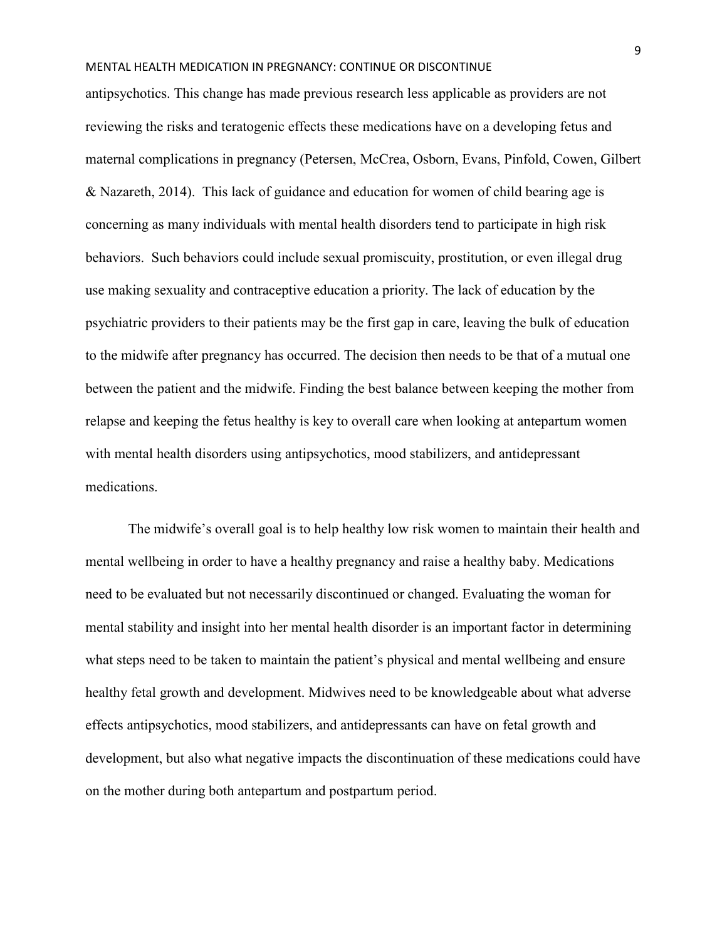antipsychotics. This change has made previous research less applicable as providers are not reviewing the risks and teratogenic effects these medications have on a developing fetus and maternal complications in pregnancy (Petersen, McCrea, Osborn, Evans, Pinfold, Cowen, Gilbert & Nazareth, 2014). This lack of guidance and education for women of child bearing age is concerning as many individuals with mental health disorders tend to participate in high risk behaviors. Such behaviors could include sexual promiscuity, prostitution, or even illegal drug use making sexuality and contraceptive education a priority. The lack of education by the psychiatric providers to their patients may be the first gap in care, leaving the bulk of education to the midwife after pregnancy has occurred. The decision then needs to be that of a mutual one between the patient and the midwife. Finding the best balance between keeping the mother from relapse and keeping the fetus healthy is key to overall care when looking at antepartum women with mental health disorders using antipsychotics, mood stabilizers, and antidepressant medications.

The midwife's overall goal is to help healthy low risk women to maintain their health and mental wellbeing in order to have a healthy pregnancy and raise a healthy baby. Medications need to be evaluated but not necessarily discontinued or changed. Evaluating the woman for mental stability and insight into her mental health disorder is an important factor in determining what steps need to be taken to maintain the patient's physical and mental wellbeing and ensure healthy fetal growth and development. Midwives need to be knowledgeable about what adverse effects antipsychotics, mood stabilizers, and antidepressants can have on fetal growth and development, but also what negative impacts the discontinuation of these medications could have on the mother during both antepartum and postpartum period.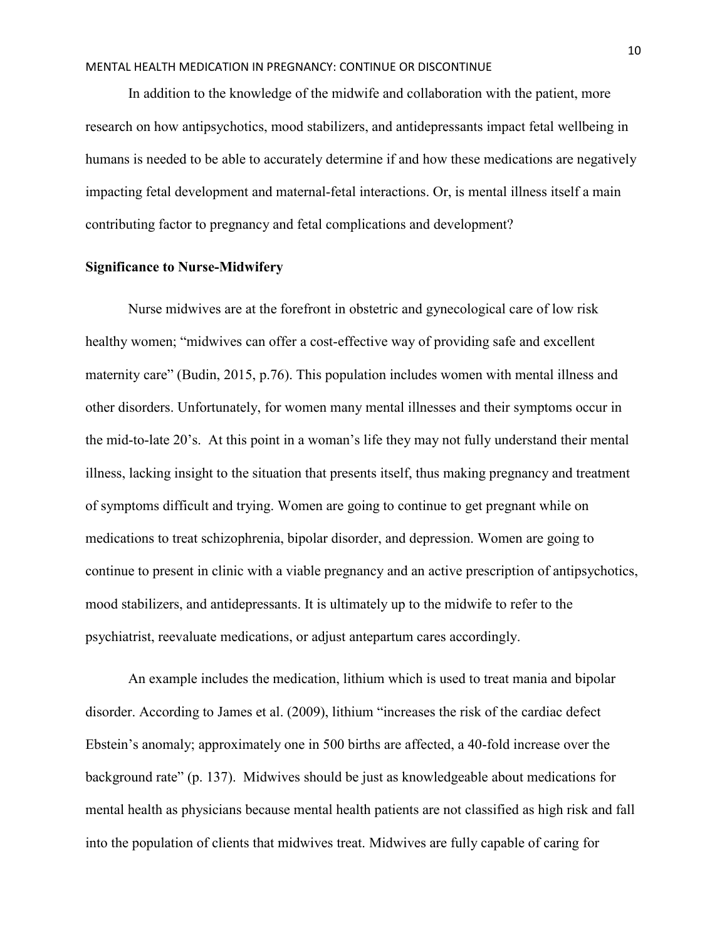In addition to the knowledge of the midwife and collaboration with the patient, more research on how antipsychotics, mood stabilizers, and antidepressants impact fetal wellbeing in humans is needed to be able to accurately determine if and how these medications are negatively impacting fetal development and maternal-fetal interactions. Or, is mental illness itself a main contributing factor to pregnancy and fetal complications and development?

#### **Significance to Nurse-Midwifery**

Nurse midwives are at the forefront in obstetric and gynecological care of low risk healthy women; "midwives can offer a cost-effective way of providing safe and excellent maternity care" (Budin, 2015, p.76). This population includes women with mental illness and other disorders. Unfortunately, for women many mental illnesses and their symptoms occur in the mid-to-late 20's. At this point in a woman's life they may not fully understand their mental illness, lacking insight to the situation that presents itself, thus making pregnancy and treatment of symptoms difficult and trying. Women are going to continue to get pregnant while on medications to treat schizophrenia, bipolar disorder, and depression. Women are going to continue to present in clinic with a viable pregnancy and an active prescription of antipsychotics, mood stabilizers, and antidepressants. It is ultimately up to the midwife to refer to the psychiatrist, reevaluate medications, or adjust antepartum cares accordingly.

An example includes the medication, lithium which is used to treat mania and bipolar disorder. According to James et al. (2009), lithium "increases the risk of the cardiac defect Ebstein's anomaly; approximately one in 500 births are affected, a 40-fold increase over the background rate" (p. 137). Midwives should be just as knowledgeable about medications for mental health as physicians because mental health patients are not classified as high risk and fall into the population of clients that midwives treat. Midwives are fully capable of caring for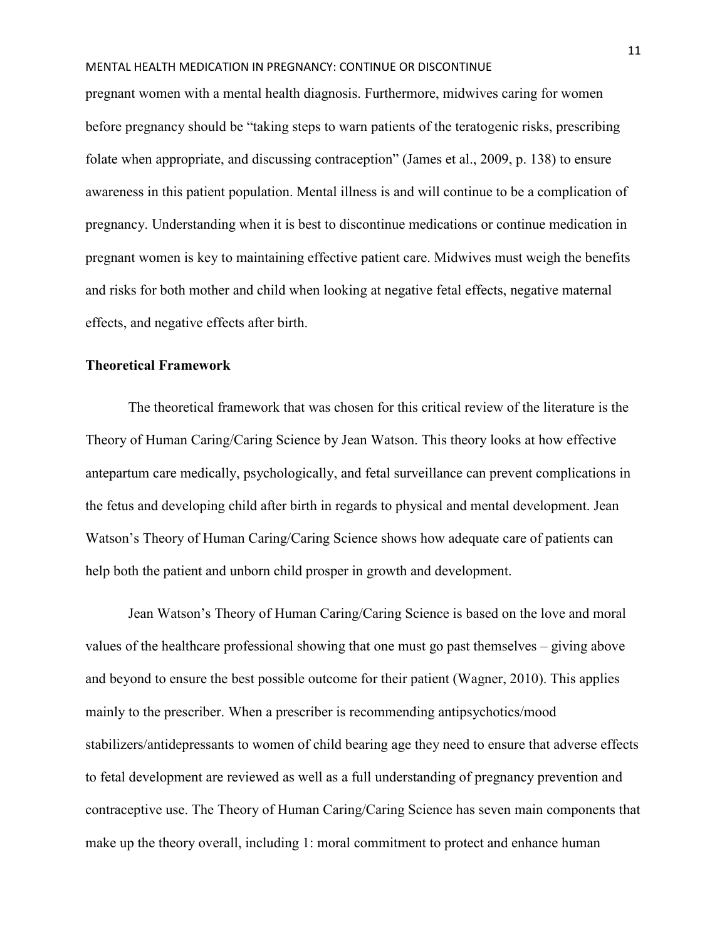pregnant women with a mental health diagnosis. Furthermore, midwives caring for women before pregnancy should be "taking steps to warn patients of the teratogenic risks, prescribing folate when appropriate, and discussing contraception" (James et al., 2009, p. 138) to ensure awareness in this patient population. Mental illness is and will continue to be a complication of pregnancy. Understanding when it is best to discontinue medications or continue medication in pregnant women is key to maintaining effective patient care. Midwives must weigh the benefits and risks for both mother and child when looking at negative fetal effects, negative maternal effects, and negative effects after birth.

# **Theoretical Framework**

The theoretical framework that was chosen for this critical review of the literature is the Theory of Human Caring/Caring Science by Jean Watson. This theory looks at how effective antepartum care medically, psychologically, and fetal surveillance can prevent complications in the fetus and developing child after birth in regards to physical and mental development. Jean Watson's Theory of Human Caring/Caring Science shows how adequate care of patients can help both the patient and unborn child prosper in growth and development.

Jean Watson's Theory of Human Caring/Caring Science is based on the love and moral values of the healthcare professional showing that one must go past themselves – giving above and beyond to ensure the best possible outcome for their patient (Wagner, 2010). This applies mainly to the prescriber. When a prescriber is recommending antipsychotics/mood stabilizers/antidepressants to women of child bearing age they need to ensure that adverse effects to fetal development are reviewed as well as a full understanding of pregnancy prevention and contraceptive use. The Theory of Human Caring/Caring Science has seven main components that make up the theory overall, including 1: moral commitment to protect and enhance human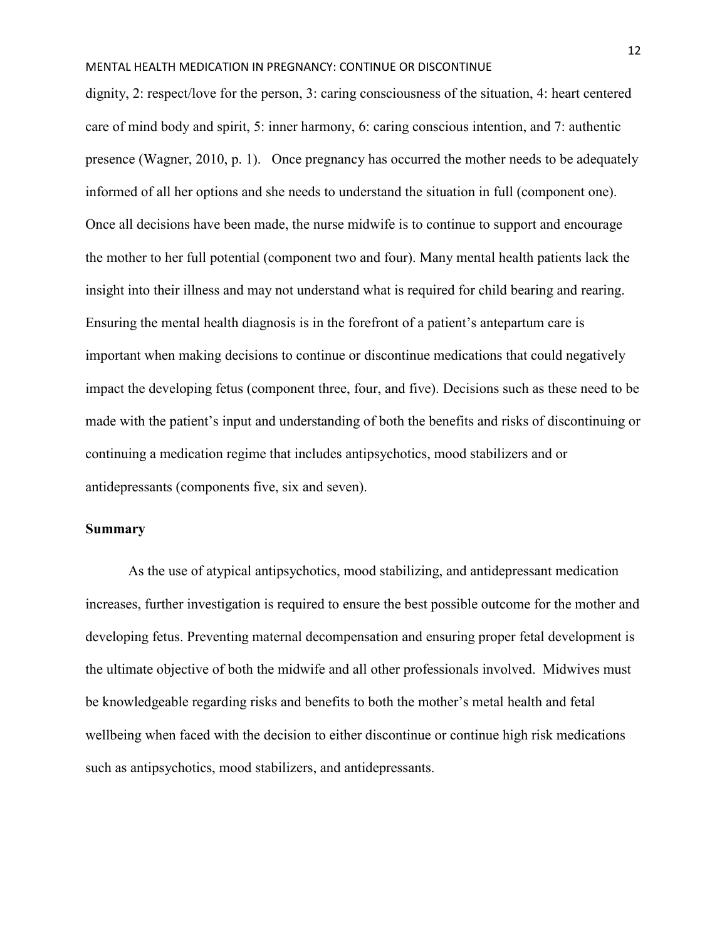dignity, 2: respect/love for the person, 3: caring consciousness of the situation, 4: heart centered care of mind body and spirit, 5: inner harmony, 6: caring conscious intention, and 7: authentic presence (Wagner, 2010, p. 1). Once pregnancy has occurred the mother needs to be adequately informed of all her options and she needs to understand the situation in full (component one). Once all decisions have been made, the nurse midwife is to continue to support and encourage the mother to her full potential (component two and four). Many mental health patients lack the insight into their illness and may not understand what is required for child bearing and rearing. Ensuring the mental health diagnosis is in the forefront of a patient's antepartum care is important when making decisions to continue or discontinue medications that could negatively impact the developing fetus (component three, four, and five). Decisions such as these need to be made with the patient's input and understanding of both the benefits and risks of discontinuing or continuing a medication regime that includes antipsychotics, mood stabilizers and or antidepressants (components five, six and seven).

# **Summary**

As the use of atypical antipsychotics, mood stabilizing, and antidepressant medication increases, further investigation is required to ensure the best possible outcome for the mother and developing fetus. Preventing maternal decompensation and ensuring proper fetal development is the ultimate objective of both the midwife and all other professionals involved. Midwives must be knowledgeable regarding risks and benefits to both the mother's metal health and fetal wellbeing when faced with the decision to either discontinue or continue high risk medications such as antipsychotics, mood stabilizers, and antidepressants.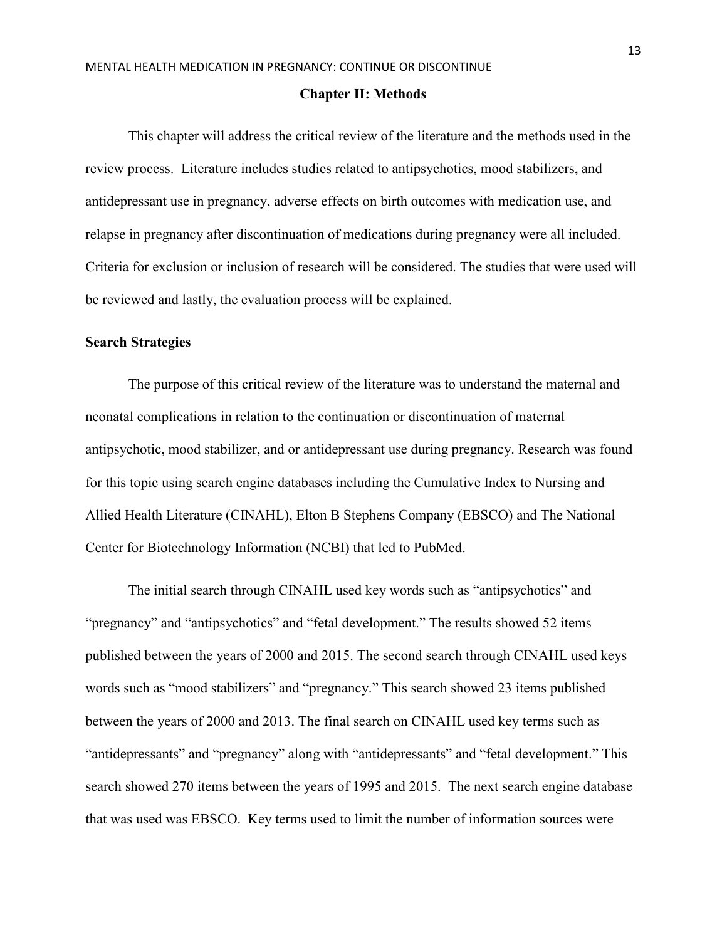#### **Chapter II: Methods**

This chapter will address the critical review of the literature and the methods used in the review process. Literature includes studies related to antipsychotics, mood stabilizers, and antidepressant use in pregnancy, adverse effects on birth outcomes with medication use, and relapse in pregnancy after discontinuation of medications during pregnancy were all included. Criteria for exclusion or inclusion of research will be considered. The studies that were used will be reviewed and lastly, the evaluation process will be explained.

#### **Search Strategies**

The purpose of this critical review of the literature was to understand the maternal and neonatal complications in relation to the continuation or discontinuation of maternal antipsychotic, mood stabilizer, and or antidepressant use during pregnancy. Research was found for this topic using search engine databases including the Cumulative Index to Nursing and Allied Health Literature (CINAHL), Elton B Stephens Company (EBSCO) and The National Center for Biotechnology Information (NCBI) that led to PubMed.

The initial search through CINAHL used key words such as "antipsychotics" and "pregnancy" and "antipsychotics" and "fetal development." The results showed 52 items published between the years of 2000 and 2015. The second search through CINAHL used keys words such as "mood stabilizers" and "pregnancy." This search showed 23 items published between the years of 2000 and 2013. The final search on CINAHL used key terms such as "antidepressants" and "pregnancy" along with "antidepressants" and "fetal development." This search showed 270 items between the years of 1995 and 2015. The next search engine database that was used was EBSCO. Key terms used to limit the number of information sources were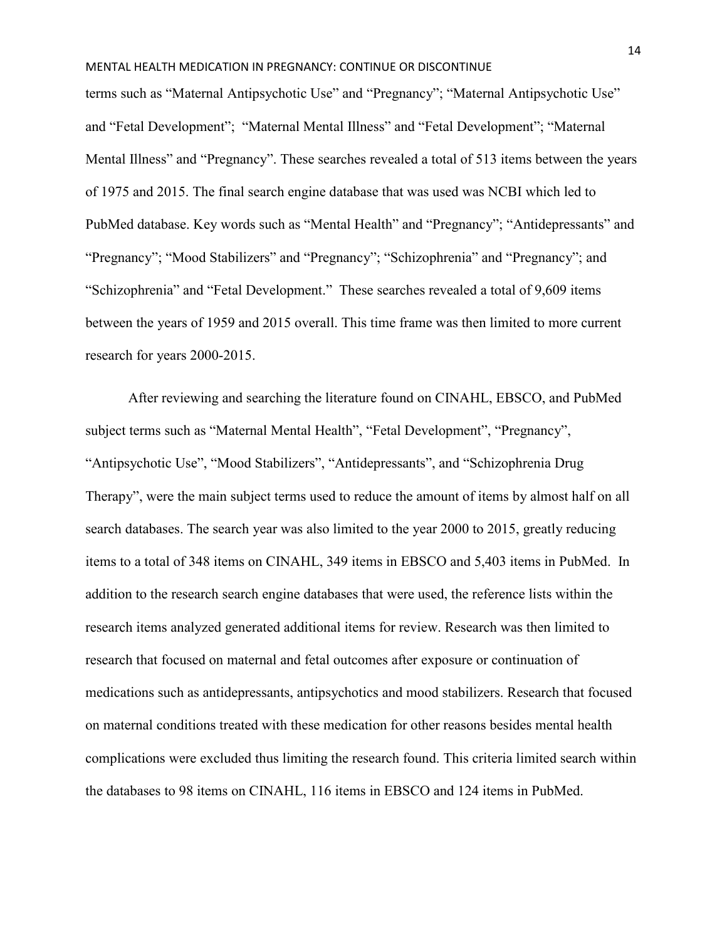terms such as "Maternal Antipsychotic Use" and "Pregnancy"; "Maternal Antipsychotic Use" and "Fetal Development"; "Maternal Mental Illness" and "Fetal Development"; "Maternal Mental Illness" and "Pregnancy". These searches revealed a total of 513 items between the years of 1975 and 2015. The final search engine database that was used was NCBI which led to PubMed database. Key words such as "Mental Health" and "Pregnancy"; "Antidepressants" and "Pregnancy"; "Mood Stabilizers" and "Pregnancy"; "Schizophrenia" and "Pregnancy"; and "Schizophrenia" and "Fetal Development." These searches revealed a total of 9,609 items between the years of 1959 and 2015 overall. This time frame was then limited to more current research for years 2000-2015.

After reviewing and searching the literature found on CINAHL, EBSCO, and PubMed subject terms such as "Maternal Mental Health", "Fetal Development", "Pregnancy", "Antipsychotic Use", "Mood Stabilizers", "Antidepressants", and "Schizophrenia Drug Therapy", were the main subject terms used to reduce the amount of items by almost half on all search databases. The search year was also limited to the year 2000 to 2015, greatly reducing items to a total of 348 items on CINAHL, 349 items in EBSCO and 5,403 items in PubMed. In addition to the research search engine databases that were used, the reference lists within the research items analyzed generated additional items for review. Research was then limited to research that focused on maternal and fetal outcomes after exposure or continuation of medications such as antidepressants, antipsychotics and mood stabilizers. Research that focused on maternal conditions treated with these medication for other reasons besides mental health complications were excluded thus limiting the research found. This criteria limited search within the databases to 98 items on CINAHL, 116 items in EBSCO and 124 items in PubMed.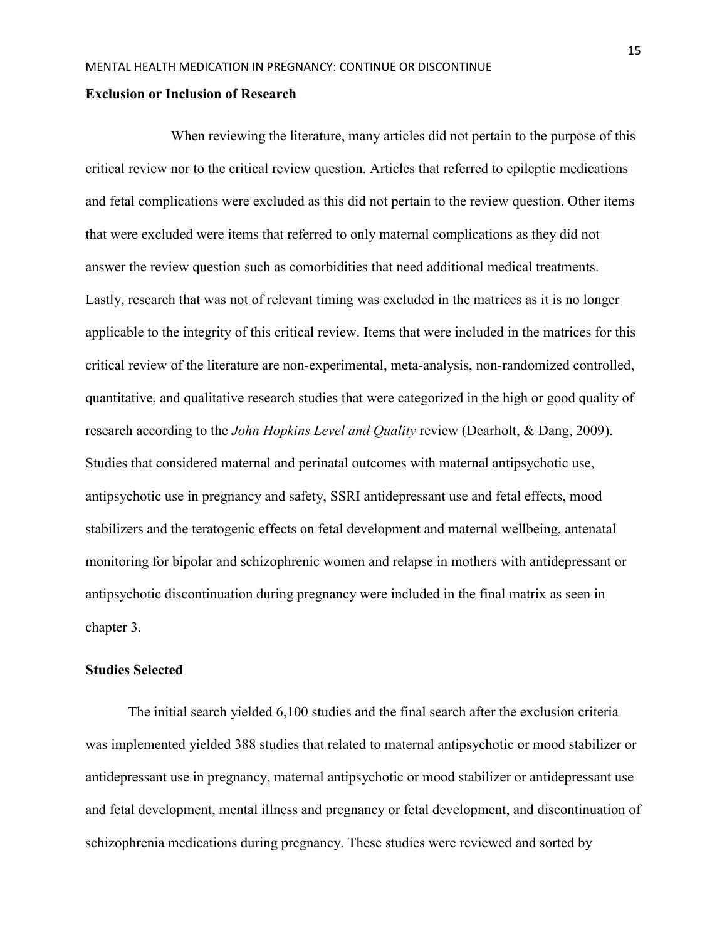#### **Exclusion or Inclusion of Research**

When reviewing the literature, many articles did not pertain to the purpose of this critical review nor to the critical review question. Articles that referred to epileptic medications and fetal complications were excluded as this did not pertain to the review question. Other items that were excluded were items that referred to only maternal complications as they did not answer the review question such as comorbidities that need additional medical treatments. Lastly, research that was not of relevant timing was excluded in the matrices as it is no longer applicable to the integrity of this critical review. Items that were included in the matrices for this critical review of the literature are non-experimental, meta-analysis, non-randomized controlled, quantitative, and qualitative research studies that were categorized in the high or good quality of research according to the *John Hopkins Level and Quality* review (Dearholt, & Dang, 2009). Studies that considered maternal and perinatal outcomes with maternal antipsychotic use, antipsychotic use in pregnancy and safety, SSRI antidepressant use and fetal effects, mood stabilizers and the teratogenic effects on fetal development and maternal wellbeing, antenatal monitoring for bipolar and schizophrenic women and relapse in mothers with antidepressant or antipsychotic discontinuation during pregnancy were included in the final matrix as seen in chapter 3.

#### **Studies Selected**

The initial search yielded 6,100 studies and the final search after the exclusion criteria was implemented yielded 388 studies that related to maternal antipsychotic or mood stabilizer or antidepressant use in pregnancy, maternal antipsychotic or mood stabilizer or antidepressant use and fetal development, mental illness and pregnancy or fetal development, and discontinuation of schizophrenia medications during pregnancy. These studies were reviewed and sorted by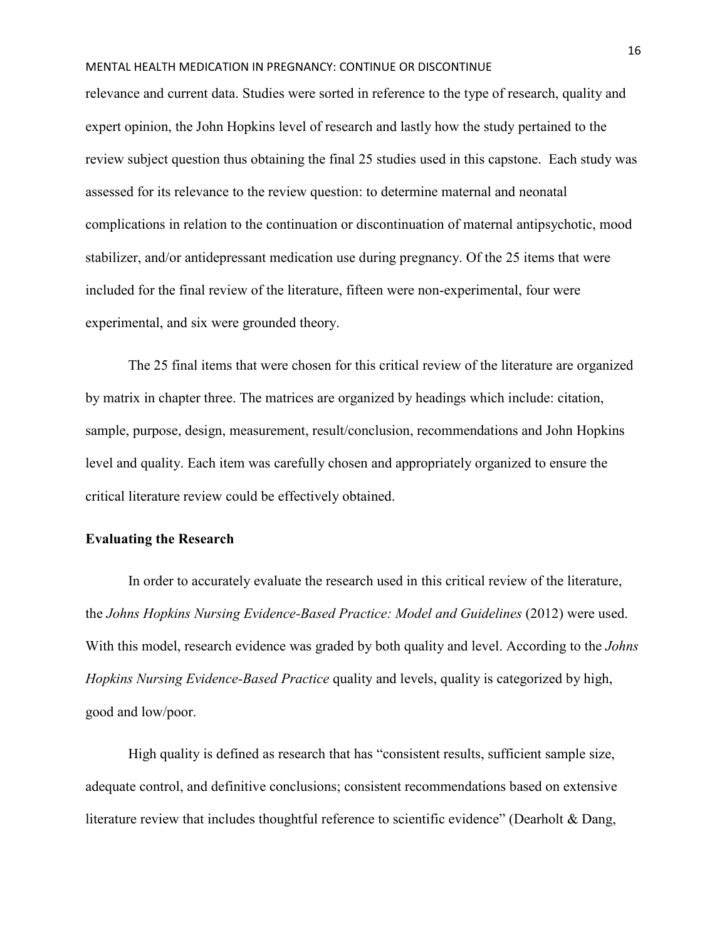relevance and current data. Studies were sorted in reference to the type of research, quality and expert opinion, the John Hopkins level of research and lastly how the study pertained to the review subject question thus obtaining the final 25 studies used in this capstone. Each study was assessed for its relevance to the review question: to determine maternal and neonatal complications in relation to the continuation or discontinuation of maternal antipsychotic, mood stabilizer, and/or antidepressant medication use during pregnancy. Of the 25 items that were included for the final review of the literature, fifteen were non-experimental, four were experimental, and six were grounded theory.

The 25 final items that were chosen for this critical review of the literature are organized by matrix in chapter three. The matrices are organized by headings which include: citation, sample, purpose, design, measurement, result/conclusion, recommendations and John Hopkins level and quality. Each item was carefully chosen and appropriately organized to ensure the critical literature review could be effectively obtained.

# **Evaluating the Research**

In order to accurately evaluate the research used in this critical review of the literature, the *Johns Hopkins Nursing Evidence-Based Practice: Model and Guidelines* (2012) were used. With this model, research evidence was graded by both quality and level. According to the *Johns Hopkins Nursing Evidence-Based Practice* quality and levels, quality is categorized by high, good and low/poor.

High quality is defined as research that has "consistent results, sufficient sample size, adequate control, and definitive conclusions; consistent recommendations based on extensive literature review that includes thoughtful reference to scientific evidence" (Dearholt & Dang,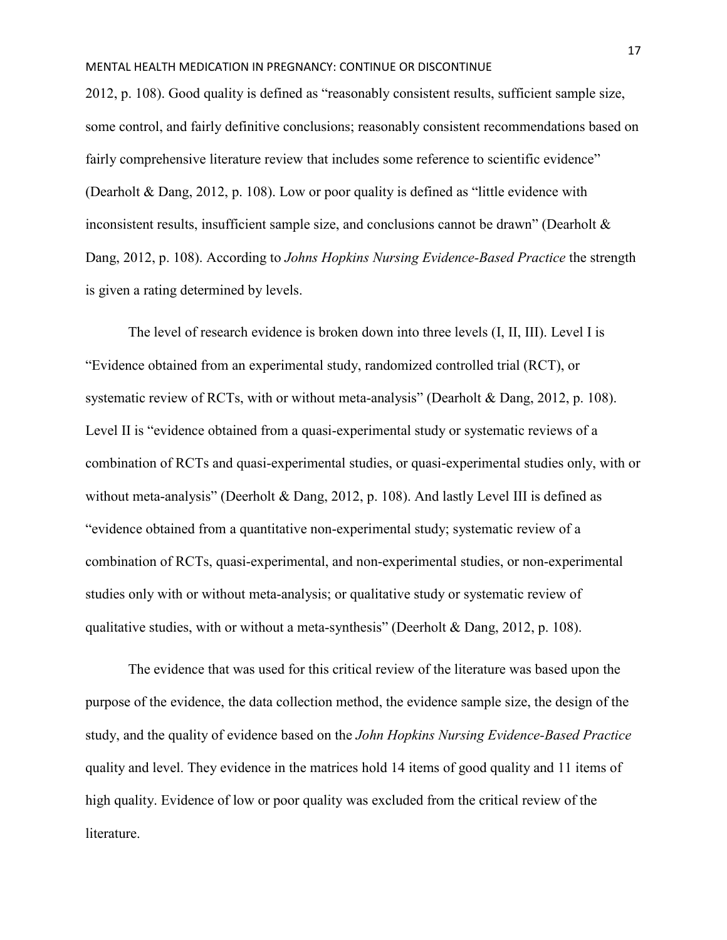2012, p. 108). Good quality is defined as "reasonably consistent results, sufficient sample size, some control, and fairly definitive conclusions; reasonably consistent recommendations based on fairly comprehensive literature review that includes some reference to scientific evidence" (Dearholt & Dang, 2012, p. 108). Low or poor quality is defined as "little evidence with inconsistent results, insufficient sample size, and conclusions cannot be drawn" (Dearholt & Dang, 2012, p. 108). According to *Johns Hopkins Nursing Evidence-Based Practice* the strength is given a rating determined by levels.

The level of research evidence is broken down into three levels (I, II, III). Level I is "Evidence obtained from an experimental study, randomized controlled trial (RCT), or systematic review of RCTs, with or without meta-analysis" (Dearholt & Dang, 2012, p. 108). Level II is "evidence obtained from a quasi-experimental study or systematic reviews of a combination of RCTs and quasi-experimental studies, or quasi-experimental studies only, with or without meta-analysis" (Deerholt & Dang, 2012, p. 108). And lastly Level III is defined as "evidence obtained from a quantitative non-experimental study; systematic review of a combination of RCTs, quasi-experimental, and non-experimental studies, or non-experimental studies only with or without meta-analysis; or qualitative study or systematic review of qualitative studies, with or without a meta-synthesis" (Deerholt & Dang, 2012, p. 108).

The evidence that was used for this critical review of the literature was based upon the purpose of the evidence, the data collection method, the evidence sample size, the design of the study, and the quality of evidence based on the *John Hopkins Nursing Evidence-Based Practice* quality and level. They evidence in the matrices hold 14 items of good quality and 11 items of high quality. Evidence of low or poor quality was excluded from the critical review of the literature.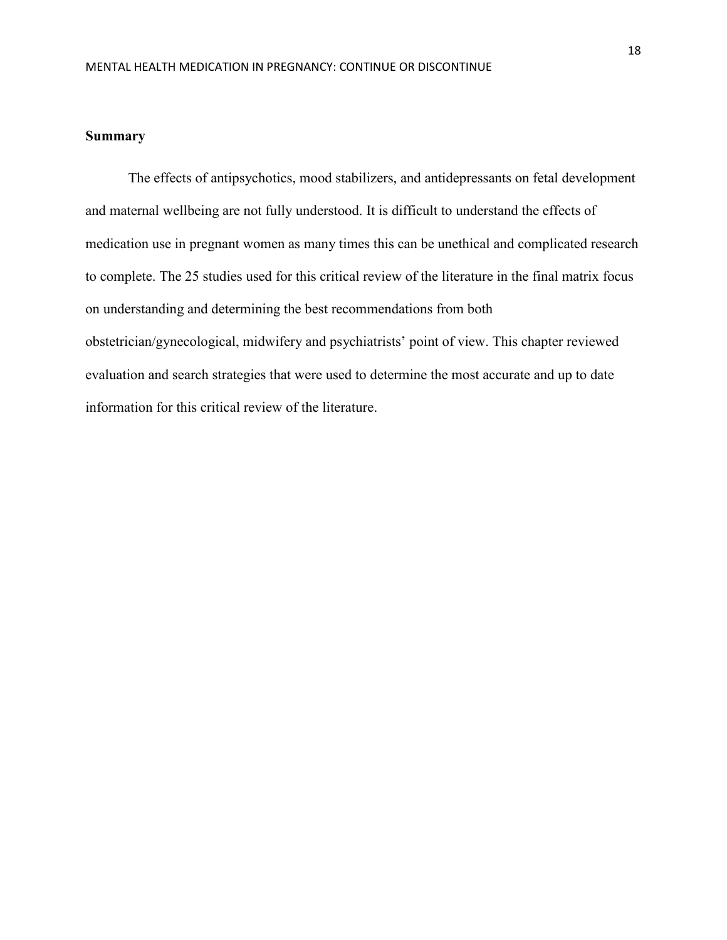### **Summary**

 The effects of antipsychotics, mood stabilizers, and antidepressants on fetal development and maternal wellbeing are not fully understood. It is difficult to understand the effects of medication use in pregnant women as many times this can be unethical and complicated research to complete. The 25 studies used for this critical review of the literature in the final matrix focus on understanding and determining the best recommendations from both obstetrician/gynecological, midwifery and psychiatrists' point of view. This chapter reviewed evaluation and search strategies that were used to determine the most accurate and up to date information for this critical review of the literature.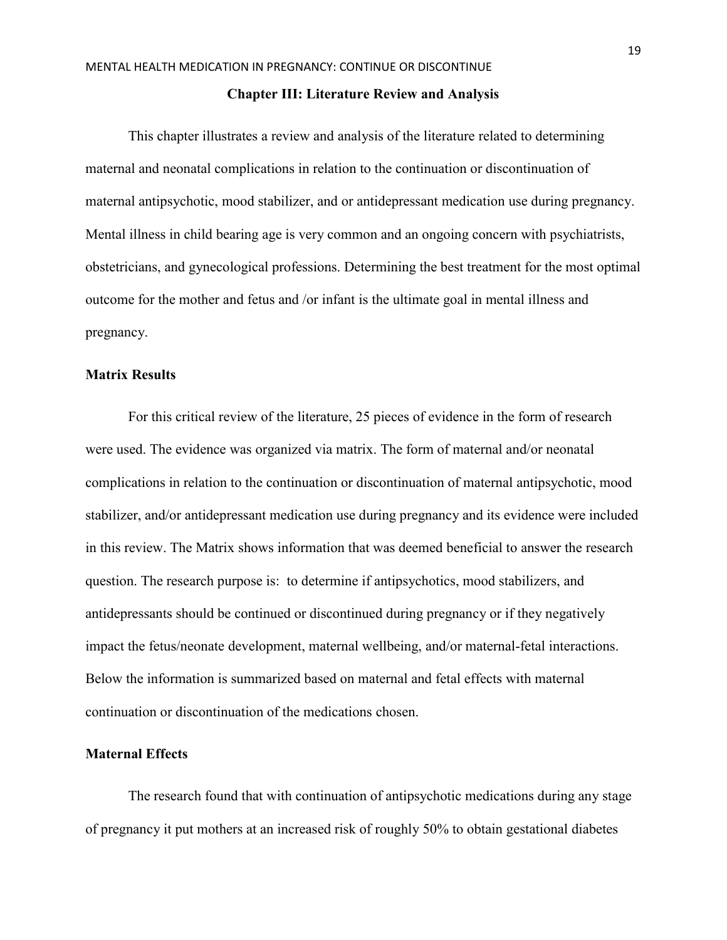#### **Chapter III: Literature Review and Analysis**

This chapter illustrates a review and analysis of the literature related to determining maternal and neonatal complications in relation to the continuation or discontinuation of maternal antipsychotic, mood stabilizer, and or antidepressant medication use during pregnancy. Mental illness in child bearing age is very common and an ongoing concern with psychiatrists, obstetricians, and gynecological professions. Determining the best treatment for the most optimal outcome for the mother and fetus and /or infant is the ultimate goal in mental illness and pregnancy.

## **Matrix Results**

For this critical review of the literature, 25 pieces of evidence in the form of research were used. The evidence was organized via matrix. The form of maternal and/or neonatal complications in relation to the continuation or discontinuation of maternal antipsychotic, mood stabilizer, and/or antidepressant medication use during pregnancy and its evidence were included in this review. The Matrix shows information that was deemed beneficial to answer the research question. The research purpose is: to determine if antipsychotics, mood stabilizers, and antidepressants should be continued or discontinued during pregnancy or if they negatively impact the fetus/neonate development, maternal wellbeing, and/or maternal-fetal interactions. Below the information is summarized based on maternal and fetal effects with maternal continuation or discontinuation of the medications chosen.

# **Maternal Effects**

 The research found that with continuation of antipsychotic medications during any stage of pregnancy it put mothers at an increased risk of roughly 50% to obtain gestational diabetes

19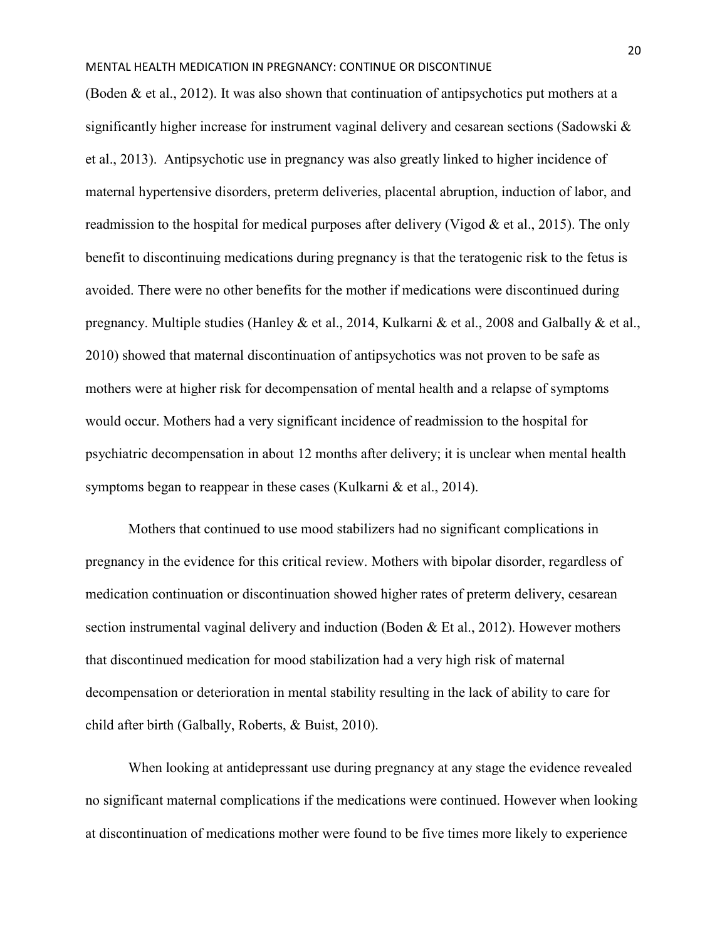(Boden & et al., 2012). It was also shown that continuation of antipsychotics put mothers at a significantly higher increase for instrument vaginal delivery and cesarean sections (Sadowski & et al., 2013). Antipsychotic use in pregnancy was also greatly linked to higher incidence of maternal hypertensive disorders, preterm deliveries, placental abruption, induction of labor, and readmission to the hospital for medical purposes after delivery (Vigod  $\&$  et al., 2015). The only benefit to discontinuing medications during pregnancy is that the teratogenic risk to the fetus is avoided. There were no other benefits for the mother if medications were discontinued during pregnancy. Multiple studies (Hanley & et al., 2014, Kulkarni & et al., 2008 and Galbally & et al., 2010) showed that maternal discontinuation of antipsychotics was not proven to be safe as mothers were at higher risk for decompensation of mental health and a relapse of symptoms would occur. Mothers had a very significant incidence of readmission to the hospital for psychiatric decompensation in about 12 months after delivery; it is unclear when mental health symptoms began to reappear in these cases (Kulkarni  $\&$  et al., 2014).

 Mothers that continued to use mood stabilizers had no significant complications in pregnancy in the evidence for this critical review. Mothers with bipolar disorder, regardless of medication continuation or discontinuation showed higher rates of preterm delivery, cesarean section instrumental vaginal delivery and induction (Boden & Et al., 2012). However mothers that discontinued medication for mood stabilization had a very high risk of maternal decompensation or deterioration in mental stability resulting in the lack of ability to care for child after birth (Galbally, Roberts, & Buist, 2010).

 When looking at antidepressant use during pregnancy at any stage the evidence revealed no significant maternal complications if the medications were continued. However when looking at discontinuation of medications mother were found to be five times more likely to experience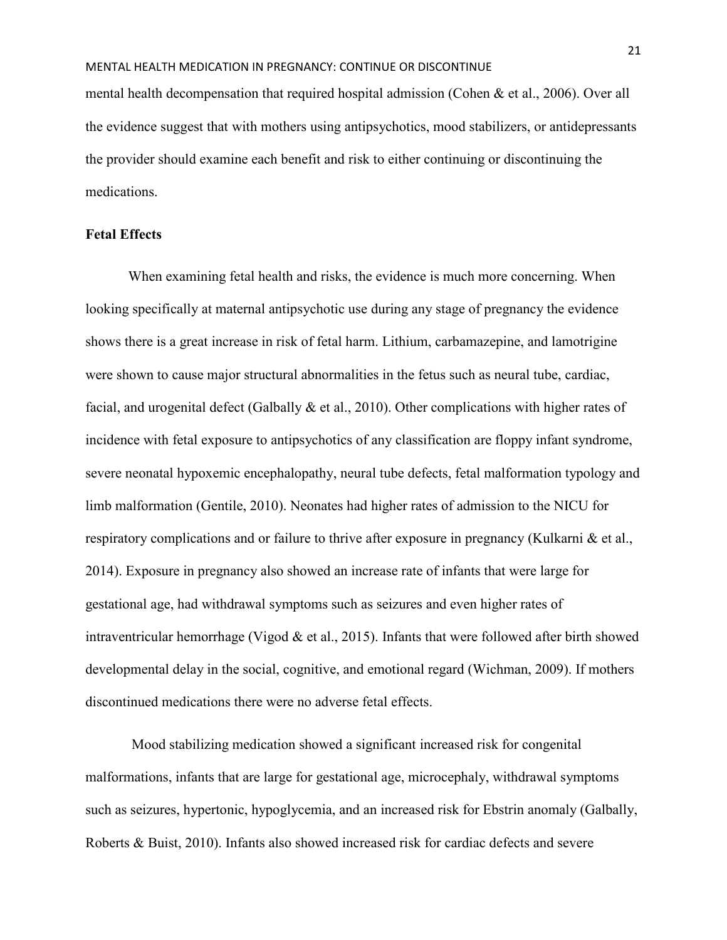mental health decompensation that required hospital admission (Cohen & et al., 2006). Over all the evidence suggest that with mothers using antipsychotics, mood stabilizers, or antidepressants the provider should examine each benefit and risk to either continuing or discontinuing the medications.

# **Fetal Effects**

 When examining fetal health and risks, the evidence is much more concerning. When looking specifically at maternal antipsychotic use during any stage of pregnancy the evidence shows there is a great increase in risk of fetal harm. Lithium, carbamazepine, and lamotrigine were shown to cause major structural abnormalities in the fetus such as neural tube, cardiac, facial, and urogenital defect (Galbally & et al., 2010). Other complications with higher rates of incidence with fetal exposure to antipsychotics of any classification are floppy infant syndrome, severe neonatal hypoxemic encephalopathy, neural tube defects, fetal malformation typology and limb malformation (Gentile, 2010). Neonates had higher rates of admission to the NICU for respiratory complications and or failure to thrive after exposure in pregnancy (Kulkarni & et al., 2014). Exposure in pregnancy also showed an increase rate of infants that were large for gestational age, had withdrawal symptoms such as seizures and even higher rates of intraventricular hemorrhage (Vigod & et al., 2015). Infants that were followed after birth showed developmental delay in the social, cognitive, and emotional regard (Wichman, 2009). If mothers discontinued medications there were no adverse fetal effects.

 Mood stabilizing medication showed a significant increased risk for congenital malformations, infants that are large for gestational age, microcephaly, withdrawal symptoms such as seizures, hypertonic, hypoglycemia, and an increased risk for Ebstrin anomaly (Galbally, Roberts & Buist, 2010). Infants also showed increased risk for cardiac defects and severe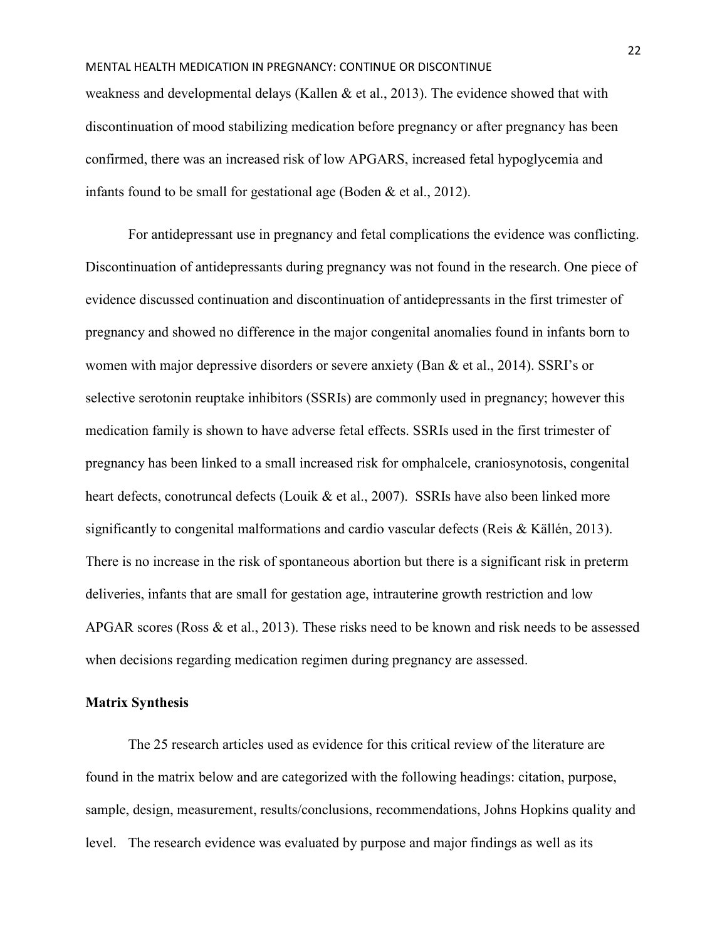weakness and developmental delays (Kallen & et al., 2013). The evidence showed that with discontinuation of mood stabilizing medication before pregnancy or after pregnancy has been confirmed, there was an increased risk of low APGARS, increased fetal hypoglycemia and infants found to be small for gestational age (Boden & et al., 2012).

For antidepressant use in pregnancy and fetal complications the evidence was conflicting. Discontinuation of antidepressants during pregnancy was not found in the research. One piece of evidence discussed continuation and discontinuation of antidepressants in the first trimester of pregnancy and showed no difference in the major congenital anomalies found in infants born to women with major depressive disorders or severe anxiety (Ban & et al., 2014). SSRI's or selective serotonin reuptake inhibitors (SSRIs) are commonly used in pregnancy; however this medication family is shown to have adverse fetal effects. SSRIs used in the first trimester of pregnancy has been linked to a small increased risk for omphalcele, craniosynotosis, congenital heart defects, conotruncal defects (Louik & et al., 2007). SSRIs have also been linked more significantly to congenital malformations and cardio vascular defects (Reis & Källén, 2013). There is no increase in the risk of spontaneous abortion but there is a significant risk in preterm deliveries, infants that are small for gestation age, intrauterine growth restriction and low APGAR scores (Ross & et al., 2013). These risks need to be known and risk needs to be assessed when decisions regarding medication regimen during pregnancy are assessed.

# **Matrix Synthesis**

The 25 research articles used as evidence for this critical review of the literature are found in the matrix below and are categorized with the following headings: citation, purpose, sample, design, measurement, results/conclusions, recommendations, Johns Hopkins quality and level. The research evidence was evaluated by purpose and major findings as well as its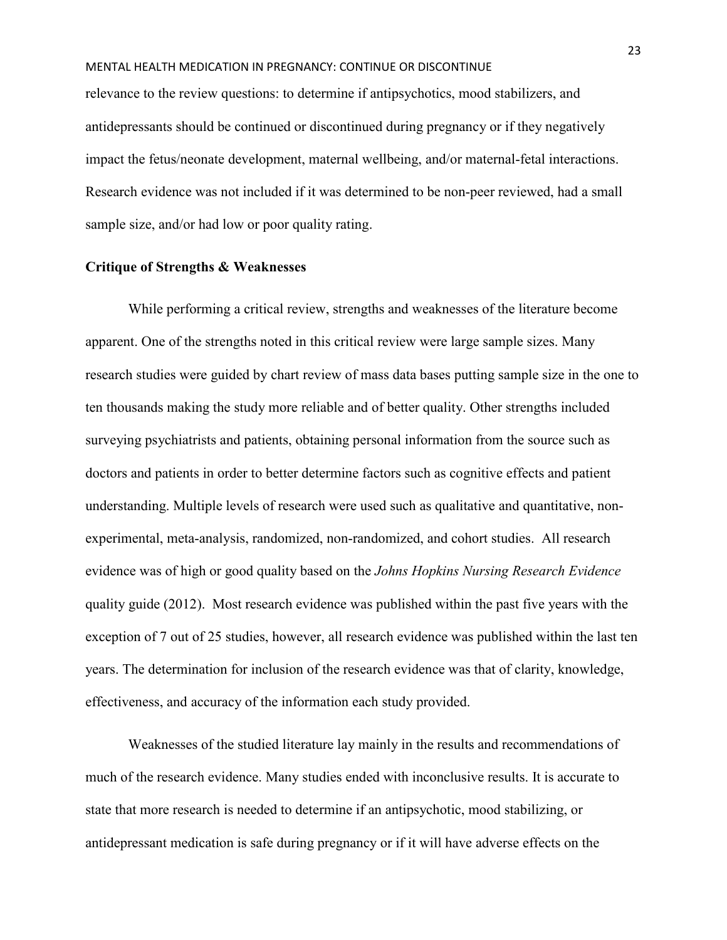relevance to the review questions: to determine if antipsychotics, mood stabilizers, and antidepressants should be continued or discontinued during pregnancy or if they negatively impact the fetus/neonate development, maternal wellbeing, and/or maternal-fetal interactions. Research evidence was not included if it was determined to be non-peer reviewed, had a small sample size, and/or had low or poor quality rating.

## **Critique of Strengths & Weaknesses**

While performing a critical review, strengths and weaknesses of the literature become apparent. One of the strengths noted in this critical review were large sample sizes. Many research studies were guided by chart review of mass data bases putting sample size in the one to ten thousands making the study more reliable and of better quality. Other strengths included surveying psychiatrists and patients, obtaining personal information from the source such as doctors and patients in order to better determine factors such as cognitive effects and patient understanding. Multiple levels of research were used such as qualitative and quantitative, nonexperimental, meta-analysis, randomized, non-randomized, and cohort studies. All research evidence was of high or good quality based on the *Johns Hopkins Nursing Research Evidence* quality guide (2012). Most research evidence was published within the past five years with the exception of 7 out of 25 studies, however, all research evidence was published within the last ten years. The determination for inclusion of the research evidence was that of clarity, knowledge, effectiveness, and accuracy of the information each study provided.

Weaknesses of the studied literature lay mainly in the results and recommendations of much of the research evidence. Many studies ended with inconclusive results. It is accurate to state that more research is needed to determine if an antipsychotic, mood stabilizing, or antidepressant medication is safe during pregnancy or if it will have adverse effects on the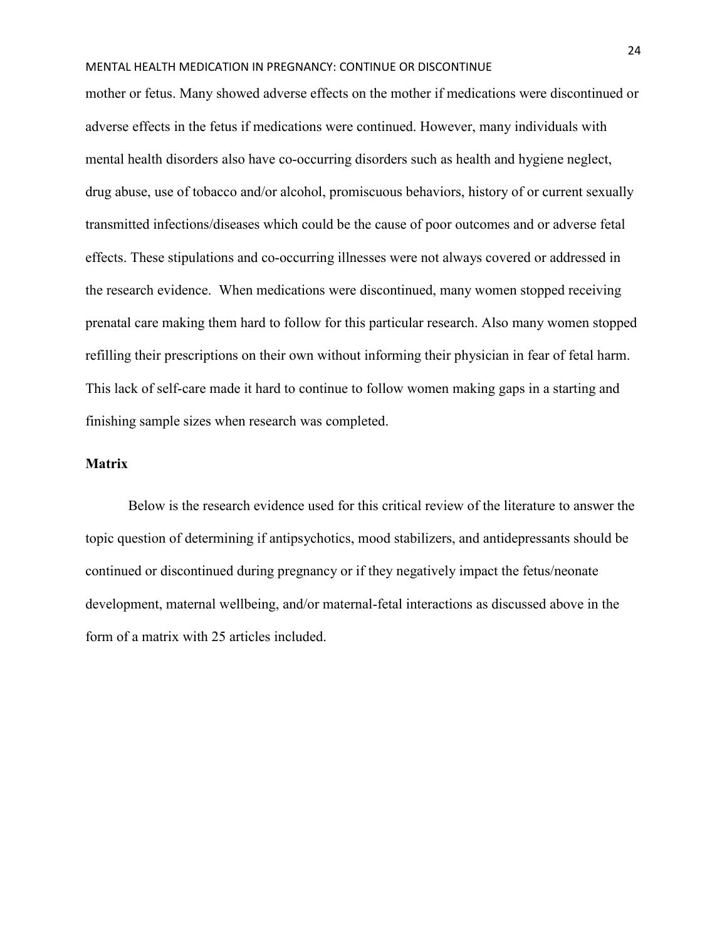mother or fetus. Many showed adverse effects on the mother if medications were discontinued or adverse effects in the fetus if medications were continued. However, many individuals with mental health disorders also have co-occurring disorders such as health and hygiene neglect, drug abuse, use of tobacco and/or alcohol, promiscuous behaviors, history of or current sexually transmitted infections/diseases which could be the cause of poor outcomes and or adverse fetal effects. These stipulations and co-occurring illnesses were not always covered or addressed in the research evidence. When medications were discontinued, many women stopped receiving prenatal care making them hard to follow for this particular research. Also many women stopped refilling their prescriptions on their own without informing their physician in fear of fetal harm. This lack of self-care made it hard to continue to follow women making gaps in a starting and finishing sample sizes when research was completed.

# **Matrix**

Below is the research evidence used for this critical review of the literature to answer the topic question of determining if antipsychotics, mood stabilizers, and antidepressants should be continued or discontinued during pregnancy or if they negatively impact the fetus/neonate development, maternal wellbeing, and/or maternal-fetal interactions as discussed above in the form of a matrix with 25 articles included.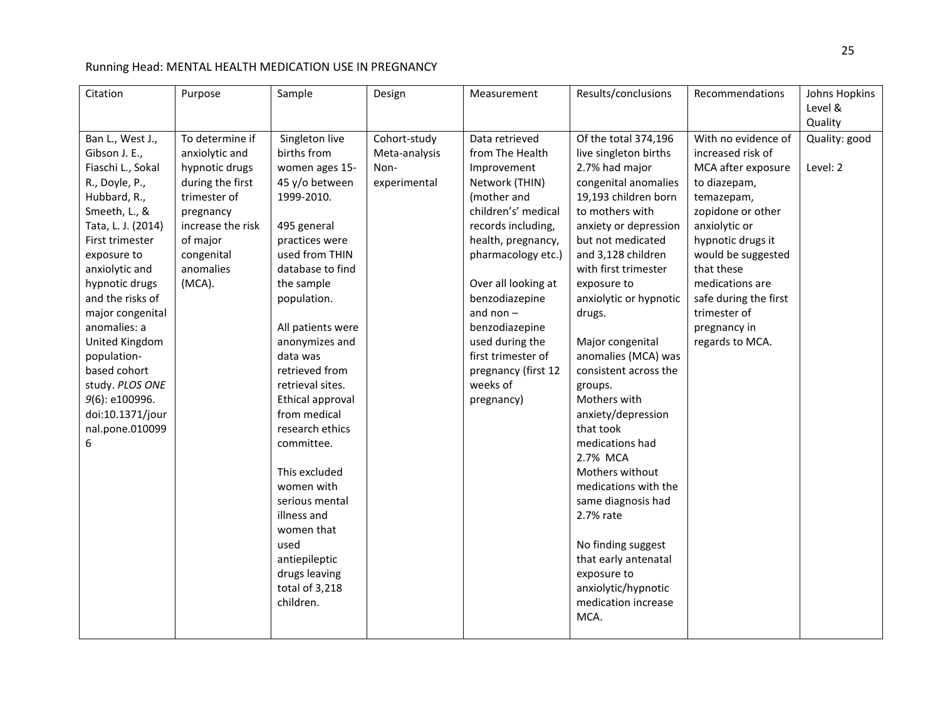# Running Head: MENTAL HEALTH MEDICATION USE IN PREGNANCY

| Citation           | Purpose           | Sample            | Design        | Measurement         | Results/conclusions    | Recommendations       | Johns Hopkins |
|--------------------|-------------------|-------------------|---------------|---------------------|------------------------|-----------------------|---------------|
|                    |                   |                   |               |                     |                        |                       | Level &       |
|                    |                   |                   |               |                     |                        |                       | Quality       |
| Ban L., West J.,   | To determine if   | Singleton live    | Cohort-study  | Data retrieved      | Of the total 374,196   | With no evidence of   | Quality: good |
| Gibson J. E.,      | anxiolytic and    | births from       | Meta-analysis | from The Health     | live singleton births  | increased risk of     |               |
| Fiaschi L., Sokal  | hypnotic drugs    | women ages 15-    | Non-          | Improvement         | 2.7% had major         | MCA after exposure    | Level: 2      |
| R., Doyle, P.,     | during the first  | 45 y/o between    | experimental  | Network (THIN)      | congenital anomalies   | to diazepam,          |               |
| Hubbard, R.,       | trimester of      | 1999-2010.        |               | (mother and         | 19,193 children born   | temazepam,            |               |
| Smeeth, L., &      | pregnancy         |                   |               | children's' medical | to mothers with        | zopidone or other     |               |
| Tata, L. J. (2014) | increase the risk | 495 general       |               | records including,  | anxiety or depression  | anxiolytic or         |               |
| First trimester    | of major          | practices were    |               | health, pregnancy,  | but not medicated      | hypnotic drugs it     |               |
| exposure to        | congenital        | used from THIN    |               | pharmacology etc.)  | and 3,128 children     | would be suggested    |               |
| anxiolytic and     | anomalies         | database to find  |               |                     | with first trimester   | that these            |               |
| hypnotic drugs     | (MCA).            | the sample        |               | Over all looking at | exposure to            | medications are       |               |
| and the risks of   |                   | population.       |               | benzodiazepine      | anxiolytic or hypnotic | safe during the first |               |
| major congenital   |                   |                   |               | and non $-$         | drugs.                 | trimester of          |               |
| anomalies: a       |                   | All patients were |               | benzodiazepine      |                        | pregnancy in          |               |
| United Kingdom     |                   | anonymizes and    |               | used during the     | Major congenital       | regards to MCA.       |               |
| population-        |                   | data was          |               | first trimester of  | anomalies (MCA) was    |                       |               |
| based cohort       |                   | retrieved from    |               | pregnancy (first 12 | consistent across the  |                       |               |
| study. PLOS ONE    |                   | retrieval sites.  |               | weeks of            | groups.                |                       |               |
| 9(6): e100996.     |                   | Ethical approval  |               | pregnancy)          | Mothers with           |                       |               |
| doi:10.1371/jour   |                   | from medical      |               |                     | anxiety/depression     |                       |               |
| nal.pone.010099    |                   | research ethics   |               |                     | that took              |                       |               |
| 6                  |                   | committee.        |               |                     | medications had        |                       |               |
|                    |                   |                   |               |                     | 2.7% MCA               |                       |               |
|                    |                   | This excluded     |               |                     | Mothers without        |                       |               |
|                    |                   | women with        |               |                     | medications with the   |                       |               |
|                    |                   | serious mental    |               |                     | same diagnosis had     |                       |               |
|                    |                   | illness and       |               |                     | 2.7% rate              |                       |               |
|                    |                   | women that        |               |                     |                        |                       |               |
|                    |                   | used              |               |                     | No finding suggest     |                       |               |
|                    |                   | antiepileptic     |               |                     | that early antenatal   |                       |               |
|                    |                   | drugs leaving     |               |                     | exposure to            |                       |               |
|                    |                   | total of 3,218    |               |                     | anxiolytic/hypnotic    |                       |               |
|                    |                   | children.         |               |                     | medication increase    |                       |               |
|                    |                   |                   |               |                     | MCA.                   |                       |               |
|                    |                   |                   |               |                     |                        |                       |               |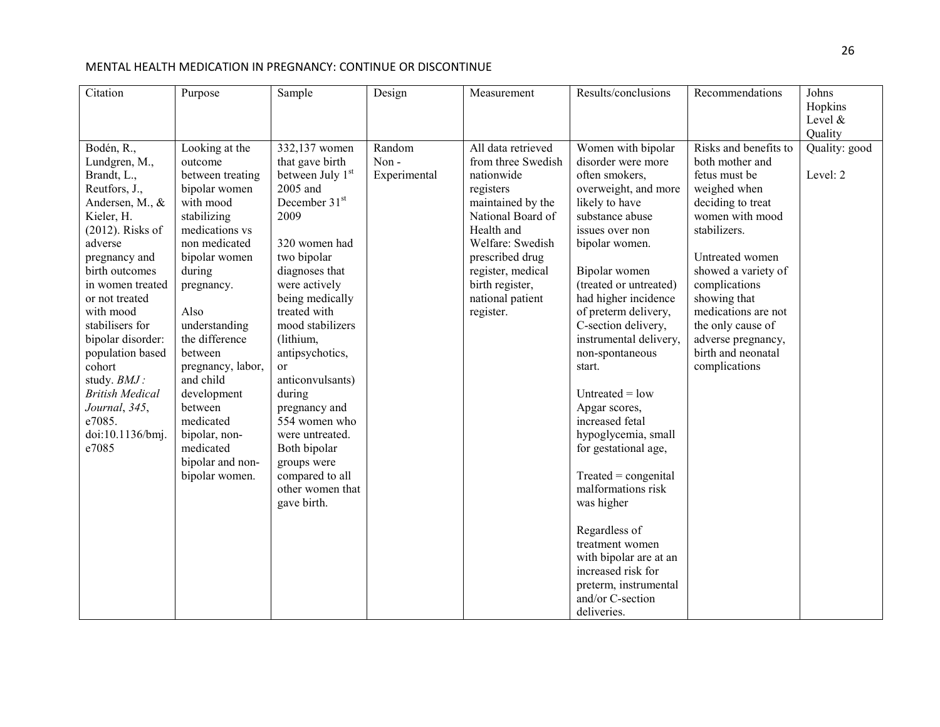| Citation               | Purpose           | $\overline{\text{Sample}}$ | Design       | Measurement        | Results/conclusions                       | Recommendations       | Johns         |
|------------------------|-------------------|----------------------------|--------------|--------------------|-------------------------------------------|-----------------------|---------------|
|                        |                   |                            |              |                    |                                           |                       | Hopkins       |
|                        |                   |                            |              |                    |                                           |                       | Level &       |
|                        |                   |                            |              |                    |                                           |                       | Quality       |
| Bodén, R.,             | Looking at the    | 332,137 women              | Random       | All data retrieved | Women with bipolar                        | Risks and benefits to | Quality: good |
| Lundgren, M.,          | outcome           | that gave birth            | Non-         | from three Swedish | disorder were more                        | both mother and       |               |
| Brandt, L.,            | between treating  | between July 1st           | Experimental | nationwide         | often smokers,                            | fetus must be         | Level: 2      |
| Reutfors, J.,          | bipolar women     | 2005 and                   |              | registers          | overweight, and more                      | weighed when          |               |
| Andersen, M., &        | with mood         | December 31 <sup>st</sup>  |              | maintained by the  | likely to have                            | deciding to treat     |               |
| Kieler, H.             | stabilizing       | 2009                       |              | National Board of  | substance abuse                           | women with mood       |               |
| $(2012)$ . Risks of    | medications vs    |                            |              | Health and         | issues over non                           | stabilizers.          |               |
| adverse                | non medicated     | 320 women had              |              | Welfare: Swedish   | bipolar women.                            |                       |               |
| pregnancy and          | bipolar women     | two bipolar                |              | prescribed drug    |                                           | Untreated women       |               |
| birth outcomes         | during            | diagnoses that             |              | register, medical  | Bipolar women                             | showed a variety of   |               |
| in women treated       | pregnancy.        | were actively              |              | birth register,    | (treated or untreated)                    | complications         |               |
| or not treated         |                   | being medically            |              | national patient   | had higher incidence                      | showing that          |               |
| with mood              | Also              | treated with               |              | register.          | of preterm delivery,                      | medications are not   |               |
| stabilisers for        | understanding     | mood stabilizers           |              |                    | C-section delivery,                       | the only cause of     |               |
| bipolar disorder:      | the difference    | (lithium,                  |              |                    | instrumental delivery,                    | adverse pregnancy,    |               |
| population based       | between           | antipsychotics,            |              |                    | non-spontaneous                           | birth and neonatal    |               |
| cohort                 | pregnancy, labor, | <sub>or</sub>              |              |                    | start.                                    | complications         |               |
| study. BMJ:            | and child         | anticonvulsants)           |              |                    |                                           |                       |               |
| <b>British Medical</b> | development       | during                     |              |                    | Untreated $=$ low                         |                       |               |
| Journal, 345,          | between           | pregnancy and              |              |                    | Apgar scores,                             |                       |               |
| e7085.                 | medicated         | 554 women who              |              |                    | increased fetal                           |                       |               |
| doi:10.1136/bmj.       | bipolar, non-     | were untreated.            |              |                    | hypoglycemia, small                       |                       |               |
| e7085                  | medicated         | Both bipolar               |              |                    | for gestational age,                      |                       |               |
|                        | bipolar and non-  | groups were                |              |                    |                                           |                       |               |
|                        | bipolar women.    | compared to all            |              |                    | $Treated = congenital$                    |                       |               |
|                        |                   | other women that           |              |                    | malformations risk                        |                       |               |
|                        |                   | gave birth.                |              |                    | was higher                                |                       |               |
|                        |                   |                            |              |                    |                                           |                       |               |
|                        |                   |                            |              |                    | Regardless of                             |                       |               |
|                        |                   |                            |              |                    | treatment women<br>with bipolar are at an |                       |               |
|                        |                   |                            |              |                    | increased risk for                        |                       |               |
|                        |                   |                            |              |                    | preterm, instrumental                     |                       |               |
|                        |                   |                            |              |                    |                                           |                       |               |
|                        |                   |                            |              |                    |                                           |                       |               |
|                        |                   |                            |              |                    | and/or C-section<br>deliveries.           |                       |               |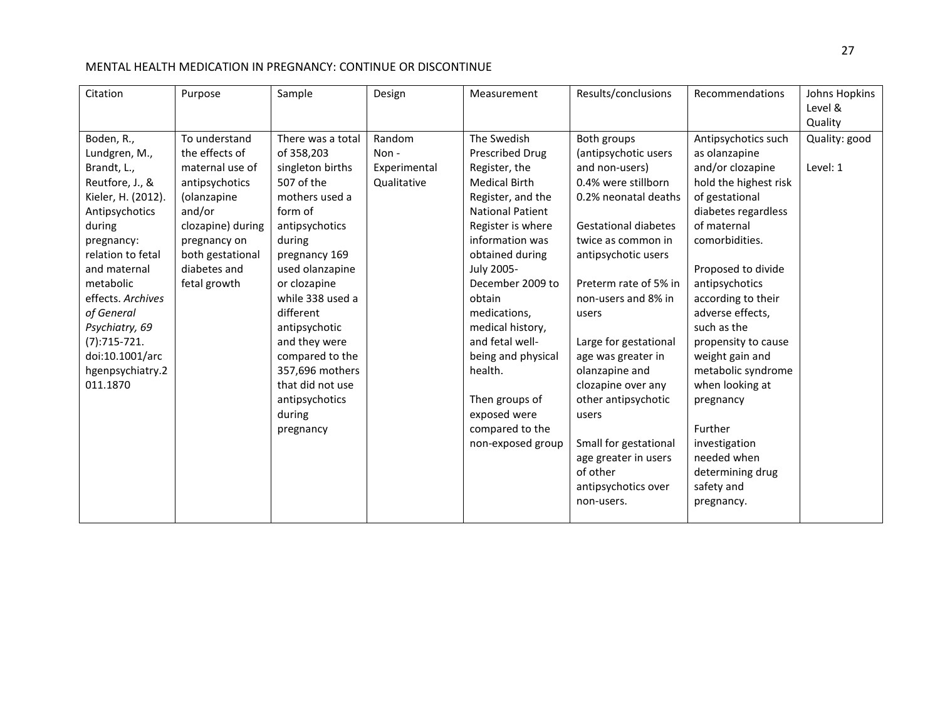| Citation                                                                                                                                                                                                                                                                                                  | Purpose                                                                                                                                                                                | Sample                                                                                                                                                                                                                                                                                                                                               | Design                                        | Measurement                                                                                                                                                                                                                                                                                                                                                                                      | Results/conclusions                                                                                                                                                                                                                                                                                                                                                                                                                                                | Recommendations                                                                                                                                                                                                                                                                                                                                                                                                                                         | Johns Hopkins<br>Level &<br>Quality |
|-----------------------------------------------------------------------------------------------------------------------------------------------------------------------------------------------------------------------------------------------------------------------------------------------------------|----------------------------------------------------------------------------------------------------------------------------------------------------------------------------------------|------------------------------------------------------------------------------------------------------------------------------------------------------------------------------------------------------------------------------------------------------------------------------------------------------------------------------------------------------|-----------------------------------------------|--------------------------------------------------------------------------------------------------------------------------------------------------------------------------------------------------------------------------------------------------------------------------------------------------------------------------------------------------------------------------------------------------|--------------------------------------------------------------------------------------------------------------------------------------------------------------------------------------------------------------------------------------------------------------------------------------------------------------------------------------------------------------------------------------------------------------------------------------------------------------------|---------------------------------------------------------------------------------------------------------------------------------------------------------------------------------------------------------------------------------------------------------------------------------------------------------------------------------------------------------------------------------------------------------------------------------------------------------|-------------------------------------|
| Boden, R.,<br>Lundgren, M.,<br>Brandt, L.,<br>Reutfore, J., &<br>Kieler, H. (2012).<br>Antipsychotics<br>during<br>pregnancy:<br>relation to fetal<br>and maternal<br>metabolic<br>effects. Archives<br>of General<br>Psychiatry, 69<br>$(7):715-721.$<br>doi:10.1001/arc<br>hgenpsychiatry.2<br>011.1870 | To understand<br>the effects of<br>maternal use of<br>antipsychotics<br>(olanzapine<br>and/or<br>clozapine) during<br>pregnancy on<br>both gestational<br>diabetes and<br>fetal growth | There was a total<br>of 358,203<br>singleton births<br>507 of the<br>mothers used a<br>form of<br>antipsychotics<br>during<br>pregnancy 169<br>used olanzapine<br>or clozapine<br>while 338 used a<br>different<br>antipsychotic<br>and they were<br>compared to the<br>357,696 mothers<br>that did not use<br>antipsychotics<br>during<br>pregnancy | Random<br>Non-<br>Experimental<br>Qualitative | The Swedish<br>Prescribed Drug<br>Register, the<br><b>Medical Birth</b><br>Register, and the<br><b>National Patient</b><br>Register is where<br>information was<br>obtained during<br>July 2005-<br>December 2009 to<br>obtain<br>medications,<br>medical history,<br>and fetal well-<br>being and physical<br>health.<br>Then groups of<br>exposed were<br>compared to the<br>non-exposed group | Both groups<br>(antipsychotic users<br>and non-users)<br>0.4% were stillborn<br>0.2% neonatal deaths<br><b>Gestational diabetes</b><br>twice as common in<br>antipsychotic users<br>Preterm rate of 5% in<br>non-users and 8% in<br>users<br>Large for gestational<br>age was greater in<br>olanzapine and<br>clozapine over any<br>other antipsychotic<br>users<br>Small for gestational<br>age greater in users<br>of other<br>antipsychotics over<br>non-users. | Antipsychotics such<br>as olanzapine<br>and/or clozapine<br>hold the highest risk<br>of gestational<br>diabetes regardless<br>of maternal<br>comorbidities.<br>Proposed to divide<br>antipsychotics<br>according to their<br>adverse effects,<br>such as the<br>propensity to cause<br>weight gain and<br>metabolic syndrome<br>when looking at<br>pregnancy<br>Further<br>investigation<br>needed when<br>determining drug<br>safety and<br>pregnancy. | Quality: good<br>Level: 1           |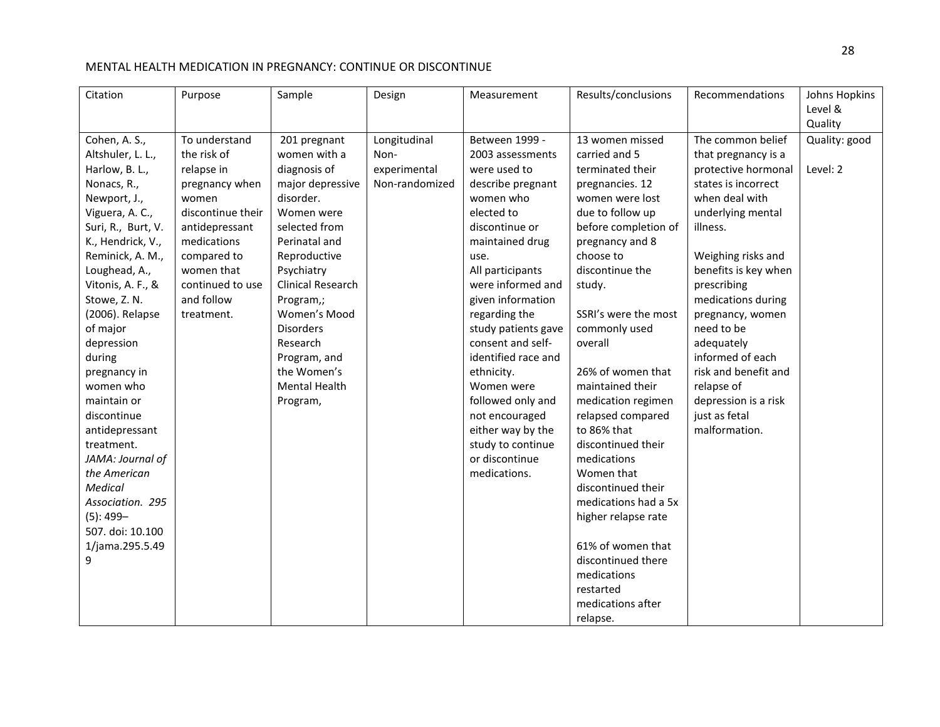| Citation           | Purpose           | Sample                   | Design         | Measurement         | Results/conclusions  | Recommendations      | Johns Hopkins |
|--------------------|-------------------|--------------------------|----------------|---------------------|----------------------|----------------------|---------------|
|                    |                   |                          |                |                     |                      |                      | Level &       |
|                    |                   |                          |                |                     |                      |                      | Quality       |
| Cohen, A. S.,      | To understand     | 201 pregnant             | Longitudinal   | Between 1999 -      | 13 women missed      | The common belief    | Quality: good |
| Altshuler, L. L.,  | the risk of       | women with a             | Non-           | 2003 assessments    | carried and 5        | that pregnancy is a  |               |
| Harlow, B. L.,     | relapse in        | diagnosis of             | experimental   | were used to        | terminated their     | protective hormonal  | Level: 2      |
| Nonacs, R.,        | pregnancy when    | major depressive         | Non-randomized | describe pregnant   | pregnancies. 12      | states is incorrect  |               |
| Newport, J.,       | women             | disorder.                |                | women who           | women were lost      | when deal with       |               |
| Viguera, A. C.,    | discontinue their | Women were               |                | elected to          | due to follow up     | underlying mental    |               |
| Suri, R., Burt, V. | antidepressant    | selected from            |                | discontinue or      | before completion of | illness.             |               |
| K., Hendrick, V.,  | medications       | Perinatal and            |                | maintained drug     | pregnancy and 8      |                      |               |
| Reminick, A. M.,   | compared to       | Reproductive             |                | use.                | choose to            | Weighing risks and   |               |
| Loughead, A.,      | women that        | Psychiatry               |                | All participants    | discontinue the      | benefits is key when |               |
| Vitonis, A. F., &  | continued to use  | <b>Clinical Research</b> |                | were informed and   | study.               | prescribing          |               |
| Stowe, Z. N.       | and follow        | Program,;                |                | given information   |                      | medications during   |               |
| (2006). Relapse    | treatment.        | Women's Mood             |                | regarding the       | SSRI's were the most | pregnancy, women     |               |
| of major           |                   | <b>Disorders</b>         |                | study patients gave | commonly used        | need to be           |               |
| depression         |                   | Research                 |                | consent and self-   | overall              | adequately           |               |
| during             |                   | Program, and             |                | identified race and |                      | informed of each     |               |
| pregnancy in       |                   | the Women's              |                | ethnicity.          | 26% of women that    | risk and benefit and |               |
| women who          |                   | <b>Mental Health</b>     |                | Women were          | maintained their     | relapse of           |               |
| maintain or        |                   | Program,                 |                | followed only and   | medication regimen   | depression is a risk |               |
| discontinue        |                   |                          |                | not encouraged      | relapsed compared    | just as fetal        |               |
| antidepressant     |                   |                          |                | either way by the   | to 86% that          | malformation.        |               |
| treatment.         |                   |                          |                | study to continue   | discontinued their   |                      |               |
| JAMA: Journal of   |                   |                          |                | or discontinue      | medications          |                      |               |
| the American       |                   |                          |                | medications.        | Women that           |                      |               |
| <b>Medical</b>     |                   |                          |                |                     | discontinued their   |                      |               |
| Association. 295   |                   |                          |                |                     | medications had a 5x |                      |               |
| $(5): 499-$        |                   |                          |                |                     | higher relapse rate  |                      |               |
| 507. doi: 10.100   |                   |                          |                |                     |                      |                      |               |
| 1/jama.295.5.49    |                   |                          |                |                     | 61% of women that    |                      |               |
| 9                  |                   |                          |                |                     | discontinued there   |                      |               |
|                    |                   |                          |                |                     | medications          |                      |               |
|                    |                   |                          |                |                     | restarted            |                      |               |
|                    |                   |                          |                |                     | medications after    |                      |               |
|                    |                   |                          |                |                     | relapse.             |                      |               |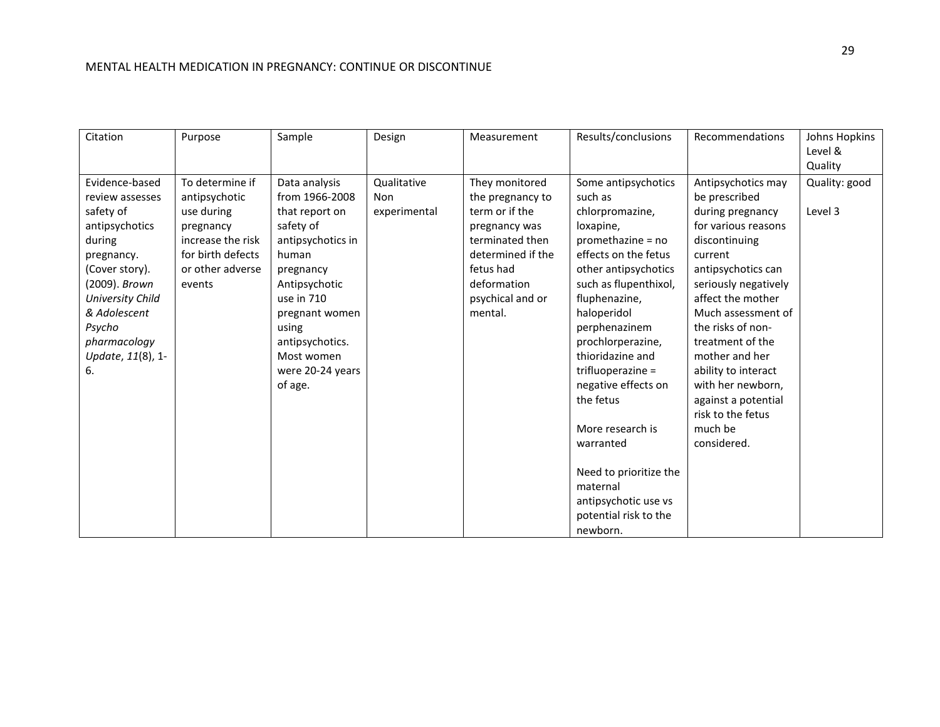| Citation                | Purpose           | Sample            | Design       | Measurement       | Results/conclusions    | Recommendations      | Johns Hopkins |
|-------------------------|-------------------|-------------------|--------------|-------------------|------------------------|----------------------|---------------|
|                         |                   |                   |              |                   |                        |                      | Level &       |
|                         |                   |                   |              |                   |                        |                      | Quality       |
| Evidence-based          | To determine if   | Data analysis     | Qualitative  | They monitored    | Some antipsychotics    | Antipsychotics may   | Quality: good |
| review assesses         | antipsychotic     | from 1966-2008    | Non          | the pregnancy to  | such as                | be prescribed        |               |
| safety of               | use during        | that report on    | experimental | term or if the    | chlorpromazine,        | during pregnancy     | Level 3       |
| antipsychotics          | pregnancy         | safety of         |              | pregnancy was     | loxapine,              | for various reasons  |               |
| during                  | increase the risk | antipsychotics in |              | terminated then   | promethazine = no      | discontinuing        |               |
| pregnancy.              | for birth defects | human             |              | determined if the | effects on the fetus   | current              |               |
| (Cover story).          | or other adverse  | pregnancy         |              | fetus had         | other antipsychotics   | antipsychotics can   |               |
| (2009). Brown           | events            | Antipsychotic     |              | deformation       | such as flupenthixol,  | seriously negatively |               |
| <b>University Child</b> |                   | use in 710        |              | psychical and or  | fluphenazine,          | affect the mother    |               |
| & Adolescent            |                   | pregnant women    |              | mental.           | haloperidol            | Much assessment of   |               |
| Psycho                  |                   | using             |              |                   | perphenazinem          | the risks of non-    |               |
| pharmacology            |                   | antipsychotics.   |              |                   | prochlorperazine,      | treatment of the     |               |
| Update, 11(8), 1-       |                   | Most women        |              |                   | thioridazine and       | mother and her       |               |
| 6.                      |                   | were 20-24 years  |              |                   | trifluoperazine =      | ability to interact  |               |
|                         |                   | of age.           |              |                   | negative effects on    | with her newborn,    |               |
|                         |                   |                   |              |                   | the fetus              | against a potential  |               |
|                         |                   |                   |              |                   |                        | risk to the fetus    |               |
|                         |                   |                   |              |                   | More research is       | much be              |               |
|                         |                   |                   |              |                   | warranted              | considered.          |               |
|                         |                   |                   |              |                   |                        |                      |               |
|                         |                   |                   |              |                   | Need to prioritize the |                      |               |
|                         |                   |                   |              |                   | maternal               |                      |               |
|                         |                   |                   |              |                   | antipsychotic use vs   |                      |               |
|                         |                   |                   |              |                   | potential risk to the  |                      |               |
|                         |                   |                   |              |                   | newborn.               |                      |               |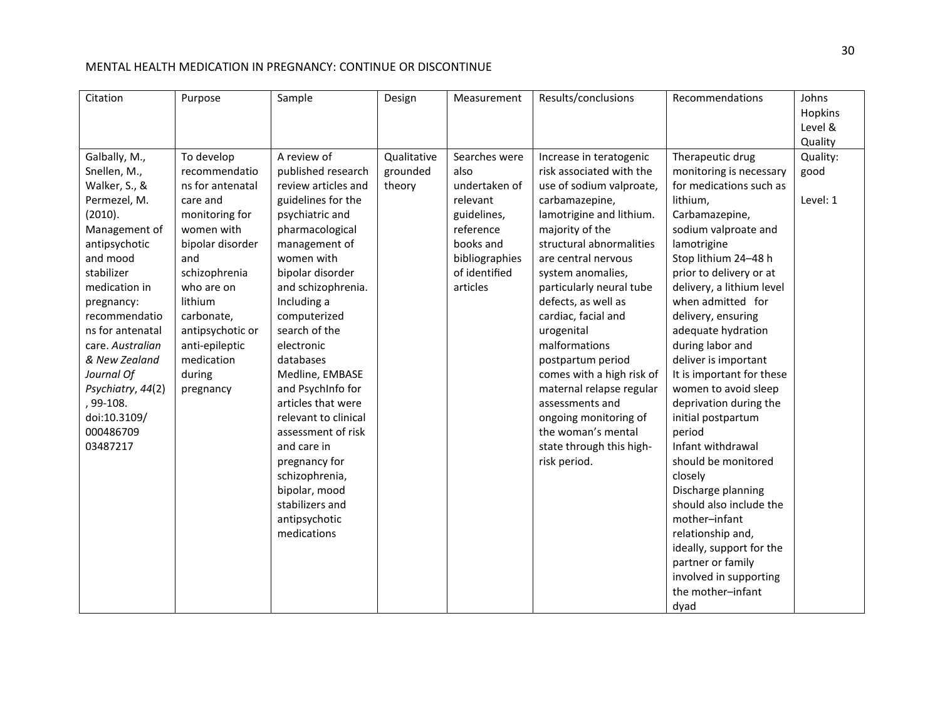| Citation                                                                                                                                                                                                                                                                                                                                | Purpose                                                                                                                                                                                                                                                   | Sample                                                                                                                                                                                                                                                                                                                                                                                                                                                                                                     | Design                            | Measurement                                                                                                                                | Results/conclusions                                                                                                                                                                                                                                                                                                                                                                                                                                                                                                           | Recommendations                                                                                                                                                                                                                                                                                                                                                                                                                                                                                                                                                                                                                                                                                               | Johns<br>Hopkins<br>Level &<br>Quality |
|-----------------------------------------------------------------------------------------------------------------------------------------------------------------------------------------------------------------------------------------------------------------------------------------------------------------------------------------|-----------------------------------------------------------------------------------------------------------------------------------------------------------------------------------------------------------------------------------------------------------|------------------------------------------------------------------------------------------------------------------------------------------------------------------------------------------------------------------------------------------------------------------------------------------------------------------------------------------------------------------------------------------------------------------------------------------------------------------------------------------------------------|-----------------------------------|--------------------------------------------------------------------------------------------------------------------------------------------|-------------------------------------------------------------------------------------------------------------------------------------------------------------------------------------------------------------------------------------------------------------------------------------------------------------------------------------------------------------------------------------------------------------------------------------------------------------------------------------------------------------------------------|---------------------------------------------------------------------------------------------------------------------------------------------------------------------------------------------------------------------------------------------------------------------------------------------------------------------------------------------------------------------------------------------------------------------------------------------------------------------------------------------------------------------------------------------------------------------------------------------------------------------------------------------------------------------------------------------------------------|----------------------------------------|
| Galbally, M.,<br>Snellen, M.,<br>Walker, S., &<br>Permezel, M.<br>(2010).<br>Management of<br>antipsychotic<br>and mood<br>stabilizer<br>medication in<br>pregnancy:<br>recommendatio<br>ns for antenatal<br>care. Australian<br>& New Zealand<br>Journal Of<br>Psychiatry, 44(2)<br>, 99-108.<br>doi:10.3109/<br>000486709<br>03487217 | To develop<br>recommendatio<br>ns for antenatal<br>care and<br>monitoring for<br>women with<br>bipolar disorder<br>and<br>schizophrenia<br>who are on<br>lithium<br>carbonate,<br>antipsychotic or<br>anti-epileptic<br>medication<br>during<br>pregnancy | A review of<br>published research<br>review articles and<br>guidelines for the<br>psychiatric and<br>pharmacological<br>management of<br>women with<br>bipolar disorder<br>and schizophrenia.<br>Including a<br>computerized<br>search of the<br>electronic<br>databases<br>Medline, EMBASE<br>and PsychInfo for<br>articles that were<br>relevant to clinical<br>assessment of risk<br>and care in<br>pregnancy for<br>schizophrenia,<br>bipolar, mood<br>stabilizers and<br>antipsychotic<br>medications | Qualitative<br>grounded<br>theory | Searches were<br>also<br>undertaken of<br>relevant<br>guidelines,<br>reference<br>books and<br>bibliographies<br>of identified<br>articles | Increase in teratogenic<br>risk associated with the<br>use of sodium valproate,<br>carbamazepine,<br>lamotrigine and lithium.<br>majority of the<br>structural abnormalities<br>are central nervous<br>system anomalies,<br>particularly neural tube<br>defects, as well as<br>cardiac, facial and<br>urogenital<br>malformations<br>postpartum period<br>comes with a high risk of<br>maternal relapse regular<br>assessments and<br>ongoing monitoring of<br>the woman's mental<br>state through this high-<br>risk period. | Therapeutic drug<br>monitoring is necessary<br>for medications such as<br>lithium,<br>Carbamazepine,<br>sodium valproate and<br>lamotrigine<br>Stop lithium 24-48 h<br>prior to delivery or at<br>delivery, a lithium level<br>when admitted for<br>delivery, ensuring<br>adequate hydration<br>during labor and<br>deliver is important<br>It is important for these<br>women to avoid sleep<br>deprivation during the<br>initial postpartum<br>period<br>Infant withdrawal<br>should be monitored<br>closely<br>Discharge planning<br>should also include the<br>mother-infant<br>relationship and,<br>ideally, support for the<br>partner or family<br>involved in supporting<br>the mother-infant<br>dyad | Quality:<br>good<br>Level: 1           |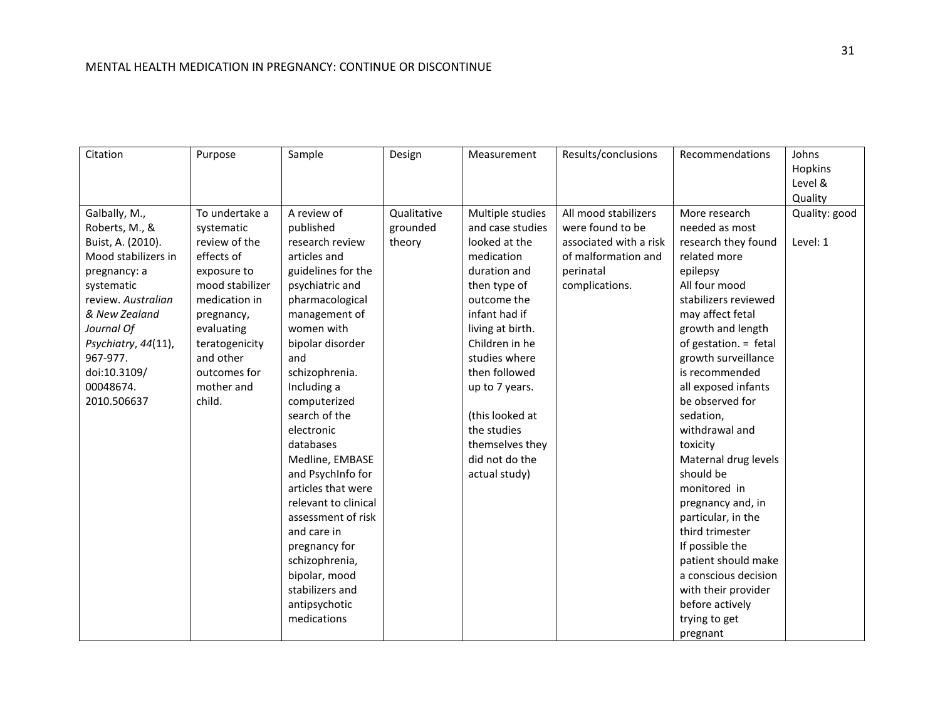| Citation            | Purpose         | Sample               | Design      | Measurement      | Results/conclusions    | Recommendations       | Johns         |
|---------------------|-----------------|----------------------|-------------|------------------|------------------------|-----------------------|---------------|
|                     |                 |                      |             |                  |                        |                       | Hopkins       |
|                     |                 |                      |             |                  |                        |                       | Level &       |
|                     |                 |                      |             |                  |                        |                       | Quality       |
| Galbally, M.,       | To undertake a  | A review of          | Qualitative | Multiple studies | All mood stabilizers   | More research         | Quality: good |
| Roberts, M., &      | systematic      | published            | grounded    | and case studies | were found to be       | needed as most        |               |
| Buist, A. (2010).   | review of the   | research review      | theory      | looked at the    | associated with a risk | research they found   | Level: 1      |
| Mood stabilizers in | effects of      | articles and         |             | medication       | of malformation and    | related more          |               |
| pregnancy: a        | exposure to     | guidelines for the   |             | duration and     | perinatal              | epilepsy              |               |
| systematic          | mood stabilizer | psychiatric and      |             | then type of     | complications.         | All four mood         |               |
| review. Australian  | medication in   | pharmacological      |             | outcome the      |                        | stabilizers reviewed  |               |
| & New Zealand       | pregnancy,      | management of        |             | infant had if    |                        | may affect fetal      |               |
| Journal Of          | evaluating      | women with           |             | living at birth. |                        | growth and length     |               |
| Psychiatry, 44(11), | teratogenicity  | bipolar disorder     |             | Children in he   |                        | of gestation. = fetal |               |
| 967-977.            | and other       | and                  |             | studies where    |                        | growth surveillance   |               |
| doi:10.3109/        | outcomes for    | schizophrenia.       |             | then followed    |                        | is recommended        |               |
| 00048674.           | mother and      | Including a          |             | up to 7 years.   |                        | all exposed infants   |               |
| 2010.506637         | child.          | computerized         |             |                  |                        | be observed for       |               |
|                     |                 | search of the        |             | (this looked at  |                        | sedation,             |               |
|                     |                 | electronic           |             | the studies      |                        | withdrawal and        |               |
|                     |                 | databases            |             | themselves they  |                        | toxicity              |               |
|                     |                 | Medline, EMBASE      |             | did not do the   |                        | Maternal drug levels  |               |
|                     |                 | and PsychInfo for    |             | actual study)    |                        | should be             |               |
|                     |                 | articles that were   |             |                  |                        | monitored in          |               |
|                     |                 | relevant to clinical |             |                  |                        | pregnancy and, in     |               |
|                     |                 | assessment of risk   |             |                  |                        | particular, in the    |               |
|                     |                 | and care in          |             |                  |                        | third trimester       |               |
|                     |                 | pregnancy for        |             |                  |                        | If possible the       |               |
|                     |                 | schizophrenia,       |             |                  |                        | patient should make   |               |
|                     |                 | bipolar, mood        |             |                  |                        | a conscious decision  |               |
|                     |                 | stabilizers and      |             |                  |                        | with their provider   |               |
|                     |                 | antipsychotic        |             |                  |                        | before actively       |               |
|                     |                 | medications          |             |                  |                        | trying to get         |               |
|                     |                 |                      |             |                  |                        | pregnant              |               |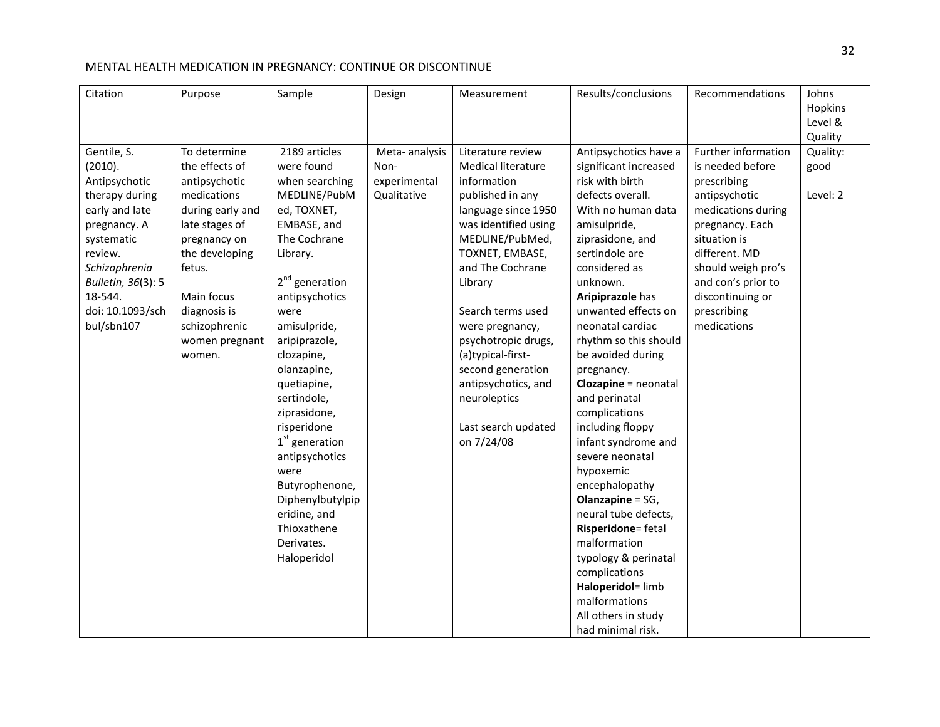| Citation<br>Purpose                                                                                                                                                                                                                                                                                                                                                                                                                     | Sample                                                                                                                                                                                                                                                                                                                                                                                                                                                     | Design                                               | Measurement                                                                                                                                                                                                                                                                                                                                                                                | Results/conclusions                                                                                                                                                                                                                                                                                                                                                                                                                                                                                                                                                                                                                                                                                         | Recommendations                                                                                                                                                                                                                                 | Johns<br>Hopkins<br>Level &<br>Quality |
|-----------------------------------------------------------------------------------------------------------------------------------------------------------------------------------------------------------------------------------------------------------------------------------------------------------------------------------------------------------------------------------------------------------------------------------------|------------------------------------------------------------------------------------------------------------------------------------------------------------------------------------------------------------------------------------------------------------------------------------------------------------------------------------------------------------------------------------------------------------------------------------------------------------|------------------------------------------------------|--------------------------------------------------------------------------------------------------------------------------------------------------------------------------------------------------------------------------------------------------------------------------------------------------------------------------------------------------------------------------------------------|-------------------------------------------------------------------------------------------------------------------------------------------------------------------------------------------------------------------------------------------------------------------------------------------------------------------------------------------------------------------------------------------------------------------------------------------------------------------------------------------------------------------------------------------------------------------------------------------------------------------------------------------------------------------------------------------------------------|-------------------------------------------------------------------------------------------------------------------------------------------------------------------------------------------------------------------------------------------------|----------------------------------------|
| To determine<br>Gentile, S.<br>(2010).<br>the effects of<br>Antipsychotic<br>antipsychotic<br>therapy during<br>medications<br>early and late<br>during early and<br>late stages of<br>pregnancy. A<br>systematic<br>pregnancy on<br>review.<br>the developing<br>Schizophrenia<br>fetus.<br>Bulletin, 36(3): 5<br>18-544.<br>Main focus<br>doi: 10.1093/sch<br>diagnosis is<br>bul/sbn107<br>schizophrenic<br>women pregnant<br>women. | 2189 articles<br>were found<br>when searching<br>MEDLINE/PubM<br>ed, TOXNET,<br>EMBASE, and<br>The Cochrane<br>Library.<br>2 <sup>nd</sup> generation<br>antipsychotics<br>were<br>amisulpride,<br>aripiprazole,<br>clozapine,<br>olanzapine,<br>quetiapine,<br>sertindole,<br>ziprasidone,<br>risperidone<br>$1st$ generation<br>antipsychotics<br>were<br>Butyrophenone,<br>Diphenylbutylpip<br>eridine, and<br>Thioxathene<br>Derivates.<br>Haloperidol | Meta-analysis<br>Non-<br>experimental<br>Qualitative | Literature review<br><b>Medical literature</b><br>information<br>published in any<br>language since 1950<br>was identified using<br>MEDLINE/PubMed,<br>TOXNET, EMBASE,<br>and The Cochrane<br>Library<br>Search terms used<br>were pregnancy,<br>psychotropic drugs,<br>(a)typical-first-<br>second generation<br>antipsychotics, and<br>neuroleptics<br>Last search updated<br>on 7/24/08 | Antipsychotics have a<br>significant increased<br>risk with birth<br>defects overall.<br>With no human data<br>amisulpride,<br>ziprasidone, and<br>sertindole are<br>considered as<br>unknown.<br>Aripiprazole has<br>unwanted effects on<br>neonatal cardiac<br>rhythm so this should<br>be avoided during<br>pregnancy.<br><b>Clozapine</b> = neonatal<br>and perinatal<br>complications<br>including floppy<br>infant syndrome and<br>severe neonatal<br>hypoxemic<br>encephalopathy<br><b>Olanzapine = SG,</b><br>neural tube defects,<br>Risperidone= fetal<br>malformation<br>typology & perinatal<br>complications<br>Haloperidol= limb<br>malformations<br>All others in study<br>had minimal risk. | Further information<br>is needed before<br>prescribing<br>antipsychotic<br>medications during<br>pregnancy. Each<br>situation is<br>different. MD<br>should weigh pro's<br>and con's prior to<br>discontinuing or<br>prescribing<br>medications | Quality:<br>good<br>Level: 2           |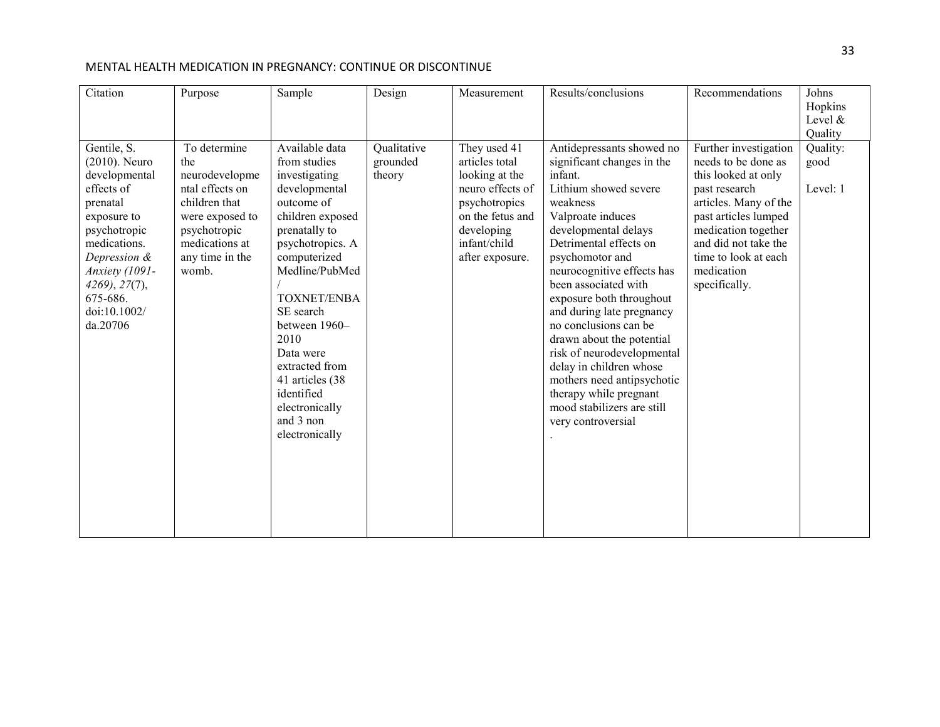| Citation                                                                                                                                                                                                            | Purpose                                                                                                                                                    | Sample                                                                                                                                                                                                                                                                                                                                                  | Design                            | Measurement                                                                                                                                                | Results/conclusions                                                                                                                                                                                                                                                                                                                                                                                                                                                                                                                         | Recommendations                                                                                                                                                                                                                             | Johns<br>Hopkins<br>Level $&$<br>Quality |
|---------------------------------------------------------------------------------------------------------------------------------------------------------------------------------------------------------------------|------------------------------------------------------------------------------------------------------------------------------------------------------------|---------------------------------------------------------------------------------------------------------------------------------------------------------------------------------------------------------------------------------------------------------------------------------------------------------------------------------------------------------|-----------------------------------|------------------------------------------------------------------------------------------------------------------------------------------------------------|---------------------------------------------------------------------------------------------------------------------------------------------------------------------------------------------------------------------------------------------------------------------------------------------------------------------------------------------------------------------------------------------------------------------------------------------------------------------------------------------------------------------------------------------|---------------------------------------------------------------------------------------------------------------------------------------------------------------------------------------------------------------------------------------------|------------------------------------------|
| Gentile, S.<br>$(2010)$ . Neuro<br>developmental<br>effects of<br>prenatal<br>exposure to<br>psychotropic<br>medications.<br>Depression &<br>Anxiety (1091-<br>4269, 27(7),<br>675-686.<br>doi:10.1002/<br>da.20706 | To determine<br>the<br>neurodevelopme<br>ntal effects on<br>children that<br>were exposed to<br>psychotropic<br>medications at<br>any time in the<br>womb. | Available data<br>from studies<br>investigating<br>developmental<br>outcome of<br>children exposed<br>prenatally to<br>psychotropics. A<br>computerized<br>Medline/PubMed<br><b>TOXNET/ENBA</b><br>SE search<br>between 1960-<br>2010<br>Data were<br>extracted from<br>41 articles (38)<br>identified<br>electronically<br>and 3 non<br>electronically | Qualitative<br>grounded<br>theory | They used 41<br>articles total<br>looking at the<br>neuro effects of<br>psychotropics<br>on the fetus and<br>developing<br>infant/child<br>after exposure. | Antidepressants showed no<br>significant changes in the<br>infant.<br>Lithium showed severe<br>weakness<br>Valproate induces<br>developmental delays<br>Detrimental effects on<br>psychomotor and<br>neurocognitive effects has<br>been associated with<br>exposure both throughout<br>and during late pregnancy<br>no conclusions can be<br>drawn about the potential<br>risk of neurodevelopmental<br>delay in children whose<br>mothers need antipsychotic<br>therapy while pregnant<br>mood stabilizers are still<br>very controversial | Further investigation<br>needs to be done as<br>this looked at only<br>past research<br>articles. Many of the<br>past articles lumped<br>medication together<br>and did not take the<br>time to look at each<br>medication<br>specifically. | Quality:<br>good<br>Level: 1             |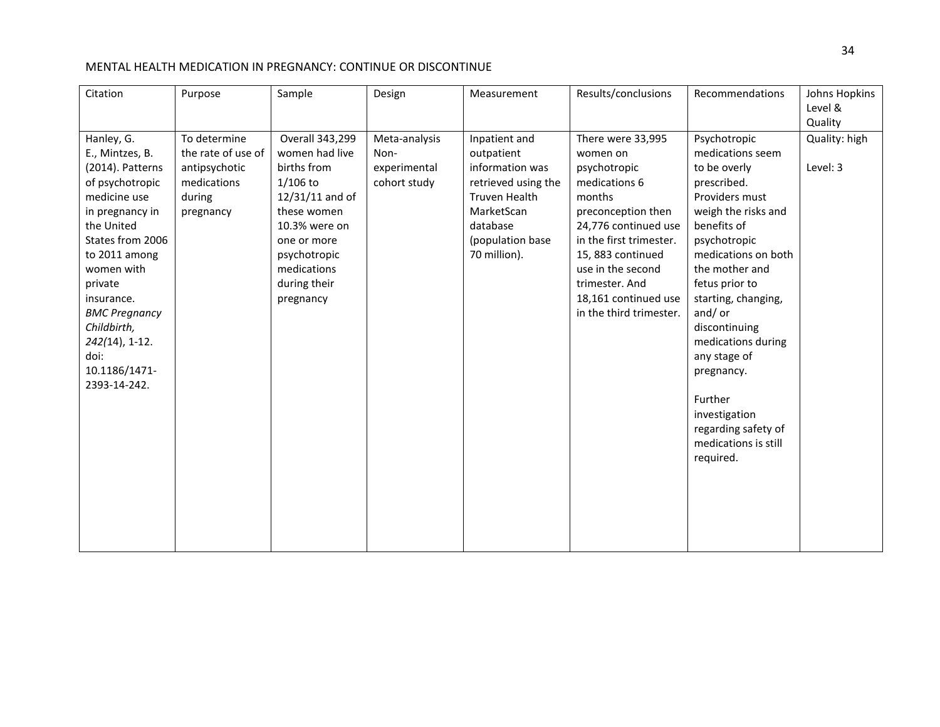| Citation                                                                                                                                                                                                                                                                                               | Purpose                                                                                   | Sample                                                                                                                                                                                       | Design                                                | Measurement                                                                                                                                                 | Results/conclusions                                                                                                                                                                                                                                              | Recommendations                                                                                                                                                                                                                                                                                                                                                                                  | Johns Hopkins<br>Level &<br>Quality |
|--------------------------------------------------------------------------------------------------------------------------------------------------------------------------------------------------------------------------------------------------------------------------------------------------------|-------------------------------------------------------------------------------------------|----------------------------------------------------------------------------------------------------------------------------------------------------------------------------------------------|-------------------------------------------------------|-------------------------------------------------------------------------------------------------------------------------------------------------------------|------------------------------------------------------------------------------------------------------------------------------------------------------------------------------------------------------------------------------------------------------------------|--------------------------------------------------------------------------------------------------------------------------------------------------------------------------------------------------------------------------------------------------------------------------------------------------------------------------------------------------------------------------------------------------|-------------------------------------|
| Hanley, G.<br>E., Mintzes, B.<br>(2014). Patterns<br>of psychotropic<br>medicine use<br>in pregnancy in<br>the United<br>States from 2006<br>to 2011 among<br>women with<br>private<br>insurance.<br><b>BMC Pregnancy</b><br>Childbirth,<br>$242(14)$ , 1-12.<br>doi:<br>10.1186/1471-<br>2393-14-242. | To determine<br>the rate of use of<br>antipsychotic<br>medications<br>during<br>pregnancy | Overall 343,299<br>women had live<br>births from<br>$1/106$ to<br>12/31/11 and of<br>these women<br>10.3% were on<br>one or more<br>psychotropic<br>medications<br>during their<br>pregnancy | Meta-analysis<br>Non-<br>experimental<br>cohort study | Inpatient and<br>outpatient<br>information was<br>retrieved using the<br><b>Truven Health</b><br>MarketScan<br>database<br>(population base<br>70 million). | There were 33,995<br>women on<br>psychotropic<br>medications 6<br>months<br>preconception then<br>24,776 continued use<br>in the first trimester.<br>15, 883 continued<br>use in the second<br>trimester. And<br>18,161 continued use<br>in the third trimester. | Psychotropic<br>medications seem<br>to be overly<br>prescribed.<br>Providers must<br>weigh the risks and<br>benefits of<br>psychotropic<br>medications on both<br>the mother and<br>fetus prior to<br>starting, changing,<br>and/or<br>discontinuing<br>medications during<br>any stage of<br>pregnancy.<br>Further<br>investigation<br>regarding safety of<br>medications is still<br>required. | Quality: high<br>Level: 3           |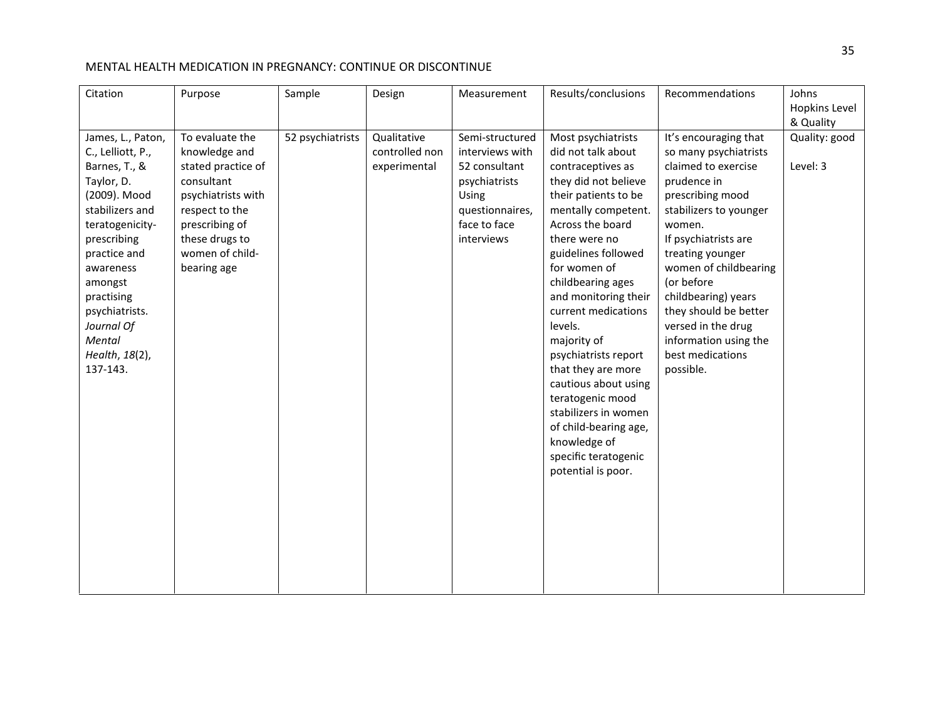| Citation                                                                                                                                                                                                                                                                 | Purpose                                                                                                                                                                            | Sample           | Design                                        | Measurement                                                                                                                    | Results/conclusions                                                                                                                                                                                                                                                                                                                                                                                                                                                                                                     | Recommendations                                                                                                                                                                                                                                                                                                                                                 | Johns<br>Hopkins Level                 |
|--------------------------------------------------------------------------------------------------------------------------------------------------------------------------------------------------------------------------------------------------------------------------|------------------------------------------------------------------------------------------------------------------------------------------------------------------------------------|------------------|-----------------------------------------------|--------------------------------------------------------------------------------------------------------------------------------|-------------------------------------------------------------------------------------------------------------------------------------------------------------------------------------------------------------------------------------------------------------------------------------------------------------------------------------------------------------------------------------------------------------------------------------------------------------------------------------------------------------------------|-----------------------------------------------------------------------------------------------------------------------------------------------------------------------------------------------------------------------------------------------------------------------------------------------------------------------------------------------------------------|----------------------------------------|
| James, L., Paton,<br>C., Lelliott, P.,<br>Barnes, T., &<br>Taylor, D.<br>(2009). Mood<br>stabilizers and<br>teratogenicity-<br>prescribing<br>practice and<br>awareness<br>amongst<br>practising<br>psychiatrists.<br>Journal Of<br>Mental<br>Health, 18(2),<br>137-143. | To evaluate the<br>knowledge and<br>stated practice of<br>consultant<br>psychiatrists with<br>respect to the<br>prescribing of<br>these drugs to<br>women of child-<br>bearing age | 52 psychiatrists | Qualitative<br>controlled non<br>experimental | Semi-structured<br>interviews with<br>52 consultant<br>psychiatrists<br>Using<br>questionnaires,<br>face to face<br>interviews | Most psychiatrists<br>did not talk about<br>contraceptives as<br>they did not believe<br>their patients to be<br>mentally competent.<br>Across the board<br>there were no<br>guidelines followed<br>for women of<br>childbearing ages<br>and monitoring their<br>current medications<br>levels.<br>majority of<br>psychiatrists report<br>that they are more<br>cautious about using<br>teratogenic mood<br>stabilizers in women<br>of child-bearing age,<br>knowledge of<br>specific teratogenic<br>potential is poor. | It's encouraging that<br>so many psychiatrists<br>claimed to exercise<br>prudence in<br>prescribing mood<br>stabilizers to younger<br>women.<br>If psychiatrists are<br>treating younger<br>women of childbearing<br>(or before<br>childbearing) years<br>they should be better<br>versed in the drug<br>information using the<br>best medications<br>possible. | & Quality<br>Quality: good<br>Level: 3 |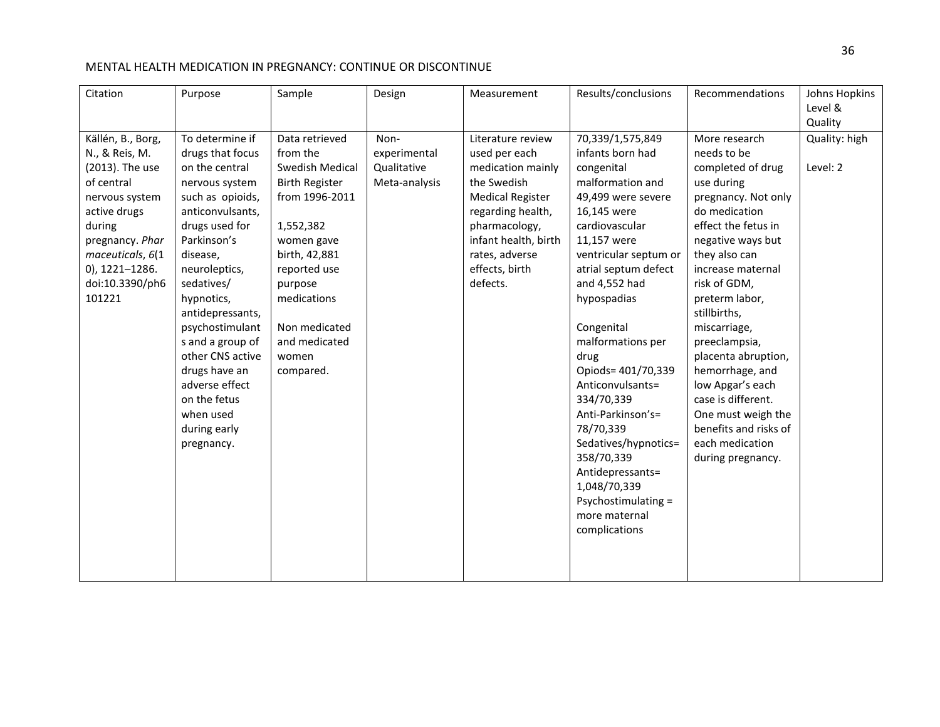| Citation                                                                                                                                                                                               | Purpose                                                                                                                                                                                                                                                                                                                                                                                | Sample                                                                                                                                                                                                                                 | Design                                               | Measurement                                                                                                                                                                                                     | Results/conclusions                                                                                                                                                                                                                                                                                                                                                                                                                                                                                   | Recommendations                                                                                                                                                                                                                                                                                                                                                                                                                                         | Johns Hopkins<br>Level &<br>Quality |
|--------------------------------------------------------------------------------------------------------------------------------------------------------------------------------------------------------|----------------------------------------------------------------------------------------------------------------------------------------------------------------------------------------------------------------------------------------------------------------------------------------------------------------------------------------------------------------------------------------|----------------------------------------------------------------------------------------------------------------------------------------------------------------------------------------------------------------------------------------|------------------------------------------------------|-----------------------------------------------------------------------------------------------------------------------------------------------------------------------------------------------------------------|-------------------------------------------------------------------------------------------------------------------------------------------------------------------------------------------------------------------------------------------------------------------------------------------------------------------------------------------------------------------------------------------------------------------------------------------------------------------------------------------------------|---------------------------------------------------------------------------------------------------------------------------------------------------------------------------------------------------------------------------------------------------------------------------------------------------------------------------------------------------------------------------------------------------------------------------------------------------------|-------------------------------------|
| Källén, B., Borg,<br>N., & Reis, M.<br>(2013). The use<br>of central<br>nervous system<br>active drugs<br>during<br>pregnancy. Phar<br>maceuticals, 6(1<br>0), 1221-1286.<br>doi:10.3390/ph6<br>101221 | To determine if<br>drugs that focus<br>on the central<br>nervous system<br>such as opioids,<br>anticonvulsants,<br>drugs used for<br>Parkinson's<br>disease,<br>neuroleptics,<br>sedatives/<br>hypnotics,<br>antidepressants,<br>psychostimulant<br>s and a group of<br>other CNS active<br>drugs have an<br>adverse effect<br>on the fetus<br>when used<br>during early<br>pregnancy. | Data retrieved<br>from the<br>Swedish Medical<br><b>Birth Register</b><br>from 1996-2011<br>1,552,382<br>women gave<br>birth, 42,881<br>reported use<br>purpose<br>medications<br>Non medicated<br>and medicated<br>women<br>compared. | Non-<br>experimental<br>Qualitative<br>Meta-analysis | Literature review<br>used per each<br>medication mainly<br>the Swedish<br><b>Medical Register</b><br>regarding health,<br>pharmacology,<br>infant health, birth<br>rates, adverse<br>effects, birth<br>defects. | 70,339/1,575,849<br>infants born had<br>congenital<br>malformation and<br>49,499 were severe<br>16,145 were<br>cardiovascular<br>11,157 were<br>ventricular septum or<br>atrial septum defect<br>and 4,552 had<br>hypospadias<br>Congenital<br>malformations per<br>drug<br>Opiods= 401/70,339<br>Anticonvulsants=<br>334/70,339<br>Anti-Parkinson's=<br>78/70,339<br>Sedatives/hypnotics=<br>358/70,339<br>Antidepressants=<br>1,048/70,339<br>Psychostimulating =<br>more maternal<br>complications | More research<br>needs to be<br>completed of drug<br>use during<br>pregnancy. Not only<br>do medication<br>effect the fetus in<br>negative ways but<br>they also can<br>increase maternal<br>risk of GDM,<br>preterm labor,<br>stillbirths,<br>miscarriage,<br>preeclampsia,<br>placenta abruption,<br>hemorrhage, and<br>low Apgar's each<br>case is different.<br>One must weigh the<br>benefits and risks of<br>each medication<br>during pregnancy. | Quality: high<br>Level: 2           |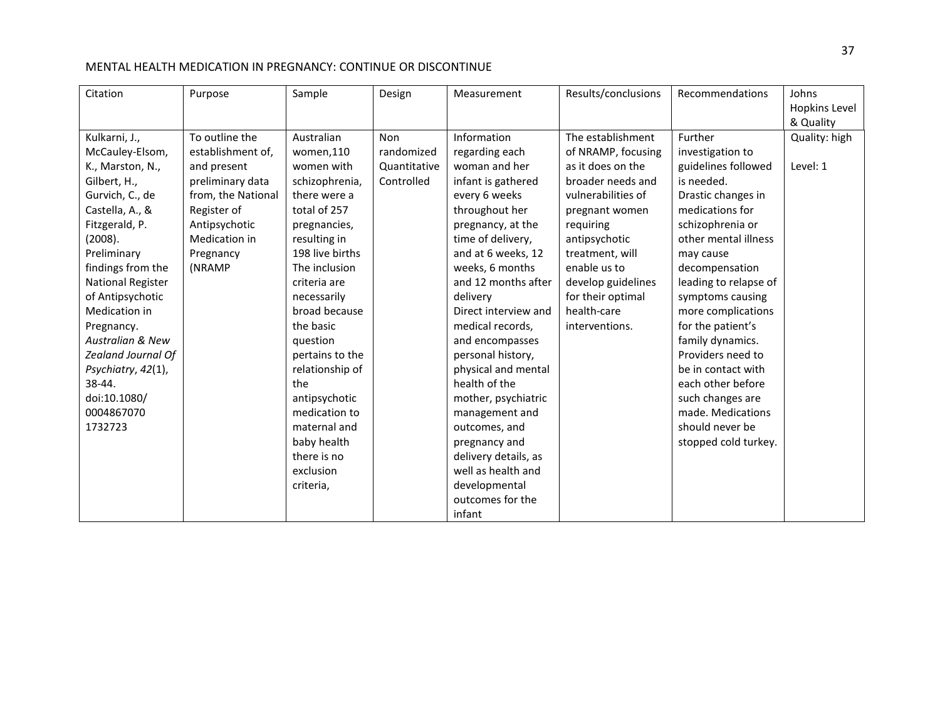| Citation                                                                                                                                                                                                                    | Purpose                                                                                                                                                              | Sample                                                                                                                                                                                        | Design                                                 | Measurement                                                                                                                                                                                                                                                                                      | Results/conclusions                                                                                                                                                                                                                   | Recommendations                                                                                                                                                                                                                   | Johns<br>Hopkins Level                 |
|-----------------------------------------------------------------------------------------------------------------------------------------------------------------------------------------------------------------------------|----------------------------------------------------------------------------------------------------------------------------------------------------------------------|-----------------------------------------------------------------------------------------------------------------------------------------------------------------------------------------------|--------------------------------------------------------|--------------------------------------------------------------------------------------------------------------------------------------------------------------------------------------------------------------------------------------------------------------------------------------------------|---------------------------------------------------------------------------------------------------------------------------------------------------------------------------------------------------------------------------------------|-----------------------------------------------------------------------------------------------------------------------------------------------------------------------------------------------------------------------------------|----------------------------------------|
| Kulkarni, J.,<br>McCauley-Elsom,<br>K., Marston, N.,<br>Gilbert, H.,<br>Gurvich, C., de<br>Castella, A., &<br>Fitzgerald, P.<br>(2008).<br>Preliminary<br>findings from the<br><b>National Register</b><br>of Antipsychotic | To outline the<br>establishment of,<br>and present<br>preliminary data<br>from, the National<br>Register of<br>Antipsychotic<br>Medication in<br>Pregnancy<br>(NRAMP | Australian<br>women,110<br>women with<br>schizophrenia,<br>there were a<br>total of 257<br>pregnancies,<br>resulting in<br>198 live births<br>The inclusion<br>criteria are<br>necessarily    | <b>Non</b><br>randomized<br>Quantitative<br>Controlled | Information<br>regarding each<br>woman and her<br>infant is gathered<br>every 6 weeks<br>throughout her<br>pregnancy, at the<br>time of delivery,<br>and at 6 weeks, 12<br>weeks, 6 months<br>and 12 months after<br>delivery                                                                    | The establishment<br>of NRAMP, focusing<br>as it does on the<br>broader needs and<br>vulnerabilities of<br>pregnant women<br>requiring<br>antipsychotic<br>treatment, will<br>enable us to<br>develop guidelines<br>for their optimal | Further<br>investigation to<br>guidelines followed<br>is needed.<br>Drastic changes in<br>medications for<br>schizophrenia or<br>other mental illness<br>may cause<br>decompensation<br>leading to relapse of<br>symptoms causing | & Quality<br>Quality: high<br>Level: 1 |
| Medication in<br>Pregnancy.<br><b>Australian &amp; New</b><br>Zealand Journal Of<br>Psychiatry, 42(1),<br>38-44.<br>doi:10.1080/<br>0004867070<br>1732723                                                                   |                                                                                                                                                                      | broad because<br>the basic<br>question<br>pertains to the<br>relationship of<br>the<br>antipsychotic<br>medication to<br>maternal and<br>baby health<br>there is no<br>exclusion<br>criteria, |                                                        | Direct interview and<br>medical records,<br>and encompasses<br>personal history,<br>physical and mental<br>health of the<br>mother, psychiatric<br>management and<br>outcomes, and<br>pregnancy and<br>delivery details, as<br>well as health and<br>developmental<br>outcomes for the<br>infant | health-care<br>interventions.                                                                                                                                                                                                         | more complications<br>for the patient's<br>family dynamics.<br>Providers need to<br>be in contact with<br>each other before<br>such changes are<br>made. Medications<br>should never be<br>stopped cold turkey.                   |                                        |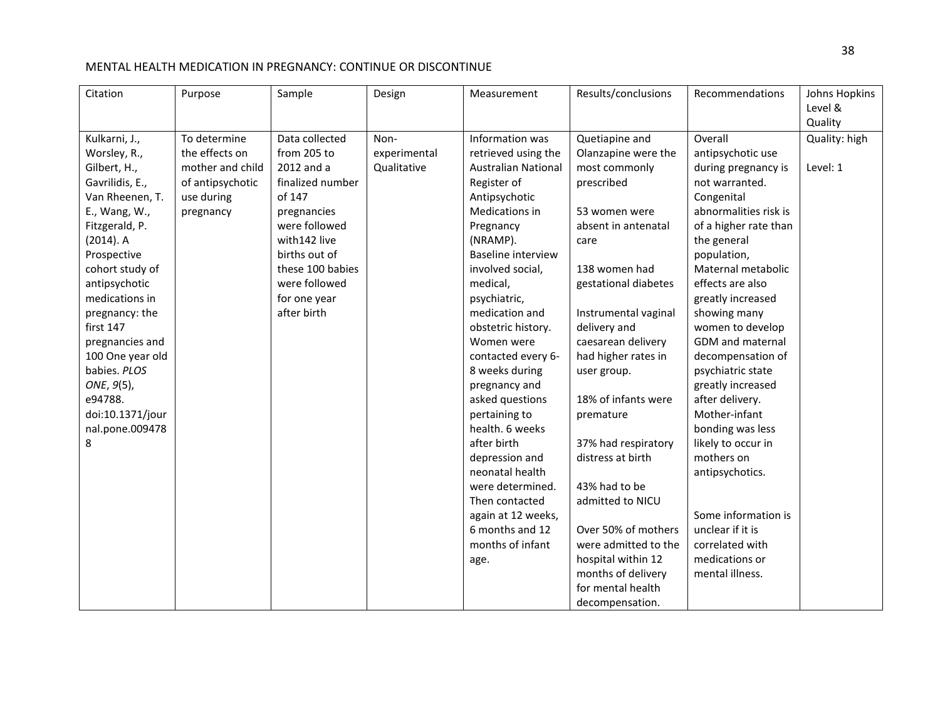| Citation         | Purpose          | Sample           | Design       | Measurement                | Results/conclusions  | Recommendations       | Johns Hopkins |
|------------------|------------------|------------------|--------------|----------------------------|----------------------|-----------------------|---------------|
|                  |                  |                  |              |                            |                      |                       | Level &       |
|                  |                  |                  |              |                            |                      |                       | Quality       |
| Kulkarni, J.,    | To determine     | Data collected   | Non-         | Information was            | Quetiapine and       | Overall               | Quality: high |
| Worsley, R.,     | the effects on   | from 205 to      | experimental | retrieved using the        | Olanzapine were the  | antipsychotic use     |               |
| Gilbert, H.,     | mother and child | 2012 and a       | Qualitative  | <b>Australian National</b> | most commonly        | during pregnancy is   | Level: 1      |
| Gavrilidis, E.,  | of antipsychotic | finalized number |              | Register of                | prescribed           | not warranted.        |               |
| Van Rheenen, T.  | use during       | of 147           |              | Antipsychotic              |                      | Congenital            |               |
| E., Wang, W.,    | pregnancy        | pregnancies      |              | Medications in             | 53 women were        | abnormalities risk is |               |
| Fitzgerald, P.   |                  | were followed    |              | Pregnancy                  | absent in antenatal  | of a higher rate than |               |
| $(2014)$ . A     |                  | with142 live     |              | (NRAMP).                   | care                 | the general           |               |
| Prospective      |                  | births out of    |              | <b>Baseline interview</b>  |                      | population,           |               |
| cohort study of  |                  | these 100 babies |              | involved social,           | 138 women had        | Maternal metabolic    |               |
| antipsychotic    |                  | were followed    |              | medical,                   | gestational diabetes | effects are also      |               |
| medications in   |                  | for one year     |              | psychiatric,               |                      | greatly increased     |               |
| pregnancy: the   |                  | after birth      |              | medication and             | Instrumental vaginal | showing many          |               |
| first 147        |                  |                  |              | obstetric history.         | delivery and         | women to develop      |               |
| pregnancies and  |                  |                  |              | Women were                 | caesarean delivery   | GDM and maternal      |               |
| 100 One year old |                  |                  |              | contacted every 6-         | had higher rates in  | decompensation of     |               |
| babies. PLOS     |                  |                  |              | 8 weeks during             | user group.          | psychiatric state     |               |
| ONE, 9(5),       |                  |                  |              | pregnancy and              |                      | greatly increased     |               |
| e94788.          |                  |                  |              | asked questions            | 18% of infants were  | after delivery.       |               |
| doi:10.1371/jour |                  |                  |              | pertaining to              | premature            | Mother-infant         |               |
| nal.pone.009478  |                  |                  |              | health. 6 weeks            |                      | bonding was less      |               |
| 8                |                  |                  |              | after birth                | 37% had respiratory  | likely to occur in    |               |
|                  |                  |                  |              | depression and             | distress at birth    | mothers on            |               |
|                  |                  |                  |              | neonatal health            |                      | antipsychotics.       |               |
|                  |                  |                  |              | were determined.           | 43% had to be        |                       |               |
|                  |                  |                  |              | Then contacted             | admitted to NICU     |                       |               |
|                  |                  |                  |              | again at 12 weeks,         |                      | Some information is   |               |
|                  |                  |                  |              | 6 months and 12            | Over 50% of mothers  | unclear if it is      |               |
|                  |                  |                  |              | months of infant           | were admitted to the | correlated with       |               |
|                  |                  |                  |              | age.                       | hospital within 12   | medications or        |               |
|                  |                  |                  |              |                            | months of delivery   | mental illness.       |               |
|                  |                  |                  |              |                            | for mental health    |                       |               |
|                  |                  |                  |              |                            | decompensation.      |                       |               |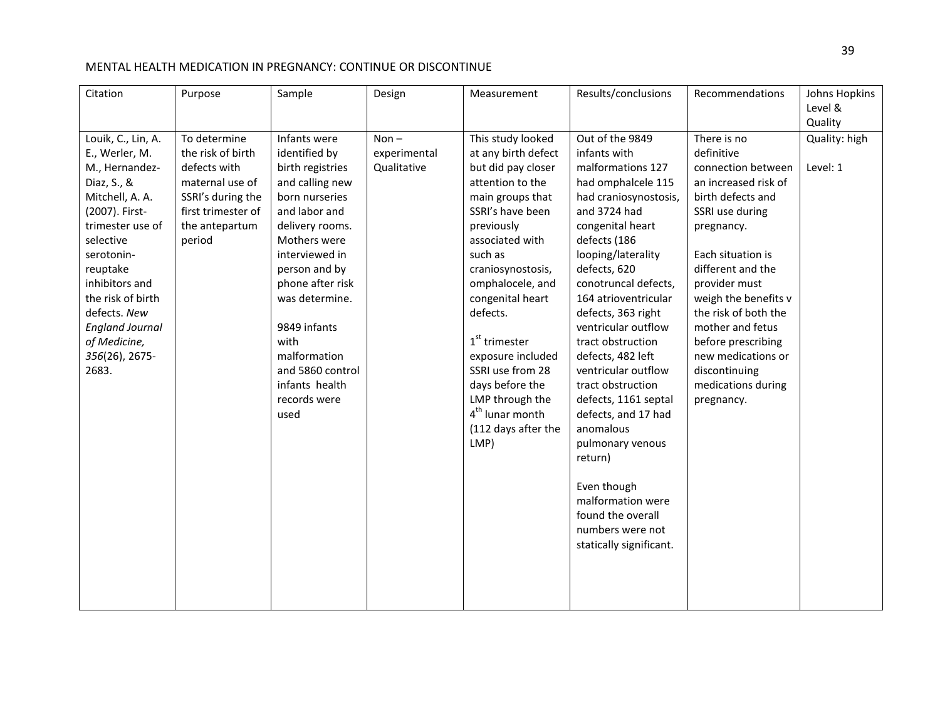| Citation                | Purpose            | Sample                                                                     | Design       | Measurement                                                                                                                               | Results/conclusions                                                                                                                                                                                                                                              | Recommendations                                                         | Johns Hopkins |
|-------------------------|--------------------|----------------------------------------------------------------------------|--------------|-------------------------------------------------------------------------------------------------------------------------------------------|------------------------------------------------------------------------------------------------------------------------------------------------------------------------------------------------------------------------------------------------------------------|-------------------------------------------------------------------------|---------------|
|                         |                    |                                                                            |              |                                                                                                                                           |                                                                                                                                                                                                                                                                  |                                                                         | Level &       |
|                         |                    |                                                                            |              |                                                                                                                                           |                                                                                                                                                                                                                                                                  |                                                                         | Quality       |
| Louik, C., Lin, A.      | To determine       | Infants were                                                               | $Non-$       | This study looked                                                                                                                         | Out of the 9849                                                                                                                                                                                                                                                  | There is no                                                             | Quality: high |
| E., Werler, M.          | the risk of birth  | identified by                                                              | experimental | at any birth defect                                                                                                                       | infants with                                                                                                                                                                                                                                                     | definitive                                                              |               |
| M., Hernandez-          | defects with       | birth registries                                                           | Qualitative  | but did pay closer                                                                                                                        | malformations 127                                                                                                                                                                                                                                                | connection between                                                      | Level: 1      |
| Diaz, S., &             | maternal use of    | and calling new                                                            |              | attention to the                                                                                                                          | had omphalcele 115                                                                                                                                                                                                                                               | an increased risk of                                                    |               |
| Mitchell, A. A.         | SSRI's during the  | born nurseries                                                             |              | main groups that                                                                                                                          | had craniosynostosis,                                                                                                                                                                                                                                            | birth defects and                                                       |               |
| (2007). First-          | first trimester of | and labor and                                                              |              | SSRI's have been                                                                                                                          | and 3724 had                                                                                                                                                                                                                                                     | SSRI use during                                                         |               |
| trimester use of        | the antepartum     | delivery rooms.                                                            |              | previously                                                                                                                                | congenital heart                                                                                                                                                                                                                                                 | pregnancy.                                                              |               |
| selective               | period             | Mothers were                                                               |              | associated with                                                                                                                           | defects (186                                                                                                                                                                                                                                                     |                                                                         |               |
| serotonin-              |                    | interviewed in                                                             |              | such as                                                                                                                                   | looping/laterality                                                                                                                                                                                                                                               | Each situation is                                                       |               |
| reuptake                |                    | person and by                                                              |              | craniosynostosis,                                                                                                                         | defects, 620                                                                                                                                                                                                                                                     | different and the                                                       |               |
| inhibitors and          |                    | phone after risk                                                           |              | omphalocele, and                                                                                                                          | conotruncal defects,                                                                                                                                                                                                                                             | provider must                                                           |               |
| the risk of birth       |                    | was determine.                                                             |              | congenital heart                                                                                                                          | 164 atrioventricular                                                                                                                                                                                                                                             | weigh the benefits v                                                    |               |
| defects. New            |                    |                                                                            |              | defects.                                                                                                                                  | defects, 363 right                                                                                                                                                                                                                                               | the risk of both the                                                    |               |
| <b>England Journal</b>  |                    | 9849 infants                                                               |              |                                                                                                                                           | ventricular outflow                                                                                                                                                                                                                                              | mother and fetus                                                        |               |
| of Medicine,            |                    | with                                                                       |              | $1st$ trimester                                                                                                                           | tract obstruction                                                                                                                                                                                                                                                | before prescribing                                                      |               |
|                         |                    |                                                                            |              |                                                                                                                                           |                                                                                                                                                                                                                                                                  |                                                                         |               |
|                         |                    |                                                                            |              |                                                                                                                                           |                                                                                                                                                                                                                                                                  |                                                                         |               |
|                         |                    |                                                                            |              |                                                                                                                                           |                                                                                                                                                                                                                                                                  |                                                                         |               |
|                         |                    |                                                                            |              |                                                                                                                                           |                                                                                                                                                                                                                                                                  |                                                                         |               |
|                         |                    |                                                                            |              |                                                                                                                                           |                                                                                                                                                                                                                                                                  |                                                                         |               |
|                         |                    |                                                                            |              |                                                                                                                                           |                                                                                                                                                                                                                                                                  |                                                                         |               |
|                         |                    |                                                                            |              |                                                                                                                                           |                                                                                                                                                                                                                                                                  |                                                                         |               |
|                         |                    |                                                                            |              |                                                                                                                                           |                                                                                                                                                                                                                                                                  |                                                                         |               |
|                         |                    |                                                                            |              |                                                                                                                                           |                                                                                                                                                                                                                                                                  |                                                                         |               |
|                         |                    |                                                                            |              |                                                                                                                                           |                                                                                                                                                                                                                                                                  |                                                                         |               |
|                         |                    |                                                                            |              |                                                                                                                                           |                                                                                                                                                                                                                                                                  |                                                                         |               |
|                         |                    |                                                                            |              |                                                                                                                                           |                                                                                                                                                                                                                                                                  |                                                                         |               |
|                         |                    |                                                                            |              |                                                                                                                                           |                                                                                                                                                                                                                                                                  |                                                                         |               |
|                         |                    |                                                                            |              |                                                                                                                                           |                                                                                                                                                                                                                                                                  |                                                                         |               |
|                         |                    |                                                                            |              |                                                                                                                                           |                                                                                                                                                                                                                                                                  |                                                                         |               |
|                         |                    |                                                                            |              |                                                                                                                                           |                                                                                                                                                                                                                                                                  |                                                                         |               |
|                         |                    |                                                                            |              |                                                                                                                                           |                                                                                                                                                                                                                                                                  |                                                                         |               |
| 356(26), 2675-<br>2683. |                    | malformation<br>and 5860 control<br>infants health<br>records were<br>used |              | exposure included<br>SSRI use from 28<br>days before the<br>LMP through the<br>4 <sup>th</sup> lunar month<br>(112 days after the<br>LMP) | defects, 482 left<br>ventricular outflow<br>tract obstruction<br>defects, 1161 septal<br>defects, and 17 had<br>anomalous<br>pulmonary venous<br>return)<br>Even though<br>malformation were<br>found the overall<br>numbers were not<br>statically significant. | new medications or<br>discontinuing<br>medications during<br>pregnancy. |               |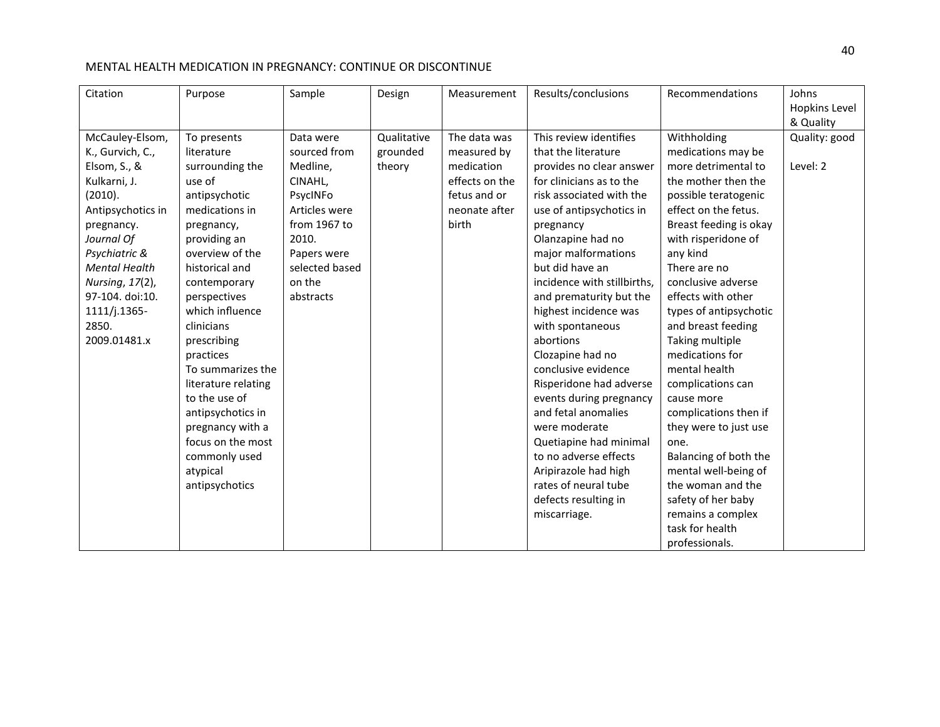| Citation                                                                                                                                                                                                                                                | Purpose                                                                                                                                                                                                                                                                                                                                                                                                           | Sample                                                                                                                                                         | Design                            | Measurement                                                                                           | Results/conclusions                                                                                                                                                                                                                                                                                                                                                                                                                                                                                                                                                               | Recommendations                                                                                                                                                                                                                                                                                                                                                                                                                                                                                               | Johns<br>Hopkins Level                 |
|---------------------------------------------------------------------------------------------------------------------------------------------------------------------------------------------------------------------------------------------------------|-------------------------------------------------------------------------------------------------------------------------------------------------------------------------------------------------------------------------------------------------------------------------------------------------------------------------------------------------------------------------------------------------------------------|----------------------------------------------------------------------------------------------------------------------------------------------------------------|-----------------------------------|-------------------------------------------------------------------------------------------------------|-----------------------------------------------------------------------------------------------------------------------------------------------------------------------------------------------------------------------------------------------------------------------------------------------------------------------------------------------------------------------------------------------------------------------------------------------------------------------------------------------------------------------------------------------------------------------------------|---------------------------------------------------------------------------------------------------------------------------------------------------------------------------------------------------------------------------------------------------------------------------------------------------------------------------------------------------------------------------------------------------------------------------------------------------------------------------------------------------------------|----------------------------------------|
| McCauley-Elsom,<br>K., Gurvich, C.,<br>Elsom, S., &<br>Kulkarni, J.<br>(2010).<br>Antipsychotics in<br>pregnancy.<br>Journal Of<br>Psychiatric &<br><b>Mental Health</b><br>Nursing, 17(2),<br>97-104. doi:10.<br>1111/j.1365-<br>2850.<br>2009.01481.x | To presents<br>literature<br>surrounding the<br>use of<br>antipsychotic<br>medications in<br>pregnancy,<br>providing an<br>overview of the<br>historical and<br>contemporary<br>perspectives<br>which influence<br>clinicians<br>prescribing<br>practices<br>To summarizes the<br>literature relating<br>to the use of<br>antipsychotics in<br>pregnancy with a<br>focus on the most<br>commonly used<br>atypical | Data were<br>sourced from<br>Medline,<br>CINAHL,<br>PsycINFo<br>Articles were<br>from 1967 to<br>2010.<br>Papers were<br>selected based<br>on the<br>abstracts | Qualitative<br>grounded<br>theory | The data was<br>measured by<br>medication<br>effects on the<br>fetus and or<br>neonate after<br>birth | This review identifies<br>that the literature<br>provides no clear answer<br>for clinicians as to the<br>risk associated with the<br>use of antipsychotics in<br>pregnancy<br>Olanzapine had no<br>major malformations<br>but did have an<br>incidence with stillbirths,<br>and prematurity but the<br>highest incidence was<br>with spontaneous<br>abortions<br>Clozapine had no<br>conclusive evidence<br>Risperidone had adverse<br>events during pregnancy<br>and fetal anomalies<br>were moderate<br>Quetiapine had minimal<br>to no adverse effects<br>Aripirazole had high | Withholding<br>medications may be<br>more detrimental to<br>the mother then the<br>possible teratogenic<br>effect on the fetus.<br>Breast feeding is okay<br>with risperidone of<br>any kind<br>There are no<br>conclusive adverse<br>effects with other<br>types of antipsychotic<br>and breast feeding<br>Taking multiple<br>medications for<br>mental health<br>complications can<br>cause more<br>complications then if<br>they were to just use<br>one.<br>Balancing of both the<br>mental well-being of | & Quality<br>Quality: good<br>Level: 2 |
|                                                                                                                                                                                                                                                         | antipsychotics                                                                                                                                                                                                                                                                                                                                                                                                    |                                                                                                                                                                |                                   |                                                                                                       | rates of neural tube<br>defects resulting in<br>miscarriage.                                                                                                                                                                                                                                                                                                                                                                                                                                                                                                                      | the woman and the<br>safety of her baby<br>remains a complex<br>task for health<br>professionals.                                                                                                                                                                                                                                                                                                                                                                                                             |                                        |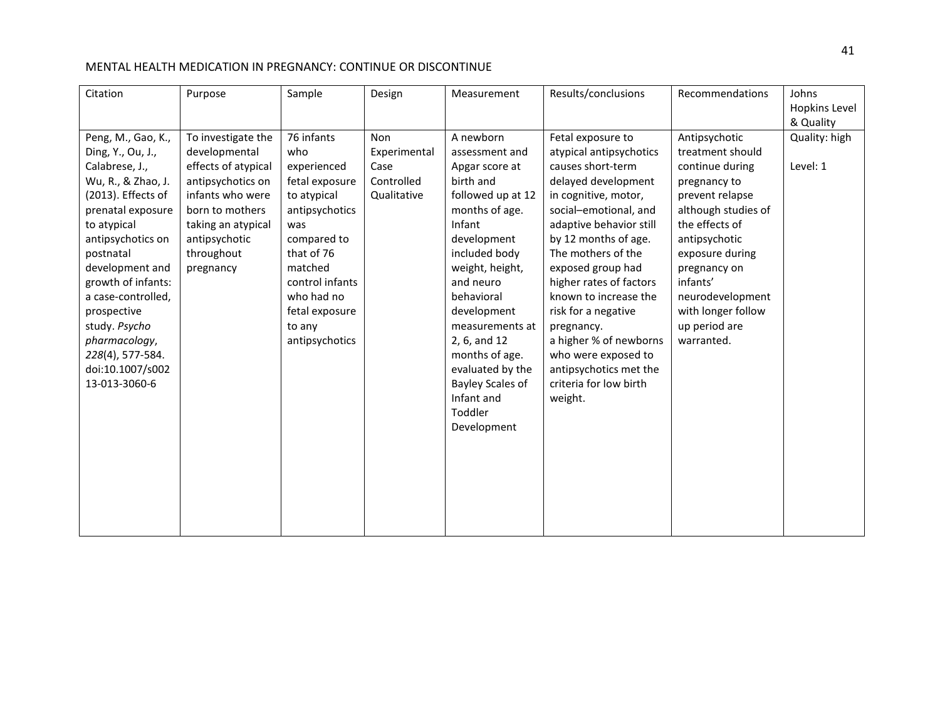| Citation                                                                                                                                                                                                                                                                                                                                             | Purpose                                                                                                                                                                                  | Sample                                                                                                                                                                                                            | Design                                                          | Measurement                                                                                                                                                                                                                                                                                                                                          | Results/conclusions                                                                                                                                                                                                                                                                                                                                                                                                                              | Recommendations                                                                                                                                                                                                                                                           | Johns<br>Hopkins Level<br>& Quality |
|------------------------------------------------------------------------------------------------------------------------------------------------------------------------------------------------------------------------------------------------------------------------------------------------------------------------------------------------------|------------------------------------------------------------------------------------------------------------------------------------------------------------------------------------------|-------------------------------------------------------------------------------------------------------------------------------------------------------------------------------------------------------------------|-----------------------------------------------------------------|------------------------------------------------------------------------------------------------------------------------------------------------------------------------------------------------------------------------------------------------------------------------------------------------------------------------------------------------------|--------------------------------------------------------------------------------------------------------------------------------------------------------------------------------------------------------------------------------------------------------------------------------------------------------------------------------------------------------------------------------------------------------------------------------------------------|---------------------------------------------------------------------------------------------------------------------------------------------------------------------------------------------------------------------------------------------------------------------------|-------------------------------------|
| Peng, M., Gao, K.,<br>Ding, Y., Ou, J.,<br>Calabrese, J.,<br>Wu, R., & Zhao, J.<br>(2013). Effects of<br>prenatal exposure<br>to atypical<br>antipsychotics on<br>postnatal<br>development and<br>growth of infants:<br>a case-controlled,<br>prospective<br>study. Psycho<br>pharmacology,<br>228(4), 577-584.<br>doi:10.1007/s002<br>13-013-3060-6 | To investigate the<br>developmental<br>effects of atypical<br>antipsychotics on<br>infants who were<br>born to mothers<br>taking an atypical<br>antipsychotic<br>throughout<br>pregnancy | 76 infants<br>who<br>experienced<br>fetal exposure<br>to atypical<br>antipsychotics<br>was<br>compared to<br>that of 76<br>matched<br>control infants<br>who had no<br>fetal exposure<br>to any<br>antipsychotics | <b>Non</b><br>Experimental<br>Case<br>Controlled<br>Qualitative | A newborn<br>assessment and<br>Apgar score at<br>birth and<br>followed up at 12<br>months of age.<br>Infant<br>development<br>included body<br>weight, height,<br>and neuro<br>behavioral<br>development<br>measurements at<br>2, 6, and 12<br>months of age.<br>evaluated by the<br><b>Bayley Scales of</b><br>Infant and<br>Toddler<br>Development | Fetal exposure to<br>atypical antipsychotics<br>causes short-term<br>delayed development<br>in cognitive, motor,<br>social-emotional, and<br>adaptive behavior still<br>by 12 months of age.<br>The mothers of the<br>exposed group had<br>higher rates of factors<br>known to increase the<br>risk for a negative<br>pregnancy.<br>a higher % of newborns<br>who were exposed to<br>antipsychotics met the<br>criteria for low birth<br>weight. | Antipsychotic<br>treatment should<br>continue during<br>pregnancy to<br>prevent relapse<br>although studies of<br>the effects of<br>antipsychotic<br>exposure during<br>pregnancy on<br>infants'<br>neurodevelopment<br>with longer follow<br>up period are<br>warranted. | Quality: high<br>Level: 1           |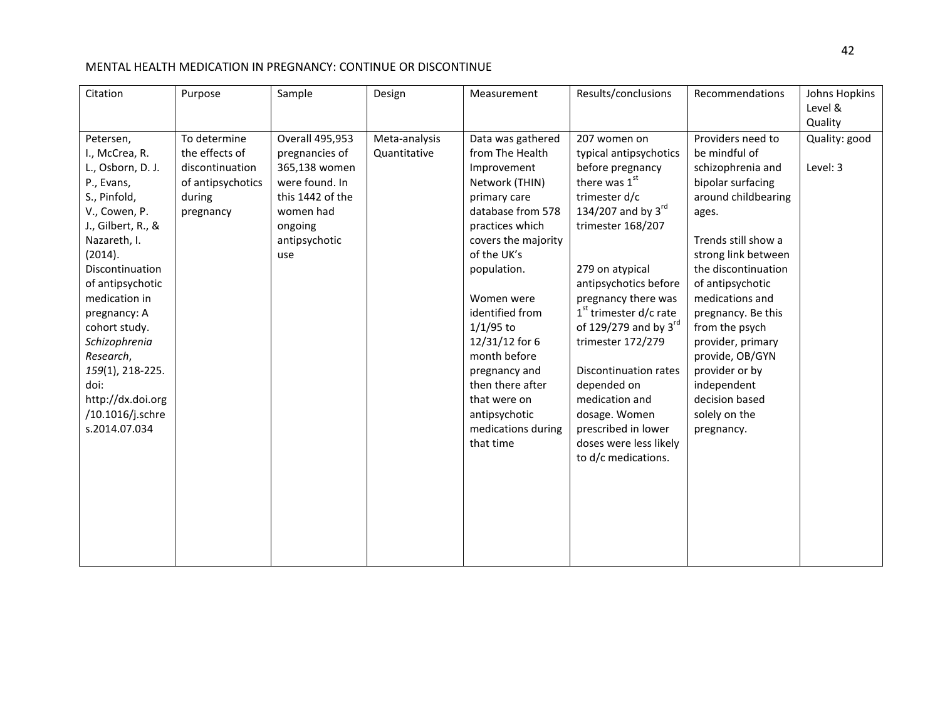| Citation                                                                                                                                                                                                                                                                                                                                                      | Purpose                                                                                       | Sample                                                                                                                                          | Design                        | Measurement                                                                                                                                                                                                                                                                                                                                                                   | Results/conclusions                                                                                                                                                                                                                                                                                                                                                                                                                                             | Recommendations                                                                                                                                                                                                                                                                                                                                                                            | Johns Hopkins<br>Level &<br>Quality |
|---------------------------------------------------------------------------------------------------------------------------------------------------------------------------------------------------------------------------------------------------------------------------------------------------------------------------------------------------------------|-----------------------------------------------------------------------------------------------|-------------------------------------------------------------------------------------------------------------------------------------------------|-------------------------------|-------------------------------------------------------------------------------------------------------------------------------------------------------------------------------------------------------------------------------------------------------------------------------------------------------------------------------------------------------------------------------|-----------------------------------------------------------------------------------------------------------------------------------------------------------------------------------------------------------------------------------------------------------------------------------------------------------------------------------------------------------------------------------------------------------------------------------------------------------------|--------------------------------------------------------------------------------------------------------------------------------------------------------------------------------------------------------------------------------------------------------------------------------------------------------------------------------------------------------------------------------------------|-------------------------------------|
| Petersen,<br>I., McCrea, R.<br>L., Osborn, D. J.<br>P., Evans,<br>S., Pinfold,<br>V., Cowen, P.<br>J., Gilbert, R., &<br>Nazareth, I.<br>(2014).<br>Discontinuation<br>of antipsychotic<br>medication in<br>pregnancy: A<br>cohort study.<br>Schizophrenia<br>Research,<br>159(1), 218-225.<br>doi:<br>http://dx.doi.org<br>/10.1016/j.schre<br>s.2014.07.034 | To determine<br>the effects of<br>discontinuation<br>of antipsychotics<br>during<br>pregnancy | <b>Overall 495,953</b><br>pregnancies of<br>365,138 women<br>were found. In<br>this 1442 of the<br>women had<br>ongoing<br>antipsychotic<br>use | Meta-analysis<br>Quantitative | Data was gathered<br>from The Health<br>Improvement<br>Network (THIN)<br>primary care<br>database from 578<br>practices which<br>covers the majority<br>of the UK's<br>population.<br>Women were<br>identified from<br>$1/1/95$ to<br>12/31/12 for 6<br>month before<br>pregnancy and<br>then there after<br>that were on<br>antipsychotic<br>medications during<br>that time | 207 women on<br>typical antipsychotics<br>before pregnancy<br>there was 1st<br>trimester d/c<br>134/207 and by $3^{\text{rd}}$<br>trimester 168/207<br>279 on atypical<br>antipsychotics before<br>pregnancy there was<br>$1st$ trimester d/c rate<br>of 129/279 and by $3^{\text{rd}}$<br>trimester 172/279<br>Discontinuation rates<br>depended on<br>medication and<br>dosage. Women<br>prescribed in lower<br>doses were less likely<br>to d/c medications. | Providers need to<br>be mindful of<br>schizophrenia and<br>bipolar surfacing<br>around childbearing<br>ages.<br>Trends still show a<br>strong link between<br>the discontinuation<br>of antipsychotic<br>medications and<br>pregnancy. Be this<br>from the psych<br>provider, primary<br>provide, OB/GYN<br>provider or by<br>independent<br>decision based<br>solely on the<br>pregnancy. | Quality: good<br>Level: 3           |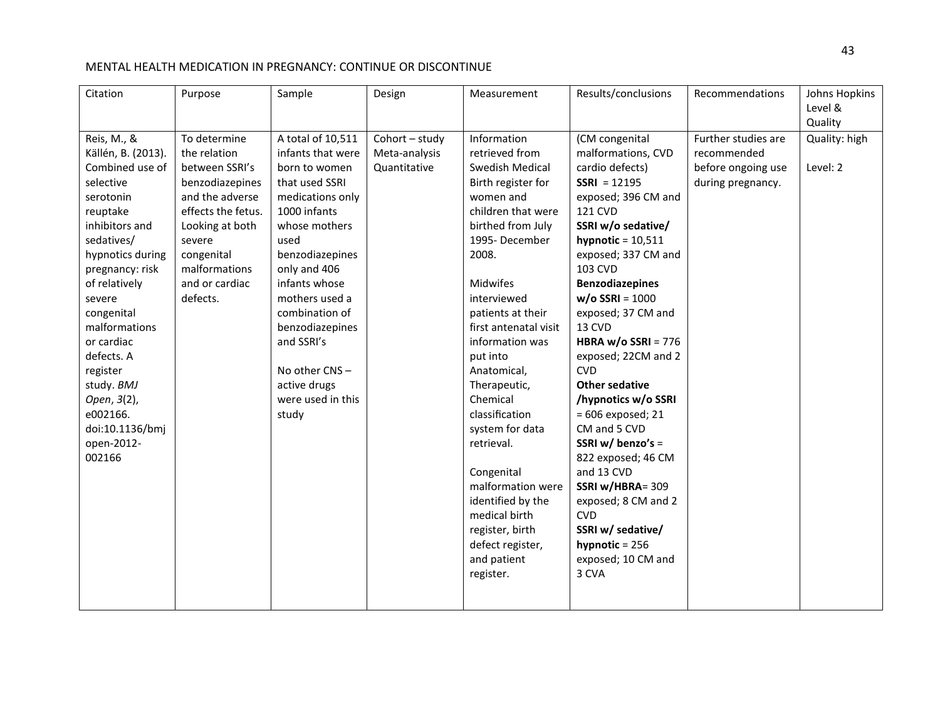| Citation<br>Purpose                                                                                                                                                                                                                                                                                                                                                                                                                                                                                                                                             | Sample                                                                                                                                                                                                                                                                                                                         | Design                                          | Measurement                                                                                                                                                                                                                                                                                                                                                                                                                                                                                                | Results/conclusions                                                                                                                                                                                                                                                                                                                                                                                                                                                                                                                                                                                                      | Recommendations                                                               | Johns Hopkins<br>Level &<br>Quality |
|-----------------------------------------------------------------------------------------------------------------------------------------------------------------------------------------------------------------------------------------------------------------------------------------------------------------------------------------------------------------------------------------------------------------------------------------------------------------------------------------------------------------------------------------------------------------|--------------------------------------------------------------------------------------------------------------------------------------------------------------------------------------------------------------------------------------------------------------------------------------------------------------------------------|-------------------------------------------------|------------------------------------------------------------------------------------------------------------------------------------------------------------------------------------------------------------------------------------------------------------------------------------------------------------------------------------------------------------------------------------------------------------------------------------------------------------------------------------------------------------|--------------------------------------------------------------------------------------------------------------------------------------------------------------------------------------------------------------------------------------------------------------------------------------------------------------------------------------------------------------------------------------------------------------------------------------------------------------------------------------------------------------------------------------------------------------------------------------------------------------------------|-------------------------------------------------------------------------------|-------------------------------------|
| Reis, M., &<br>To determine<br>Källén, B. (2013).<br>the relation<br>Combined use of<br>between SSRI's<br>selective<br>benzodiazepines<br>serotonin<br>and the adverse<br>effects the fetus.<br>reuptake<br>inhibitors and<br>Looking at both<br>sedatives/<br>severe<br>hypnotics during<br>congenital<br>malformations<br>pregnancy: risk<br>of relatively<br>and or cardiac<br>defects.<br>severe<br>congenital<br>malformations<br>or cardiac<br>defects. A<br>register<br>study. BMJ<br>Open, 3(2),<br>e002166.<br>doi:10.1136/bmj<br>open-2012-<br>002166 | A total of 10,511<br>infants that were<br>born to women<br>that used SSRI<br>medications only<br>1000 infants<br>whose mothers<br>used<br>benzodiazepines<br>only and 406<br>infants whose<br>mothers used a<br>combination of<br>benzodiazepines<br>and SSRI's<br>No other CNS-<br>active drugs<br>were used in this<br>study | Cohort - study<br>Meta-analysis<br>Quantitative | Information<br>retrieved from<br>Swedish Medical<br>Birth register for<br>women and<br>children that were<br>birthed from July<br>1995-December<br>2008.<br>Midwifes<br>interviewed<br>patients at their<br>first antenatal visit<br>information was<br>put into<br>Anatomical,<br>Therapeutic,<br>Chemical<br>classification<br>system for data<br>retrieval.<br>Congenital<br>malformation were<br>identified by the<br>medical birth<br>register, birth<br>defect register,<br>and patient<br>register. | (CM congenital<br>malformations, CVD<br>cardio defects)<br>$SSRI = 12195$<br>exposed; 396 CM and<br>121 CVD<br>SSRI w/o sedative/<br>hypnotic = $10,511$<br>exposed; 337 CM and<br>103 CVD<br><b>Benzodiazepines</b><br>$w/o$ SSRI = 1000<br>exposed; 37 CM and<br>13 CVD<br>HBRA w/o SSRI = $776$<br>exposed; 22CM and 2<br><b>CVD</b><br><b>Other sedative</b><br>/hypnotics w/o SSRI<br>$= 606$ exposed; 21<br>CM and 5 CVD<br>SSRI w/ benzo's =<br>822 exposed; 46 CM<br>and 13 CVD<br>SSRI w/HBRA= 309<br>exposed; 8 CM and 2<br><b>CVD</b><br>SSRI w/ sedative/<br>hypnotic = $256$<br>exposed; 10 CM and<br>3 CVA | Further studies are<br>recommended<br>before ongoing use<br>during pregnancy. | Quality: high<br>Level: 2           |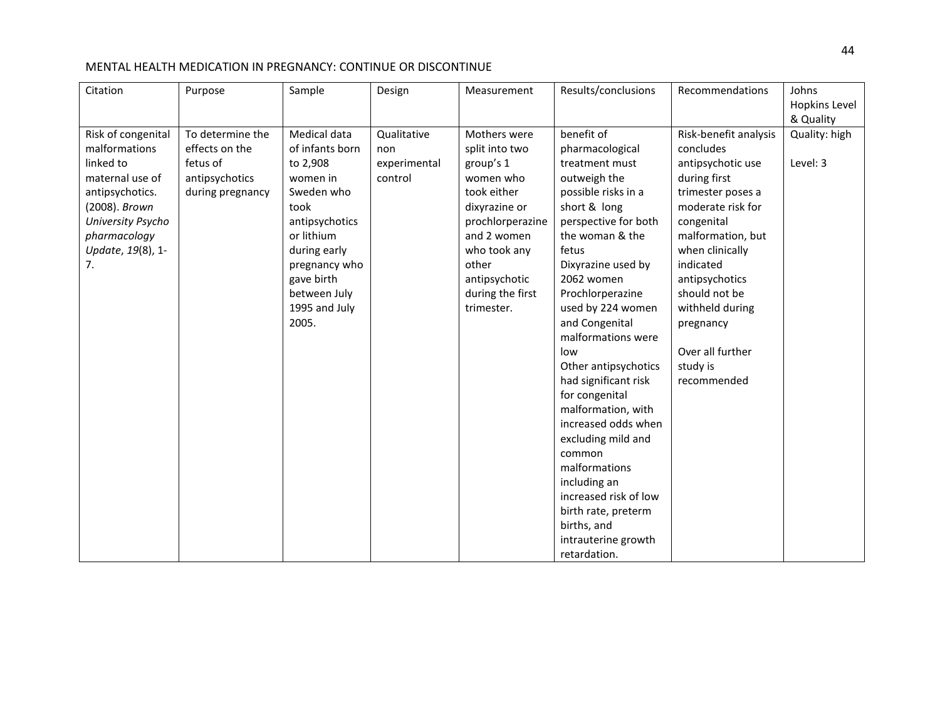| Citation                                                                                                                                                                | Purpose                                                                              | Sample                                                                                                                                                                                                 | Design                                        | Measurement                                                                                                                                                                                             | Results/conclusions                                                                                                                                                                                                                                                                                                                                                                                                                                                                                                                                                          | Recommendations                                                                                                                                                                                                                                                                                        | Johns<br>Hopkins Level<br>& Quality |
|-------------------------------------------------------------------------------------------------------------------------------------------------------------------------|--------------------------------------------------------------------------------------|--------------------------------------------------------------------------------------------------------------------------------------------------------------------------------------------------------|-----------------------------------------------|---------------------------------------------------------------------------------------------------------------------------------------------------------------------------------------------------------|------------------------------------------------------------------------------------------------------------------------------------------------------------------------------------------------------------------------------------------------------------------------------------------------------------------------------------------------------------------------------------------------------------------------------------------------------------------------------------------------------------------------------------------------------------------------------|--------------------------------------------------------------------------------------------------------------------------------------------------------------------------------------------------------------------------------------------------------------------------------------------------------|-------------------------------------|
| Risk of congenital<br>malformations<br>linked to<br>maternal use of<br>antipsychotics.<br>(2008). Brown<br>University Psycho<br>pharmacology<br>Update, 19(8), 1-<br>7. | To determine the<br>effects on the<br>fetus of<br>antipsychotics<br>during pregnancy | Medical data<br>of infants born<br>to 2,908<br>women in<br>Sweden who<br>took<br>antipsychotics<br>or lithium<br>during early<br>pregnancy who<br>gave birth<br>between July<br>1995 and July<br>2005. | Qualitative<br>non<br>experimental<br>control | Mothers were<br>split into two<br>group's 1<br>women who<br>took either<br>dixyrazine or<br>prochlorperazine<br>and 2 women<br>who took any<br>other<br>antipsychotic<br>during the first<br>trimester. | benefit of<br>pharmacological<br>treatment must<br>outweigh the<br>possible risks in a<br>short & long<br>perspective for both<br>the woman & the<br>fetus<br>Dixyrazine used by<br>2062 women<br>Prochlorperazine<br>used by 224 women<br>and Congenital<br>malformations were<br>low<br>Other antipsychotics<br>had significant risk<br>for congenital<br>malformation, with<br>increased odds when<br>excluding mild and<br>common<br>malformations<br>including an<br>increased risk of low<br>birth rate, preterm<br>births, and<br>intrauterine growth<br>retardation. | Risk-benefit analysis<br>concludes<br>antipsychotic use<br>during first<br>trimester poses a<br>moderate risk for<br>congenital<br>malformation, but<br>when clinically<br>indicated<br>antipsychotics<br>should not be<br>withheld during<br>pregnancy<br>Over all further<br>study is<br>recommended | Quality: high<br>Level: 3           |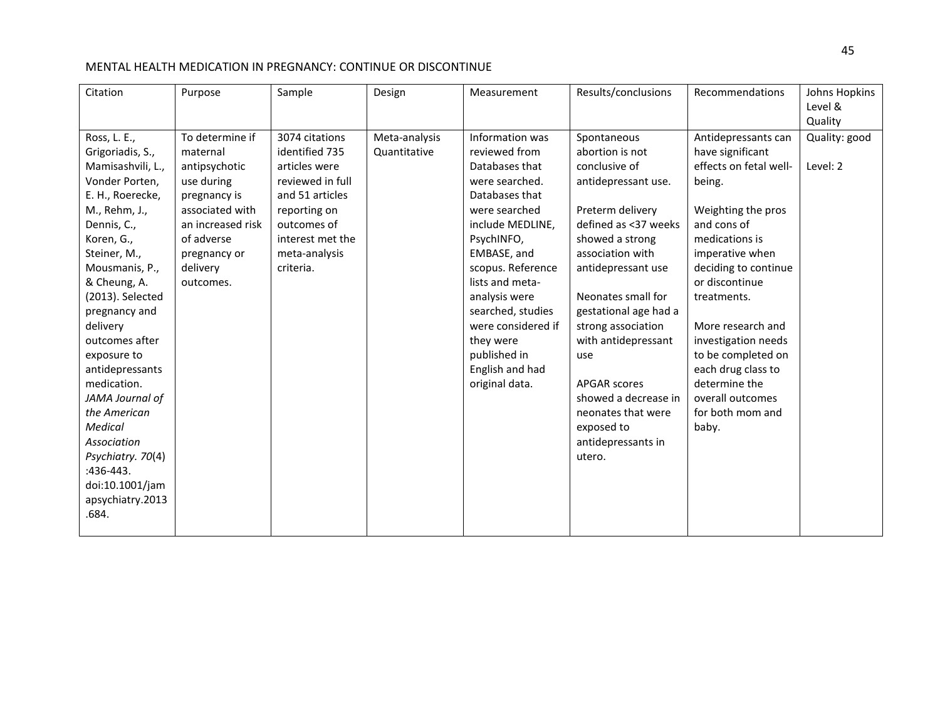| Citation           | Purpose           | Sample           | Design        | Measurement        | Results/conclusions   | Recommendations        | Johns Hopkins<br>Level & |
|--------------------|-------------------|------------------|---------------|--------------------|-----------------------|------------------------|--------------------------|
|                    |                   |                  |               |                    |                       |                        | Quality                  |
| Ross, L. E.,       | To determine if   | 3074 citations   | Meta-analysis | Information was    | Spontaneous           | Antidepressants can    | Quality: good            |
| Grigoriadis, S.,   | maternal          | identified 735   | Quantitative  | reviewed from      | abortion is not       | have significant       |                          |
| Mamisashvili, L.,  | antipsychotic     | articles were    |               | Databases that     | conclusive of         | effects on fetal well- | Level: 2                 |
| Vonder Porten,     | use during        | reviewed in full |               | were searched.     | antidepressant use.   | being.                 |                          |
| E. H., Roerecke,   | pregnancy is      | and 51 articles  |               | Databases that     |                       |                        |                          |
| M., Rehm, J.,      | associated with   | reporting on     |               | were searched      | Preterm delivery      | Weighting the pros     |                          |
| Dennis, C.,        | an increased risk | outcomes of      |               | include MEDLINE,   | defined as <37 weeks  | and cons of            |                          |
| Koren, G.,         | of adverse        | interest met the |               | PsychINFO,         | showed a strong       | medications is         |                          |
| Steiner, M.,       | pregnancy or      | meta-analysis    |               | EMBASE, and        | association with      | imperative when        |                          |
| Mousmanis, P.,     | delivery          | criteria.        |               | scopus. Reference  | antidepressant use    | deciding to continue   |                          |
| & Cheung, A.       | outcomes.         |                  |               | lists and meta-    |                       | or discontinue         |                          |
| (2013). Selected   |                   |                  |               | analysis were      | Neonates small for    | treatments.            |                          |
| pregnancy and      |                   |                  |               | searched, studies  | gestational age had a |                        |                          |
| delivery           |                   |                  |               | were considered if | strong association    | More research and      |                          |
| outcomes after     |                   |                  |               | they were          | with antidepressant   | investigation needs    |                          |
| exposure to        |                   |                  |               | published in       | use                   | to be completed on     |                          |
| antidepressants    |                   |                  |               | English and had    |                       | each drug class to     |                          |
| medication.        |                   |                  |               | original data.     | <b>APGAR scores</b>   | determine the          |                          |
| JAMA Journal of    |                   |                  |               |                    | showed a decrease in  | overall outcomes       |                          |
| the American       |                   |                  |               |                    | neonates that were    | for both mom and       |                          |
| <b>Medical</b>     |                   |                  |               |                    | exposed to            | baby.                  |                          |
| <b>Association</b> |                   |                  |               |                    | antidepressants in    |                        |                          |
| Psychiatry. 70(4)  |                   |                  |               |                    | utero.                |                        |                          |
| :436-443.          |                   |                  |               |                    |                       |                        |                          |
| doi:10.1001/jam    |                   |                  |               |                    |                       |                        |                          |
| apsychiatry.2013   |                   |                  |               |                    |                       |                        |                          |
| .684.              |                   |                  |               |                    |                       |                        |                          |
|                    |                   |                  |               |                    |                       |                        |                          |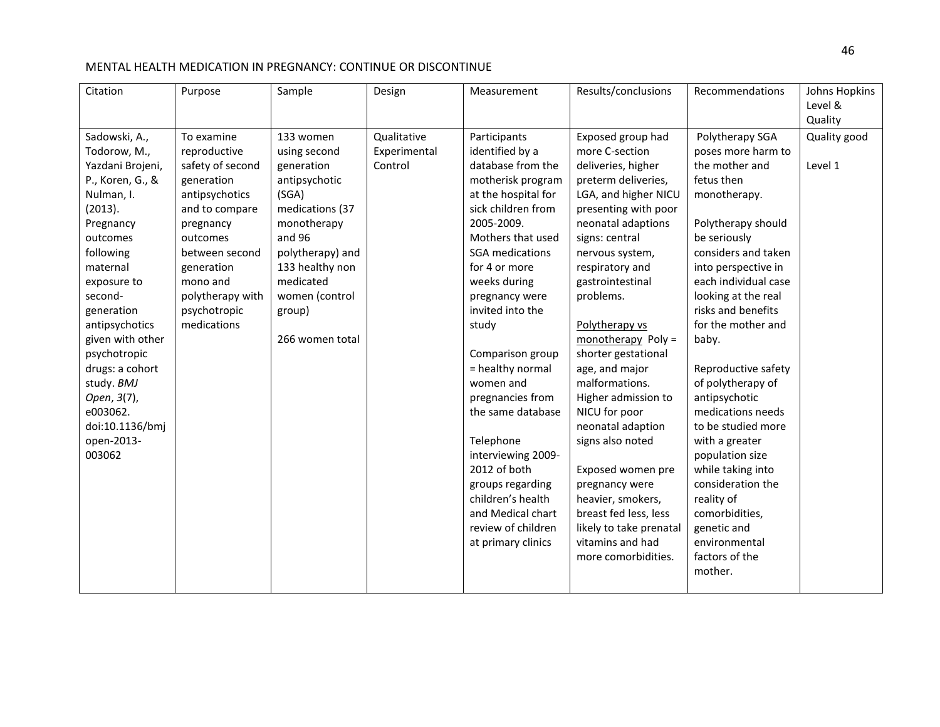| Citation         | Purpose          | Sample           | Design       | Measurement         | Results/conclusions     | Recommendations      | Johns Hopkins |
|------------------|------------------|------------------|--------------|---------------------|-------------------------|----------------------|---------------|
|                  |                  |                  |              |                     |                         |                      | Level &       |
|                  |                  |                  |              |                     |                         |                      | Quality       |
| Sadowski, A.,    | To examine       | 133 women        | Qualitative  | Participants        | Exposed group had       | Polytherapy SGA      | Quality good  |
| Todorow, M.,     | reproductive     | using second     | Experimental | identified by a     | more C-section          | poses more harm to   |               |
| Yazdani Brojeni, | safety of second | generation       | Control      | database from the   | deliveries, higher      | the mother and       | Level 1       |
| P., Koren, G., & | generation       | antipsychotic    |              | motherisk program   | preterm deliveries,     | fetus then           |               |
| Nulman, I.       | antipsychotics   | (SGA)            |              | at the hospital for | LGA, and higher NICU    | monotherapy.         |               |
| (2013).          | and to compare   | medications (37  |              | sick children from  | presenting with poor    |                      |               |
| Pregnancy        | pregnancy        | monotherapy      |              | 2005-2009.          | neonatal adaptions      | Polytherapy should   |               |
| outcomes         | outcomes         | and 96           |              | Mothers that used   | signs: central          | be seriously         |               |
| following        | between second   | polytherapy) and |              | SGA medications     | nervous system,         | considers and taken  |               |
| maternal         | generation       | 133 healthy non  |              | for 4 or more       | respiratory and         | into perspective in  |               |
| exposure to      | mono and         | medicated        |              | weeks during        | gastrointestinal        | each individual case |               |
| second-          | polytherapy with | women (control   |              | pregnancy were      | problems.               | looking at the real  |               |
| generation       | psychotropic     | group)           |              | invited into the    |                         | risks and benefits   |               |
| antipsychotics   | medications      |                  |              | study               | Polytherapy vs          | for the mother and   |               |
| given with other |                  | 266 women total  |              |                     | monotherapy Poly =      | baby.                |               |
| psychotropic     |                  |                  |              | Comparison group    | shorter gestational     |                      |               |
| drugs: a cohort  |                  |                  |              | = healthy normal    | age, and major          | Reproductive safety  |               |
| study. BMJ       |                  |                  |              | women and           | malformations.          | of polytherapy of    |               |
| Open, 3(7),      |                  |                  |              | pregnancies from    | Higher admission to     | antipsychotic        |               |
| e003062.         |                  |                  |              | the same database   | NICU for poor           | medications needs    |               |
| doi:10.1136/bmj  |                  |                  |              |                     | neonatal adaption       | to be studied more   |               |
| open-2013-       |                  |                  |              | Telephone           | signs also noted        | with a greater       |               |
| 003062           |                  |                  |              | interviewing 2009-  |                         | population size      |               |
|                  |                  |                  |              | 2012 of both        | Exposed women pre       | while taking into    |               |
|                  |                  |                  |              | groups regarding    | pregnancy were          | consideration the    |               |
|                  |                  |                  |              | children's health   | heavier, smokers,       | reality of           |               |
|                  |                  |                  |              | and Medical chart   | breast fed less, less   | comorbidities,       |               |
|                  |                  |                  |              | review of children  | likely to take prenatal | genetic and          |               |
|                  |                  |                  |              | at primary clinics  | vitamins and had        | environmental        |               |
|                  |                  |                  |              |                     | more comorbidities.     | factors of the       |               |
|                  |                  |                  |              |                     |                         | mother.              |               |
|                  |                  |                  |              |                     |                         |                      |               |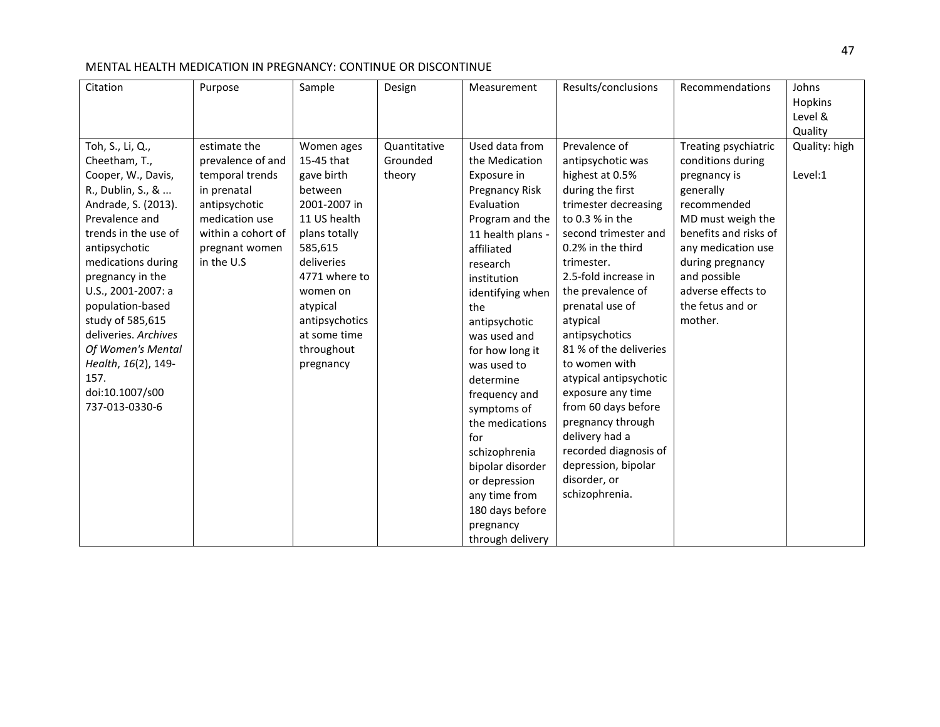| Citation             | Purpose            | Sample         | Design       | Measurement       | Results/conclusions    | Recommendations       | Johns         |
|----------------------|--------------------|----------------|--------------|-------------------|------------------------|-----------------------|---------------|
|                      |                    |                |              |                   |                        |                       | Hopkins       |
|                      |                    |                |              |                   |                        |                       | Level &       |
|                      |                    |                |              |                   |                        |                       | Quality       |
| Toh, S., Li, Q.,     | estimate the       | Women ages     | Quantitative | Used data from    | Prevalence of          | Treating psychiatric  | Quality: high |
| Cheetham, T.,        | prevalence of and  | 15-45 that     | Grounded     | the Medication    | antipsychotic was      | conditions during     |               |
| Cooper, W., Davis,   | temporal trends    | gave birth     | theory       | Exposure in       | highest at 0.5%        | pregnancy is          | Level:1       |
| R., Dublin, S., &    | in prenatal        | between        |              | Pregnancy Risk    | during the first       | generally             |               |
| Andrade, S. (2013).  | antipsychotic      | 2001-2007 in   |              | Evaluation        | trimester decreasing   | recommended           |               |
| Prevalence and       | medication use     | 11 US health   |              | Program and the   | to 0.3 % in the        | MD must weigh the     |               |
| trends in the use of | within a cohort of | plans totally  |              | 11 health plans - | second trimester and   | benefits and risks of |               |
| antipsychotic        | pregnant women     | 585,615        |              | affiliated        | 0.2% in the third      | any medication use    |               |
| medications during   | in the U.S         | deliveries     |              | research          | trimester.             | during pregnancy      |               |
| pregnancy in the     |                    | 4771 where to  |              | institution       | 2.5-fold increase in   | and possible          |               |
| U.S., 2001-2007: a   |                    | women on       |              | identifying when  | the prevalence of      | adverse effects to    |               |
| population-based     |                    | atypical       |              | the               | prenatal use of        | the fetus and or      |               |
| study of 585,615     |                    | antipsychotics |              | antipsychotic     | atypical               | mother.               |               |
| deliveries. Archives |                    | at some time   |              | was used and      | antipsychotics         |                       |               |
| Of Women's Mental    |                    | throughout     |              | for how long it   | 81 % of the deliveries |                       |               |
| Health, 16(2), 149-  |                    | pregnancy      |              | was used to       | to women with          |                       |               |
| 157.                 |                    |                |              | determine         | atypical antipsychotic |                       |               |
| doi:10.1007/s00      |                    |                |              | frequency and     | exposure any time      |                       |               |
| 737-013-0330-6       |                    |                |              | symptoms of       | from 60 days before    |                       |               |
|                      |                    |                |              | the medications   | pregnancy through      |                       |               |
|                      |                    |                |              | for               | delivery had a         |                       |               |
|                      |                    |                |              | schizophrenia     | recorded diagnosis of  |                       |               |
|                      |                    |                |              | bipolar disorder  | depression, bipolar    |                       |               |
|                      |                    |                |              | or depression     | disorder, or           |                       |               |
|                      |                    |                |              | any time from     | schizophrenia.         |                       |               |
|                      |                    |                |              | 180 days before   |                        |                       |               |
|                      |                    |                |              | pregnancy         |                        |                       |               |
|                      |                    |                |              | through delivery  |                        |                       |               |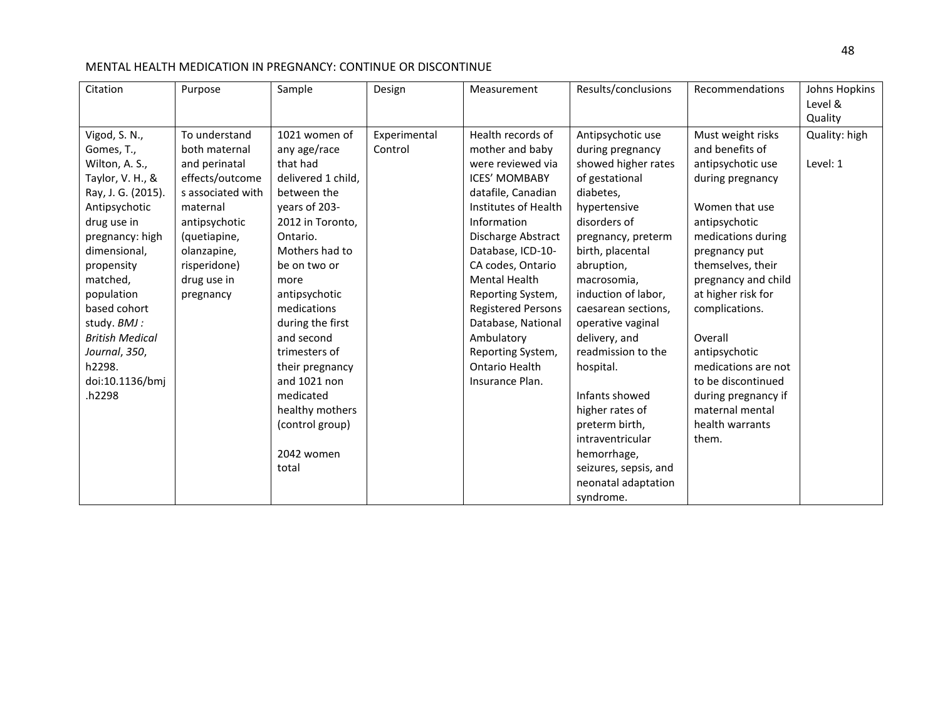| Citation                                                                                                                                                                                                                                                                                                            | Purpose                                                                                                                                                                                         | Sample                                                                                                                                                                                                                                                                                                                                                                    | Design                  | Measurement                                                                                                                                                                                                                                                                                                                                                                                   | Results/conclusions                                                                                                                                                                                                                                                                                                                                                                                                                                                              | Recommendations                                                                                                                                                                                                                                                                                                                                                                            | Johns Hopkins<br>Level &<br>Quality |
|---------------------------------------------------------------------------------------------------------------------------------------------------------------------------------------------------------------------------------------------------------------------------------------------------------------------|-------------------------------------------------------------------------------------------------------------------------------------------------------------------------------------------------|---------------------------------------------------------------------------------------------------------------------------------------------------------------------------------------------------------------------------------------------------------------------------------------------------------------------------------------------------------------------------|-------------------------|-----------------------------------------------------------------------------------------------------------------------------------------------------------------------------------------------------------------------------------------------------------------------------------------------------------------------------------------------------------------------------------------------|----------------------------------------------------------------------------------------------------------------------------------------------------------------------------------------------------------------------------------------------------------------------------------------------------------------------------------------------------------------------------------------------------------------------------------------------------------------------------------|--------------------------------------------------------------------------------------------------------------------------------------------------------------------------------------------------------------------------------------------------------------------------------------------------------------------------------------------------------------------------------------------|-------------------------------------|
| Vigod, S. N.,<br>Gomes, T.,<br>Wilton, A. S.,<br>Taylor, V. H., &<br>Ray, J. G. (2015).<br>Antipsychotic<br>drug use in<br>pregnancy: high<br>dimensional,<br>propensity<br>matched,<br>population<br>based cohort<br>study. BMJ :<br><b>British Medical</b><br>Journal, 350,<br>h2298.<br>doi:10.1136/bmj<br>h2298 | To understand<br>both maternal<br>and perinatal<br>effects/outcome<br>s associated with<br>maternal<br>antipsychotic<br>(quetiapine,<br>olanzapine,<br>risperidone)<br>drug use in<br>pregnancy | 1021 women of<br>any age/race<br>that had<br>delivered 1 child,<br>between the<br>years of 203-<br>2012 in Toronto,<br>Ontario.<br>Mothers had to<br>be on two or<br>more<br>antipsychotic<br>medications<br>during the first<br>and second<br>trimesters of<br>their pregnancy<br>and 1021 non<br>medicated<br>healthy mothers<br>(control group)<br>2042 women<br>total | Experimental<br>Control | Health records of<br>mother and baby<br>were reviewed via<br><b>ICES' MOMBABY</b><br>datafile, Canadian<br>Institutes of Health<br>Information<br>Discharge Abstract<br>Database, ICD-10-<br>CA codes, Ontario<br><b>Mental Health</b><br>Reporting System,<br><b>Registered Persons</b><br>Database, National<br>Ambulatory<br>Reporting System,<br><b>Ontario Health</b><br>Insurance Plan. | Antipsychotic use<br>during pregnancy<br>showed higher rates<br>of gestational<br>diabetes,<br>hypertensive<br>disorders of<br>pregnancy, preterm<br>birth, placental<br>abruption,<br>macrosomia,<br>induction of labor,<br>caesarean sections,<br>operative vaginal<br>delivery, and<br>readmission to the<br>hospital.<br>Infants showed<br>higher rates of<br>preterm birth,<br>intraventricular<br>hemorrhage,<br>seizures, sepsis, and<br>neonatal adaptation<br>syndrome. | Must weight risks<br>and benefits of<br>antipsychotic use<br>during pregnancy<br>Women that use<br>antipsychotic<br>medications during<br>pregnancy put<br>themselves, their<br>pregnancy and child<br>at higher risk for<br>complications.<br>Overall<br>antipsychotic<br>medications are not<br>to be discontinued<br>during pregnancy if<br>maternal mental<br>health warrants<br>them. | Quality: high<br>Level: 1           |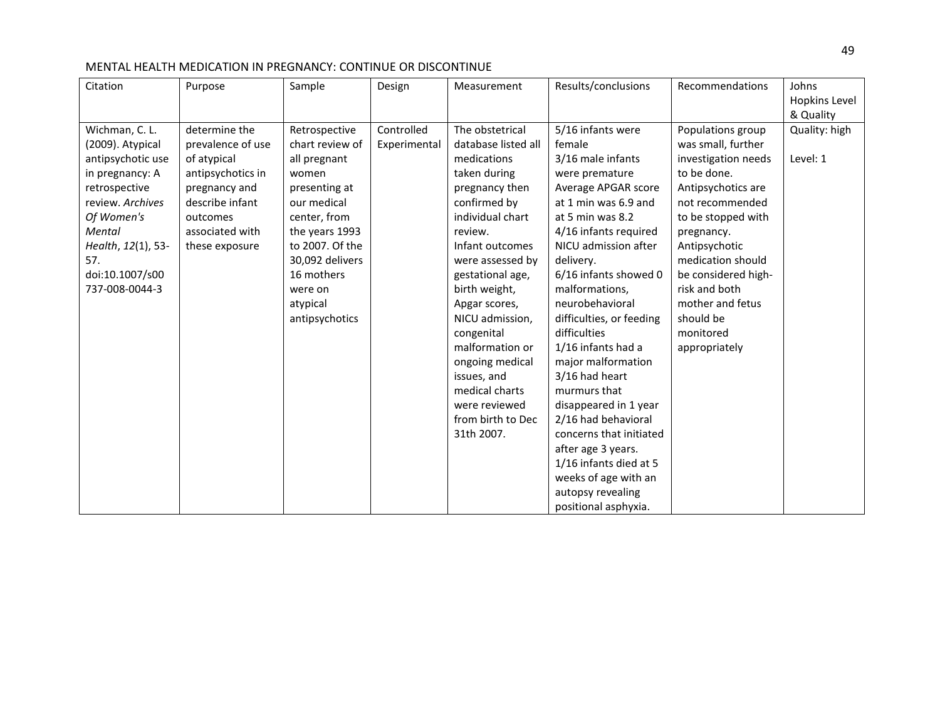| Citation           | Purpose           | Sample          | Design       | Measurement         | Results/conclusions      | Recommendations     | Johns<br>Hopkins Level |
|--------------------|-------------------|-----------------|--------------|---------------------|--------------------------|---------------------|------------------------|
|                    |                   |                 |              |                     |                          |                     | & Quality              |
| Wichman, C. L.     | determine the     | Retrospective   | Controlled   | The obstetrical     | 5/16 infants were        | Populations group   | Quality: high          |
| (2009). Atypical   | prevalence of use | chart review of | Experimental | database listed all | female                   | was small, further  |                        |
| antipsychotic use  | of atypical       | all pregnant    |              | medications         | 3/16 male infants        | investigation needs | Level: 1               |
| in pregnancy: A    | antipsychotics in | women           |              | taken during        | were premature           | to be done.         |                        |
| retrospective      | pregnancy and     | presenting at   |              | pregnancy then      | Average APGAR score      | Antipsychotics are  |                        |
| review. Archives   | describe infant   | our medical     |              | confirmed by        | at 1 min was 6.9 and     | not recommended     |                        |
| Of Women's         | outcomes          | center, from    |              | individual chart    | at 5 min was 8.2         | to be stopped with  |                        |
| Mental             | associated with   | the years 1993  |              | review.             | 4/16 infants required    | pregnancy.          |                        |
| Health, 12(1), 53- | these exposure    | to 2007. Of the |              | Infant outcomes     | NICU admission after     | Antipsychotic       |                        |
| 57.                |                   | 30,092 delivers |              | were assessed by    | delivery.                | medication should   |                        |
| doi:10.1007/s00    |                   | 16 mothers      |              | gestational age,    | 6/16 infants showed 0    | be considered high- |                        |
| 737-008-0044-3     |                   | were on         |              | birth weight,       | malformations,           | risk and both       |                        |
|                    |                   | atypical        |              | Apgar scores,       | neurobehavioral          | mother and fetus    |                        |
|                    |                   | antipsychotics  |              | NICU admission,     | difficulties, or feeding | should be           |                        |
|                    |                   |                 |              | congenital          | difficulties             | monitored           |                        |
|                    |                   |                 |              | malformation or     | 1/16 infants had a       | appropriately       |                        |
|                    |                   |                 |              | ongoing medical     | major malformation       |                     |                        |
|                    |                   |                 |              | issues, and         | 3/16 had heart           |                     |                        |
|                    |                   |                 |              | medical charts      | murmurs that             |                     |                        |
|                    |                   |                 |              | were reviewed       | disappeared in 1 year    |                     |                        |
|                    |                   |                 |              | from birth to Dec   | 2/16 had behavioral      |                     |                        |
|                    |                   |                 |              | 31th 2007.          | concerns that initiated  |                     |                        |
|                    |                   |                 |              |                     | after age 3 years.       |                     |                        |
|                    |                   |                 |              |                     | 1/16 infants died at 5   |                     |                        |
|                    |                   |                 |              |                     | weeks of age with an     |                     |                        |
|                    |                   |                 |              |                     | autopsy revealing        |                     |                        |
|                    |                   |                 |              |                     | positional asphyxia.     |                     |                        |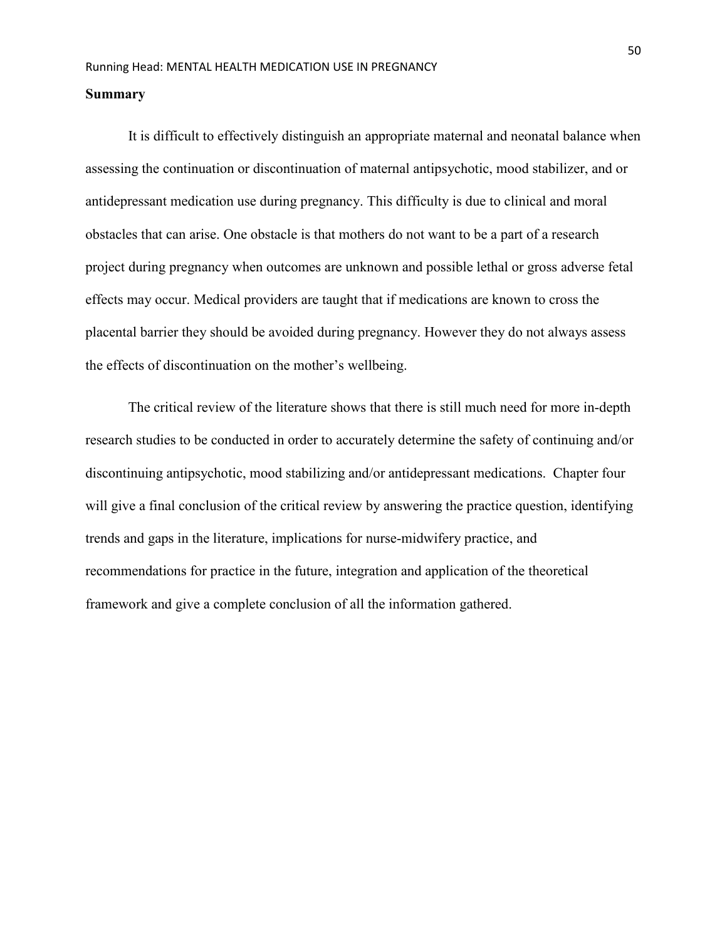#### **Summary**

It is difficult to effectively distinguish an appropriate maternal and neonatal balance when assessing the continuation or discontinuation of maternal antipsychotic, mood stabilizer, and or antidepressant medication use during pregnancy. This difficulty is due to clinical and moral obstacles that can arise. One obstacle is that mothers do not want to be a part of a research project during pregnancy when outcomes are unknown and possible lethal or gross adverse fetal effects may occur. Medical providers are taught that if medications are known to cross the placental barrier they should be avoided during pregnancy. However they do not always assess the effects of discontinuation on the mother's wellbeing.

The critical review of the literature shows that there is still much need for more in-depth research studies to be conducted in order to accurately determine the safety of continuing and/or discontinuing antipsychotic, mood stabilizing and/or antidepressant medications. Chapter four will give a final conclusion of the critical review by answering the practice question, identifying trends and gaps in the literature, implications for nurse-midwifery practice, and recommendations for practice in the future, integration and application of the theoretical framework and give a complete conclusion of all the information gathered.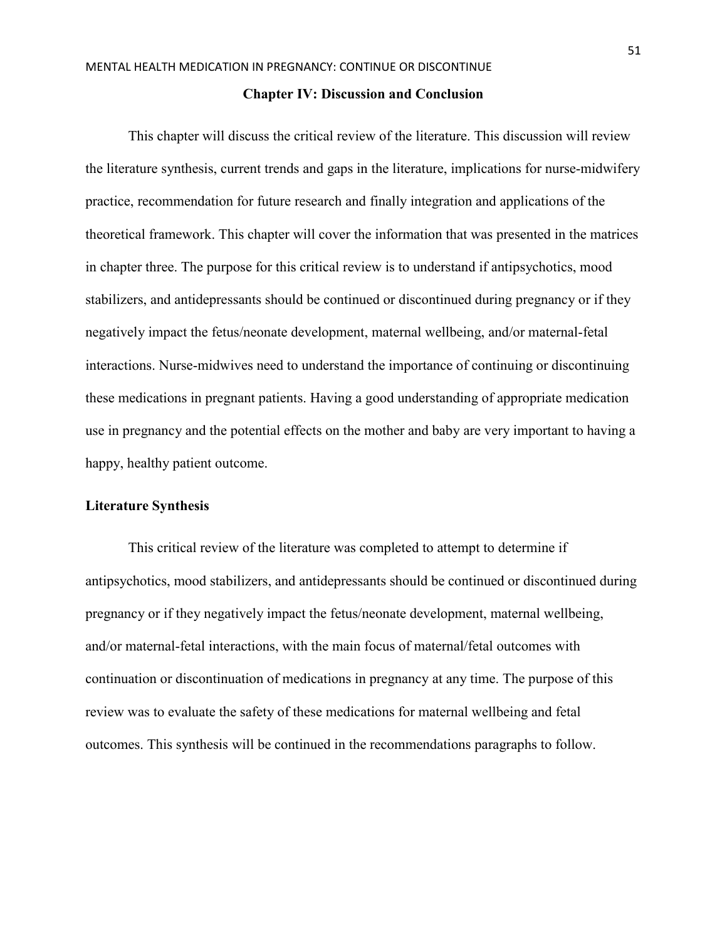#### **Chapter IV: Discussion and Conclusion**

This chapter will discuss the critical review of the literature. This discussion will review the literature synthesis, current trends and gaps in the literature, implications for nurse-midwifery practice, recommendation for future research and finally integration and applications of the theoretical framework. This chapter will cover the information that was presented in the matrices in chapter three. The purpose for this critical review is to understand if antipsychotics, mood stabilizers, and antidepressants should be continued or discontinued during pregnancy or if they negatively impact the fetus/neonate development, maternal wellbeing, and/or maternal-fetal interactions. Nurse-midwives need to understand the importance of continuing or discontinuing these medications in pregnant patients. Having a good understanding of appropriate medication use in pregnancy and the potential effects on the mother and baby are very important to having a happy, healthy patient outcome.

#### **Literature Synthesis**

This critical review of the literature was completed to attempt to determine if antipsychotics, mood stabilizers, and antidepressants should be continued or discontinued during pregnancy or if they negatively impact the fetus/neonate development, maternal wellbeing, and/or maternal-fetal interactions, with the main focus of maternal/fetal outcomes with continuation or discontinuation of medications in pregnancy at any time. The purpose of this review was to evaluate the safety of these medications for maternal wellbeing and fetal outcomes. This synthesis will be continued in the recommendations paragraphs to follow.

51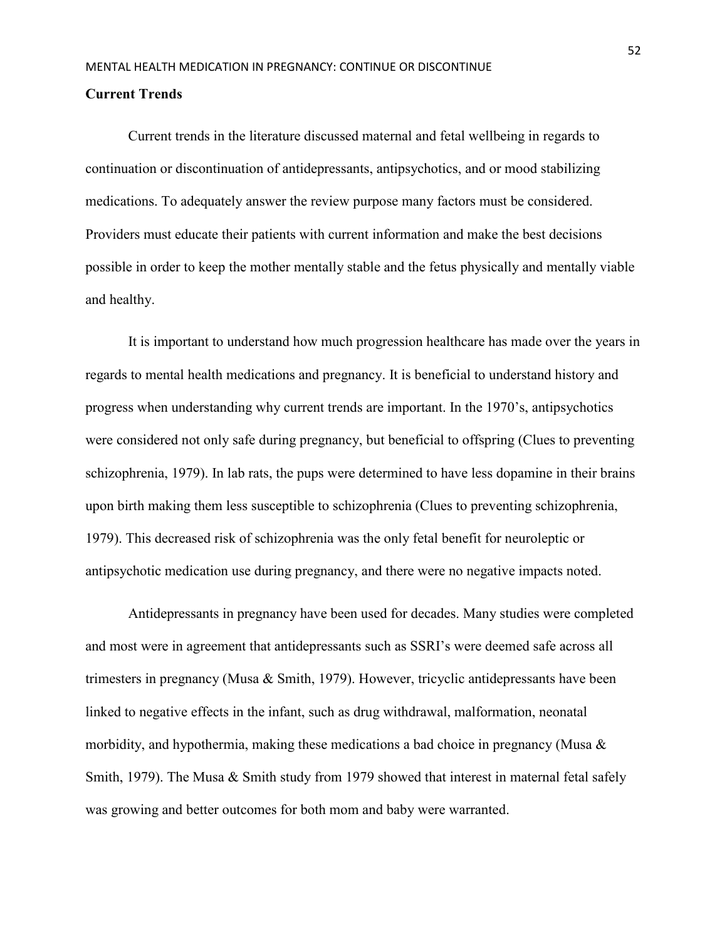#### **Current Trends**

 Current trends in the literature discussed maternal and fetal wellbeing in regards to continuation or discontinuation of antidepressants, antipsychotics, and or mood stabilizing medications. To adequately answer the review purpose many factors must be considered. Providers must educate their patients with current information and make the best decisions possible in order to keep the mother mentally stable and the fetus physically and mentally viable and healthy.

 It is important to understand how much progression healthcare has made over the years in regards to mental health medications and pregnancy. It is beneficial to understand history and progress when understanding why current trends are important. In the 1970's, antipsychotics were considered not only safe during pregnancy, but beneficial to offspring (Clues to preventing schizophrenia, 1979). In lab rats, the pups were determined to have less dopamine in their brains upon birth making them less susceptible to schizophrenia (Clues to preventing schizophrenia, 1979). This decreased risk of schizophrenia was the only fetal benefit for neuroleptic or antipsychotic medication use during pregnancy, and there were no negative impacts noted.

Antidepressants in pregnancy have been used for decades. Many studies were completed and most were in agreement that antidepressants such as SSRI's were deemed safe across all trimesters in pregnancy (Musa & Smith, 1979). However, tricyclic antidepressants have been linked to negative effects in the infant, such as drug withdrawal, malformation, neonatal morbidity, and hypothermia, making these medications a bad choice in pregnancy (Musa & Smith, 1979). The Musa & Smith study from 1979 showed that interest in maternal fetal safely was growing and better outcomes for both mom and baby were warranted.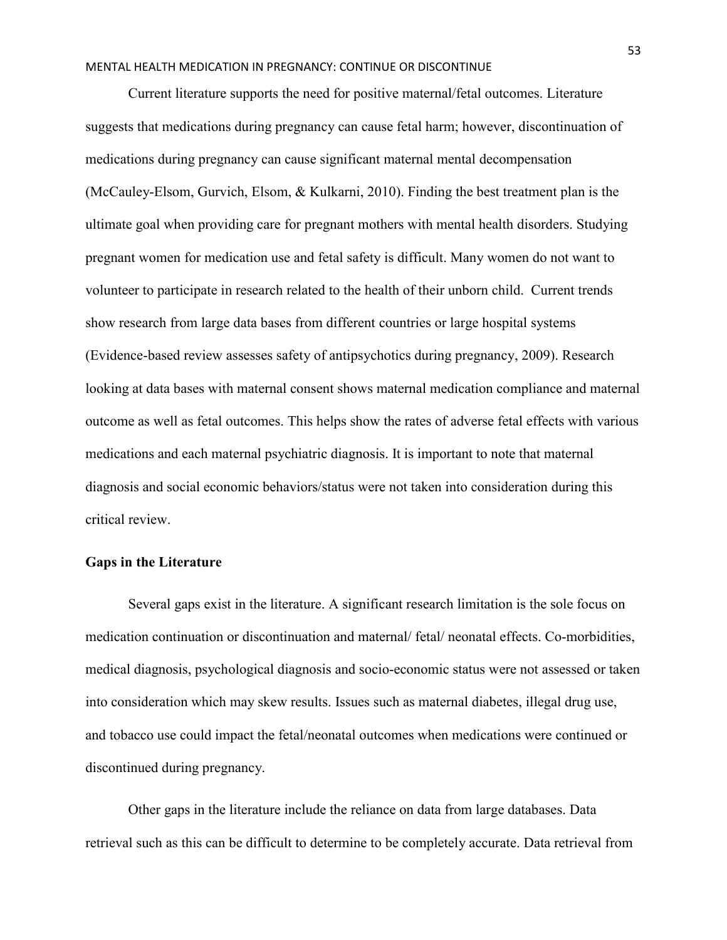Current literature supports the need for positive maternal/fetal outcomes. Literature suggests that medications during pregnancy can cause fetal harm; however, discontinuation of medications during pregnancy can cause significant maternal mental decompensation (McCauley-Elsom, Gurvich, Elsom, & Kulkarni, 2010). Finding the best treatment plan is the ultimate goal when providing care for pregnant mothers with mental health disorders. Studying pregnant women for medication use and fetal safety is difficult. Many women do not want to volunteer to participate in research related to the health of their unborn child. Current trends show research from large data bases from different countries or large hospital systems (Evidence-based review assesses safety of antipsychotics during pregnancy, 2009). Research looking at data bases with maternal consent shows maternal medication compliance and maternal outcome as well as fetal outcomes. This helps show the rates of adverse fetal effects with various medications and each maternal psychiatric diagnosis. It is important to note that maternal diagnosis and social economic behaviors/status were not taken into consideration during this critical review.

#### **Gaps in the Literature**

Several gaps exist in the literature. A significant research limitation is the sole focus on medication continuation or discontinuation and maternal/ fetal/ neonatal effects. Co-morbidities, medical diagnosis, psychological diagnosis and socio-economic status were not assessed or taken into consideration which may skew results. Issues such as maternal diabetes, illegal drug use, and tobacco use could impact the fetal/neonatal outcomes when medications were continued or discontinued during pregnancy.

Other gaps in the literature include the reliance on data from large databases. Data retrieval such as this can be difficult to determine to be completely accurate. Data retrieval from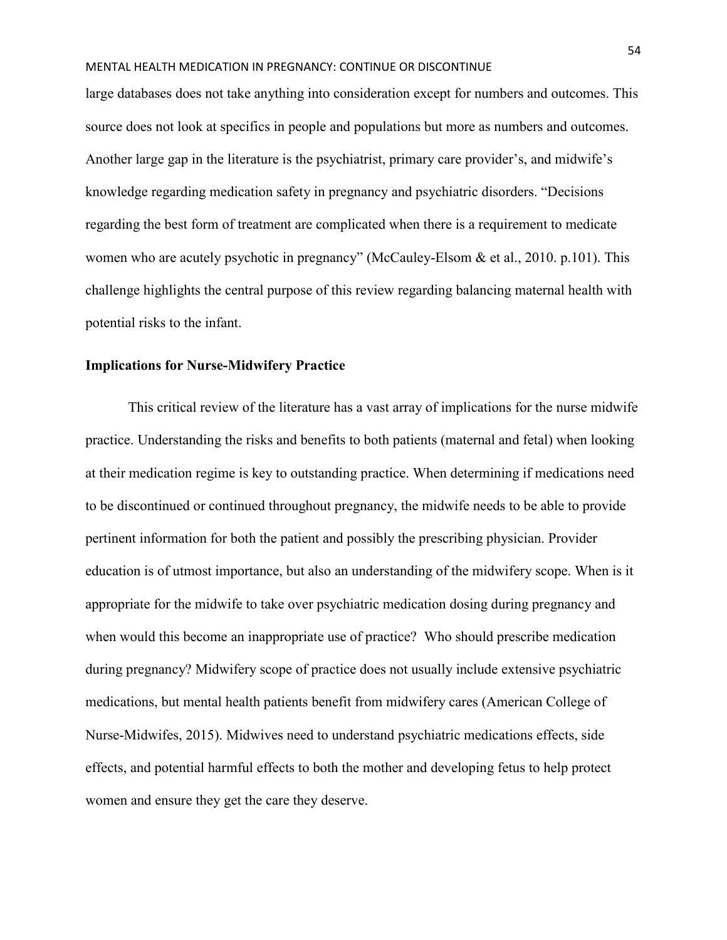large databases does not take anything into consideration except for numbers and outcomes. This source does not look at specifics in people and populations but more as numbers and outcomes. Another large gap in the literature is the psychiatrist, primary care provider's, and midwife's knowledge regarding medication safety in pregnancy and psychiatric disorders. "Decisions regarding the best form of treatment are complicated when there is a requirement to medicate women who are acutely psychotic in pregnancy" (McCauley-Elsom & et al., 2010. p.101). This challenge highlights the central purpose of this review regarding balancing maternal health with potential risks to the infant.

## **Implications for Nurse-Midwifery Practice**

This critical review of the literature has a vast array of implications for the nurse midwife practice. Understanding the risks and benefits to both patients (maternal and fetal) when looking at their medication regime is key to outstanding practice. When determining if medications need to be discontinued or continued throughout pregnancy, the midwife needs to be able to provide pertinent information for both the patient and possibly the prescribing physician. Provider education is of utmost importance, but also an understanding of the midwifery scope. When is it appropriate for the midwife to take over psychiatric medication dosing during pregnancy and when would this become an inappropriate use of practice? Who should prescribe medication during pregnancy? Midwifery scope of practice does not usually include extensive psychiatric medications, but mental health patients benefit from midwifery cares (American College of Nurse-Midwifes, 2015). Midwives need to understand psychiatric medications effects, side effects, and potential harmful effects to both the mother and developing fetus to help protect women and ensure they get the care they deserve.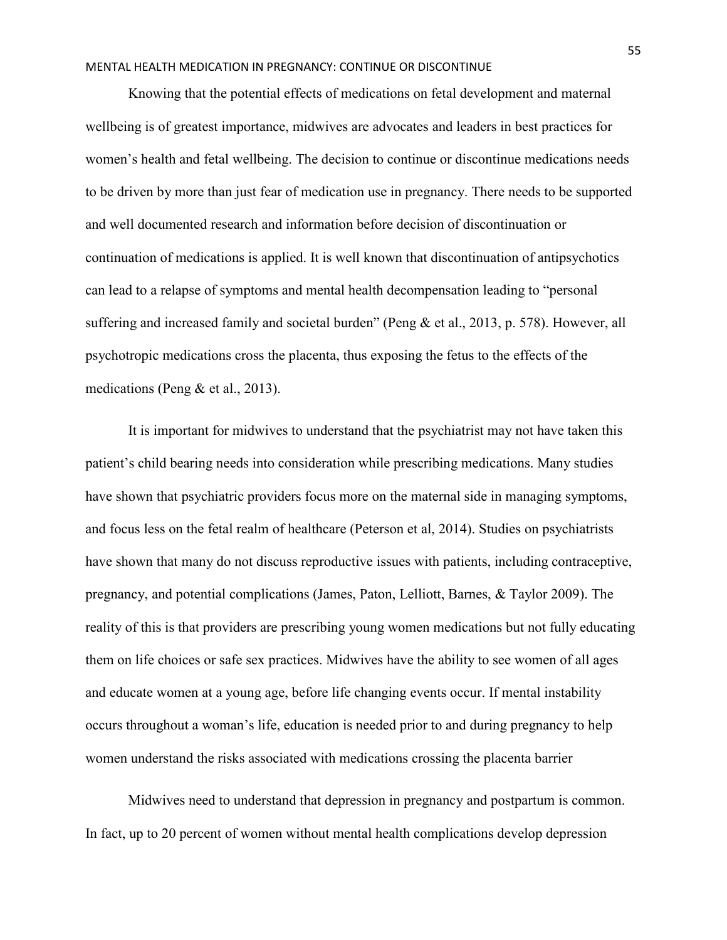Knowing that the potential effects of medications on fetal development and maternal wellbeing is of greatest importance, midwives are advocates and leaders in best practices for women's health and fetal wellbeing. The decision to continue or discontinue medications needs to be driven by more than just fear of medication use in pregnancy. There needs to be supported and well documented research and information before decision of discontinuation or continuation of medications is applied. It is well known that discontinuation of antipsychotics can lead to a relapse of symptoms and mental health decompensation leading to "personal suffering and increased family and societal burden" (Peng & et al., 2013, p. 578). However, all psychotropic medications cross the placenta, thus exposing the fetus to the effects of the medications (Peng & et al., 2013).

 It is important for midwives to understand that the psychiatrist may not have taken this patient's child bearing needs into consideration while prescribing medications. Many studies have shown that psychiatric providers focus more on the maternal side in managing symptoms, and focus less on the fetal realm of healthcare (Peterson et al, 2014). Studies on psychiatrists have shown that many do not discuss reproductive issues with patients, including contraceptive, pregnancy, and potential complications (James, Paton, Lelliott, Barnes, & Taylor 2009). The reality of this is that providers are prescribing young women medications but not fully educating them on life choices or safe sex practices. Midwives have the ability to see women of all ages and educate women at a young age, before life changing events occur. If mental instability occurs throughout a woman's life, education is needed prior to and during pregnancy to help women understand the risks associated with medications crossing the placenta barrier

Midwives need to understand that depression in pregnancy and postpartum is common. In fact, up to 20 percent of women without mental health complications develop depression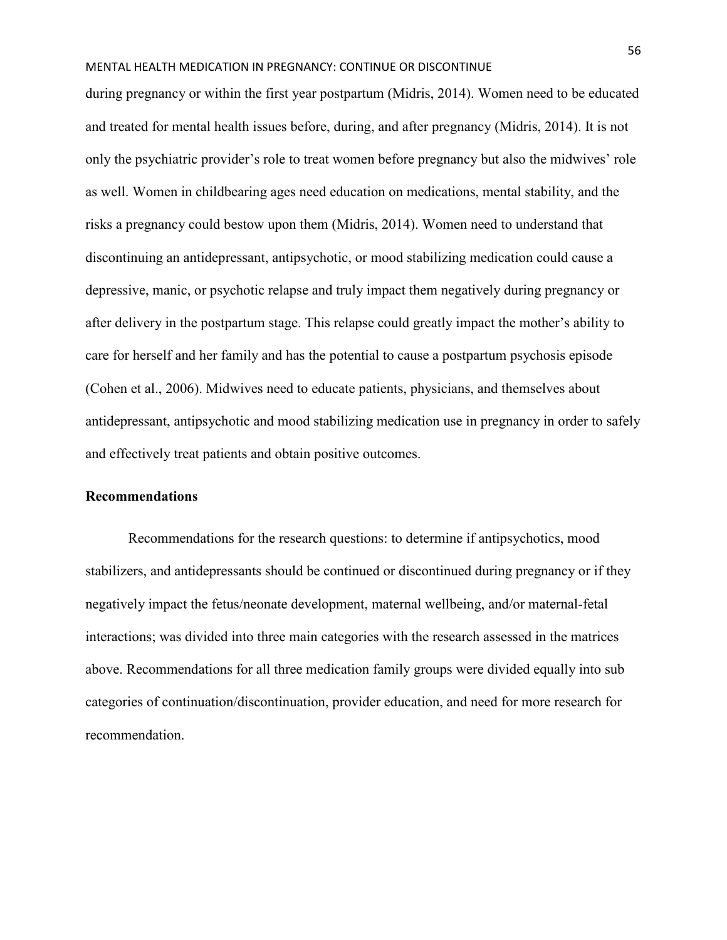during pregnancy or within the first year postpartum (Midris, 2014). Women need to be educated and treated for mental health issues before, during, and after pregnancy (Midris, 2014). It is not only the psychiatric provider's role to treat women before pregnancy but also the midwives' role as well. Women in childbearing ages need education on medications, mental stability, and the risks a pregnancy could bestow upon them (Midris, 2014). Women need to understand that discontinuing an antidepressant, antipsychotic, or mood stabilizing medication could cause a depressive, manic, or psychotic relapse and truly impact them negatively during pregnancy or after delivery in the postpartum stage. This relapse could greatly impact the mother's ability to care for herself and her family and has the potential to cause a postpartum psychosis episode (Cohen et al., 2006). Midwives need to educate patients, physicians, and themselves about antidepressant, antipsychotic and mood stabilizing medication use in pregnancy in order to safely and effectively treat patients and obtain positive outcomes.

## **Recommendations**

Recommendations for the research questions: to determine if antipsychotics, mood stabilizers, and antidepressants should be continued or discontinued during pregnancy or if they negatively impact the fetus/neonate development, maternal wellbeing, and/or maternal-fetal interactions; was divided into three main categories with the research assessed in the matrices above. Recommendations for all three medication family groups were divided equally into sub categories of continuation/discontinuation, provider education, and need for more research for recommendation.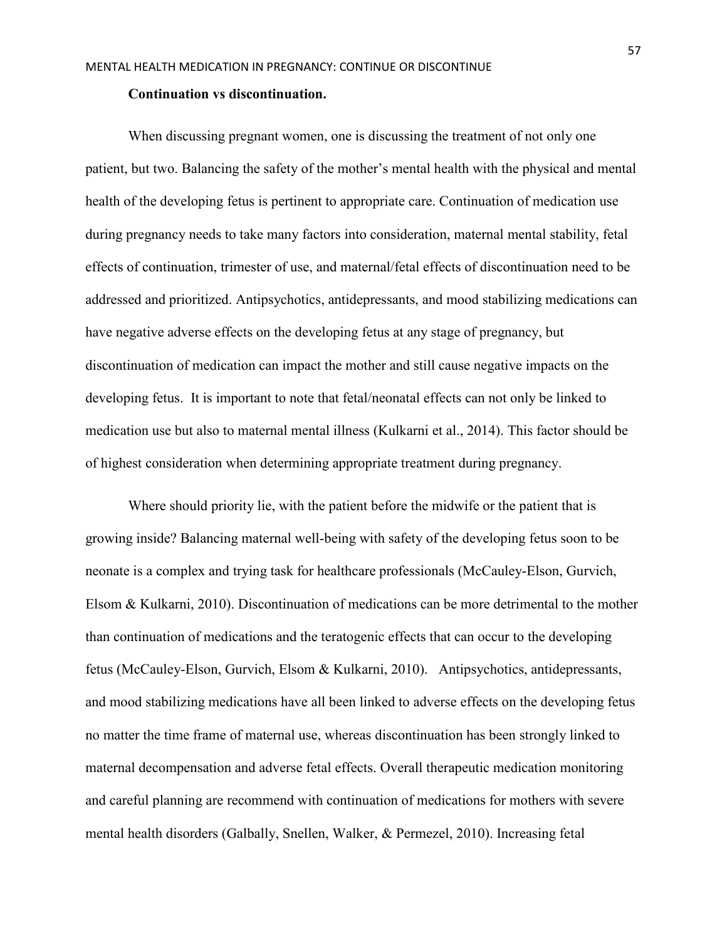#### **Continuation vs discontinuation.**

 When discussing pregnant women, one is discussing the treatment of not only one patient, but two. Balancing the safety of the mother's mental health with the physical and mental health of the developing fetus is pertinent to appropriate care. Continuation of medication use during pregnancy needs to take many factors into consideration, maternal mental stability, fetal effects of continuation, trimester of use, and maternal/fetal effects of discontinuation need to be addressed and prioritized. Antipsychotics, antidepressants, and mood stabilizing medications can have negative adverse effects on the developing fetus at any stage of pregnancy, but discontinuation of medication can impact the mother and still cause negative impacts on the developing fetus. It is important to note that fetal/neonatal effects can not only be linked to medication use but also to maternal mental illness (Kulkarni et al., 2014). This factor should be of highest consideration when determining appropriate treatment during pregnancy.

 Where should priority lie, with the patient before the midwife or the patient that is growing inside? Balancing maternal well-being with safety of the developing fetus soon to be neonate is a complex and trying task for healthcare professionals (McCauley-Elson, Gurvich, Elsom & Kulkarni, 2010). Discontinuation of medications can be more detrimental to the mother than continuation of medications and the teratogenic effects that can occur to the developing fetus (McCauley-Elson, Gurvich, Elsom & Kulkarni, 2010). Antipsychotics, antidepressants, and mood stabilizing medications have all been linked to adverse effects on the developing fetus no matter the time frame of maternal use, whereas discontinuation has been strongly linked to maternal decompensation and adverse fetal effects. Overall therapeutic medication monitoring and careful planning are recommend with continuation of medications for mothers with severe mental health disorders (Galbally, Snellen, Walker, & Permezel, 2010). Increasing fetal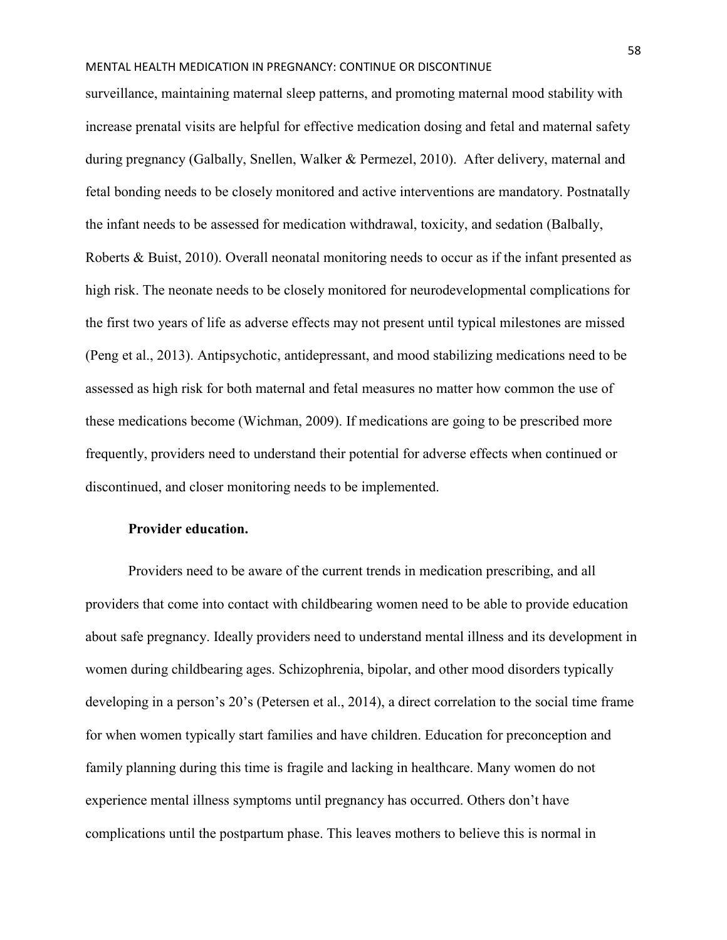surveillance, maintaining maternal sleep patterns, and promoting maternal mood stability with increase prenatal visits are helpful for effective medication dosing and fetal and maternal safety during pregnancy (Galbally, Snellen, Walker & Permezel, 2010). After delivery, maternal and fetal bonding needs to be closely monitored and active interventions are mandatory. Postnatally the infant needs to be assessed for medication withdrawal, toxicity, and sedation (Balbally, Roberts & Buist, 2010). Overall neonatal monitoring needs to occur as if the infant presented as high risk. The neonate needs to be closely monitored for neurodevelopmental complications for the first two years of life as adverse effects may not present until typical milestones are missed (Peng et al., 2013). Antipsychotic, antidepressant, and mood stabilizing medications need to be assessed as high risk for both maternal and fetal measures no matter how common the use of these medications become (Wichman, 2009). If medications are going to be prescribed more frequently, providers need to understand their potential for adverse effects when continued or discontinued, and closer monitoring needs to be implemented.

## **Provider education.**

 Providers need to be aware of the current trends in medication prescribing, and all providers that come into contact with childbearing women need to be able to provide education about safe pregnancy. Ideally providers need to understand mental illness and its development in women during childbearing ages. Schizophrenia, bipolar, and other mood disorders typically developing in a person's 20's (Petersen et al., 2014), a direct correlation to the social time frame for when women typically start families and have children. Education for preconception and family planning during this time is fragile and lacking in healthcare. Many women do not experience mental illness symptoms until pregnancy has occurred. Others don't have complications until the postpartum phase. This leaves mothers to believe this is normal in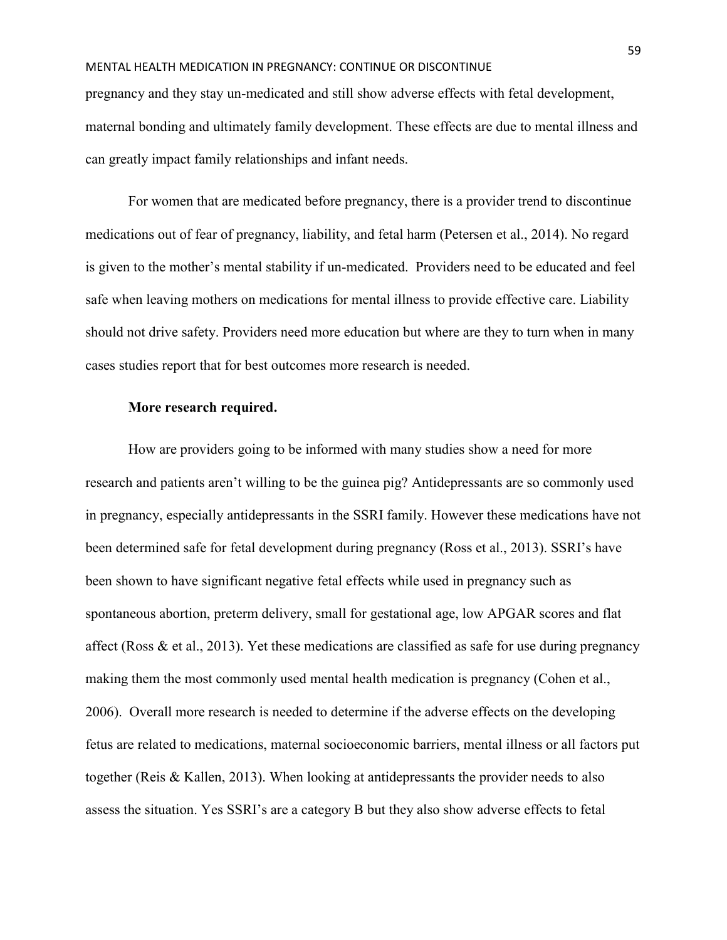pregnancy and they stay un-medicated and still show adverse effects with fetal development, maternal bonding and ultimately family development. These effects are due to mental illness and can greatly impact family relationships and infant needs.

 For women that are medicated before pregnancy, there is a provider trend to discontinue medications out of fear of pregnancy, liability, and fetal harm (Petersen et al., 2014). No regard is given to the mother's mental stability if un-medicated. Providers need to be educated and feel safe when leaving mothers on medications for mental illness to provide effective care. Liability should not drive safety. Providers need more education but where are they to turn when in many cases studies report that for best outcomes more research is needed.

#### **More research required.**

 How are providers going to be informed with many studies show a need for more research and patients aren't willing to be the guinea pig? Antidepressants are so commonly used in pregnancy, especially antidepressants in the SSRI family. However these medications have not been determined safe for fetal development during pregnancy (Ross et al., 2013). SSRI's have been shown to have significant negative fetal effects while used in pregnancy such as spontaneous abortion, preterm delivery, small for gestational age, low APGAR scores and flat affect (Ross & et al., 2013). Yet these medications are classified as safe for use during pregnancy making them the most commonly used mental health medication is pregnancy (Cohen et al., 2006). Overall more research is needed to determine if the adverse effects on the developing fetus are related to medications, maternal socioeconomic barriers, mental illness or all factors put together (Reis & Kallen, 2013). When looking at antidepressants the provider needs to also assess the situation. Yes SSRI's are a category B but they also show adverse effects to fetal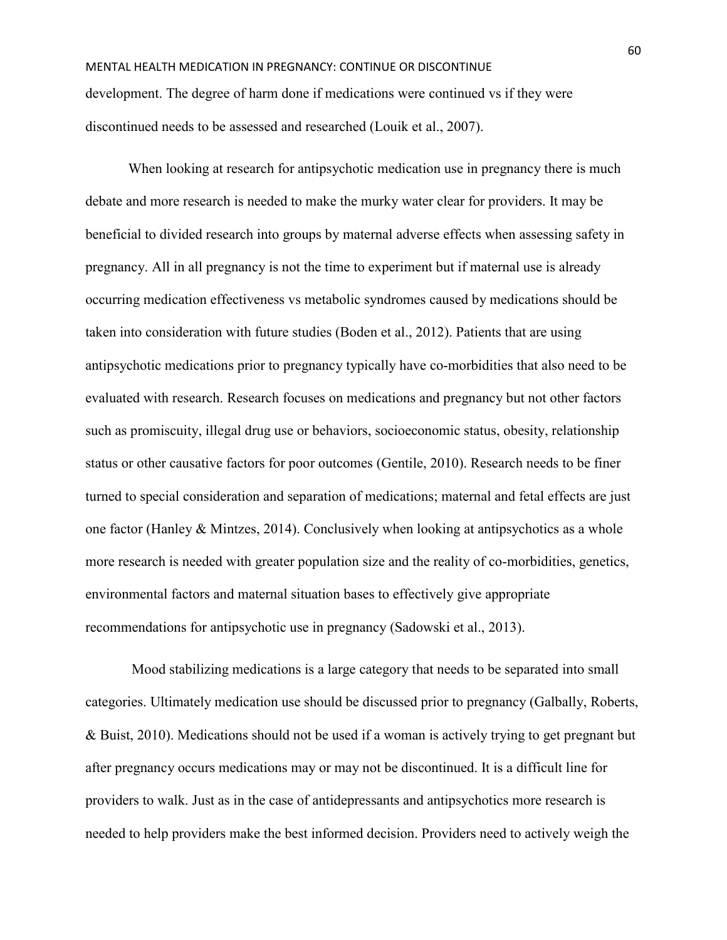# MENTAL HEALTH MEDICATION IN PREGNANCY: CONTINUE OR DISCONTINUE development. The degree of harm done if medications were continued vs if they were discontinued needs to be assessed and researched (Louik et al., 2007).

 When looking at research for antipsychotic medication use in pregnancy there is much debate and more research is needed to make the murky water clear for providers. It may be beneficial to divided research into groups by maternal adverse effects when assessing safety in pregnancy. All in all pregnancy is not the time to experiment but if maternal use is already occurring medication effectiveness vs metabolic syndromes caused by medications should be taken into consideration with future studies (Boden et al., 2012). Patients that are using antipsychotic medications prior to pregnancy typically have co-morbidities that also need to be evaluated with research. Research focuses on medications and pregnancy but not other factors such as promiscuity, illegal drug use or behaviors, socioeconomic status, obesity, relationship status or other causative factors for poor outcomes (Gentile, 2010). Research needs to be finer turned to special consideration and separation of medications; maternal and fetal effects are just one factor (Hanley & Mintzes, 2014). Conclusively when looking at antipsychotics as a whole more research is needed with greater population size and the reality of co-morbidities, genetics, environmental factors and maternal situation bases to effectively give appropriate recommendations for antipsychotic use in pregnancy (Sadowski et al., 2013).

 Mood stabilizing medications is a large category that needs to be separated into small categories. Ultimately medication use should be discussed prior to pregnancy (Galbally, Roberts, & Buist, 2010). Medications should not be used if a woman is actively trying to get pregnant but after pregnancy occurs medications may or may not be discontinued. It is a difficult line for providers to walk. Just as in the case of antidepressants and antipsychotics more research is needed to help providers make the best informed decision. Providers need to actively weigh the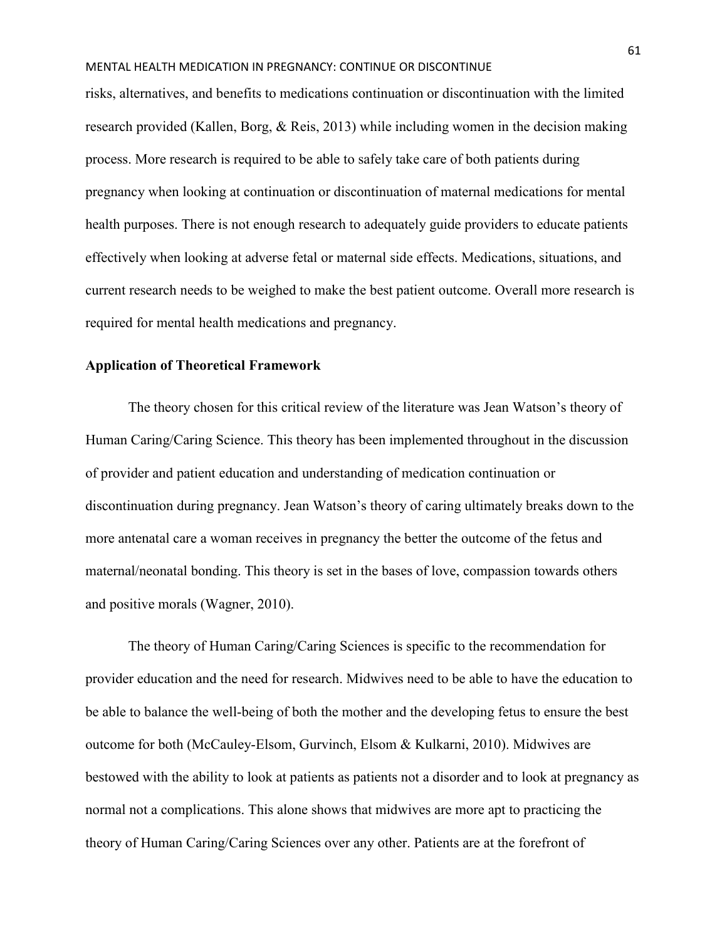risks, alternatives, and benefits to medications continuation or discontinuation with the limited research provided (Kallen, Borg, & Reis, 2013) while including women in the decision making process. More research is required to be able to safely take care of both patients during pregnancy when looking at continuation or discontinuation of maternal medications for mental health purposes. There is not enough research to adequately guide providers to educate patients effectively when looking at adverse fetal or maternal side effects. Medications, situations, and current research needs to be weighed to make the best patient outcome. Overall more research is required for mental health medications and pregnancy.

# **Application of Theoretical Framework**

The theory chosen for this critical review of the literature was Jean Watson's theory of Human Caring/Caring Science. This theory has been implemented throughout in the discussion of provider and patient education and understanding of medication continuation or discontinuation during pregnancy. Jean Watson's theory of caring ultimately breaks down to the more antenatal care a woman receives in pregnancy the better the outcome of the fetus and maternal/neonatal bonding. This theory is set in the bases of love, compassion towards others and positive morals (Wagner, 2010).

 The theory of Human Caring/Caring Sciences is specific to the recommendation for provider education and the need for research. Midwives need to be able to have the education to be able to balance the well-being of both the mother and the developing fetus to ensure the best outcome for both (McCauley-Elsom, Gurvinch, Elsom & Kulkarni, 2010). Midwives are bestowed with the ability to look at patients as patients not a disorder and to look at pregnancy as normal not a complications. This alone shows that midwives are more apt to practicing the theory of Human Caring/Caring Sciences over any other. Patients are at the forefront of

61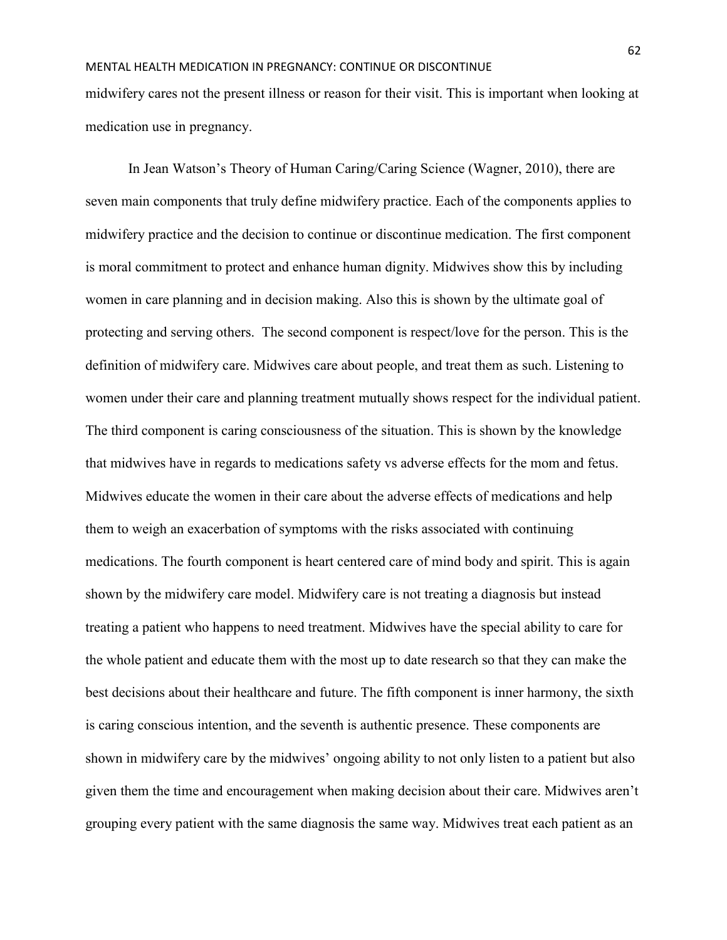midwifery cares not the present illness or reason for their visit. This is important when looking at medication use in pregnancy.

In Jean Watson's Theory of Human Caring/Caring Science (Wagner, 2010), there are seven main components that truly define midwifery practice. Each of the components applies to midwifery practice and the decision to continue or discontinue medication. The first component is moral commitment to protect and enhance human dignity. Midwives show this by including women in care planning and in decision making. Also this is shown by the ultimate goal of protecting and serving others. The second component is respect/love for the person. This is the definition of midwifery care. Midwives care about people, and treat them as such. Listening to women under their care and planning treatment mutually shows respect for the individual patient. The third component is caring consciousness of the situation. This is shown by the knowledge that midwives have in regards to medications safety vs adverse effects for the mom and fetus. Midwives educate the women in their care about the adverse effects of medications and help them to weigh an exacerbation of symptoms with the risks associated with continuing medications. The fourth component is heart centered care of mind body and spirit. This is again shown by the midwifery care model. Midwifery care is not treating a diagnosis but instead treating a patient who happens to need treatment. Midwives have the special ability to care for the whole patient and educate them with the most up to date research so that they can make the best decisions about their healthcare and future. The fifth component is inner harmony, the sixth is caring conscious intention, and the seventh is authentic presence. These components are shown in midwifery care by the midwives' ongoing ability to not only listen to a patient but also given them the time and encouragement when making decision about their care. Midwives aren't grouping every patient with the same diagnosis the same way. Midwives treat each patient as an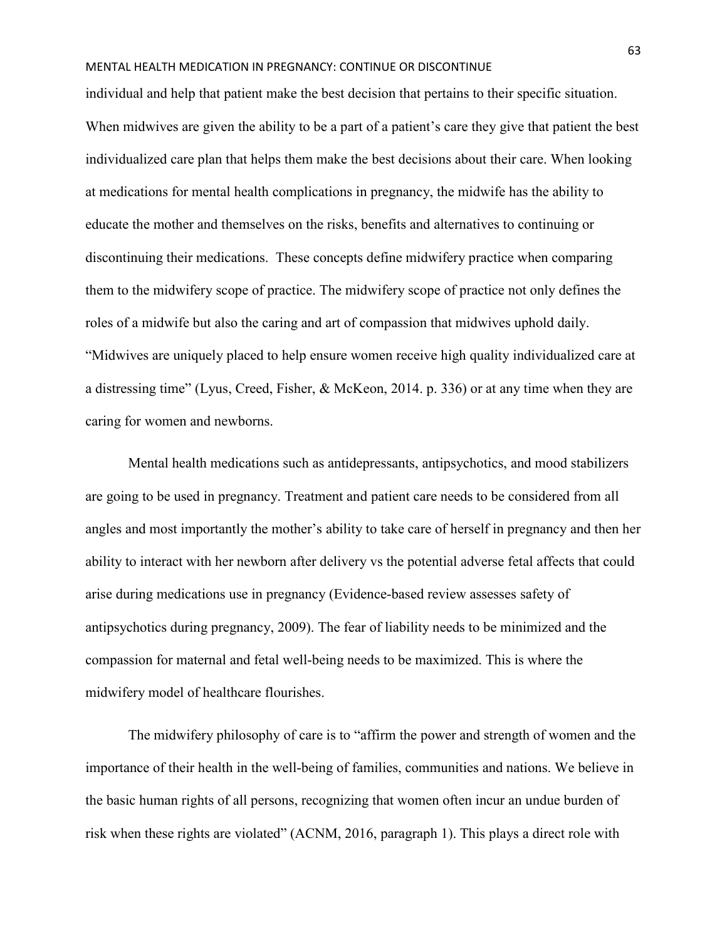individual and help that patient make the best decision that pertains to their specific situation. When midwives are given the ability to be a part of a patient's care they give that patient the best individualized care plan that helps them make the best decisions about their care. When looking at medications for mental health complications in pregnancy, the midwife has the ability to educate the mother and themselves on the risks, benefits and alternatives to continuing or discontinuing their medications. These concepts define midwifery practice when comparing them to the midwifery scope of practice. The midwifery scope of practice not only defines the roles of a midwife but also the caring and art of compassion that midwives uphold daily. "Midwives are uniquely placed to help ensure women receive high quality individualized care at a distressing time" (Lyus, Creed, Fisher, & McKeon, 2014. p. 336) or at any time when they are caring for women and newborns.

Mental health medications such as antidepressants, antipsychotics, and mood stabilizers are going to be used in pregnancy. Treatment and patient care needs to be considered from all angles and most importantly the mother's ability to take care of herself in pregnancy and then her ability to interact with her newborn after delivery vs the potential adverse fetal affects that could arise during medications use in pregnancy (Evidence-based review assesses safety of antipsychotics during pregnancy, 2009). The fear of liability needs to be minimized and the compassion for maternal and fetal well-being needs to be maximized. This is where the midwifery model of healthcare flourishes.

The midwifery philosophy of care is to "affirm the power and strength of women and the importance of their health in the well-being of families, communities and nations. We believe in the basic human rights of all persons, recognizing that women often incur an undue burden of risk when these rights are violated" (ACNM, 2016, paragraph 1). This plays a direct role with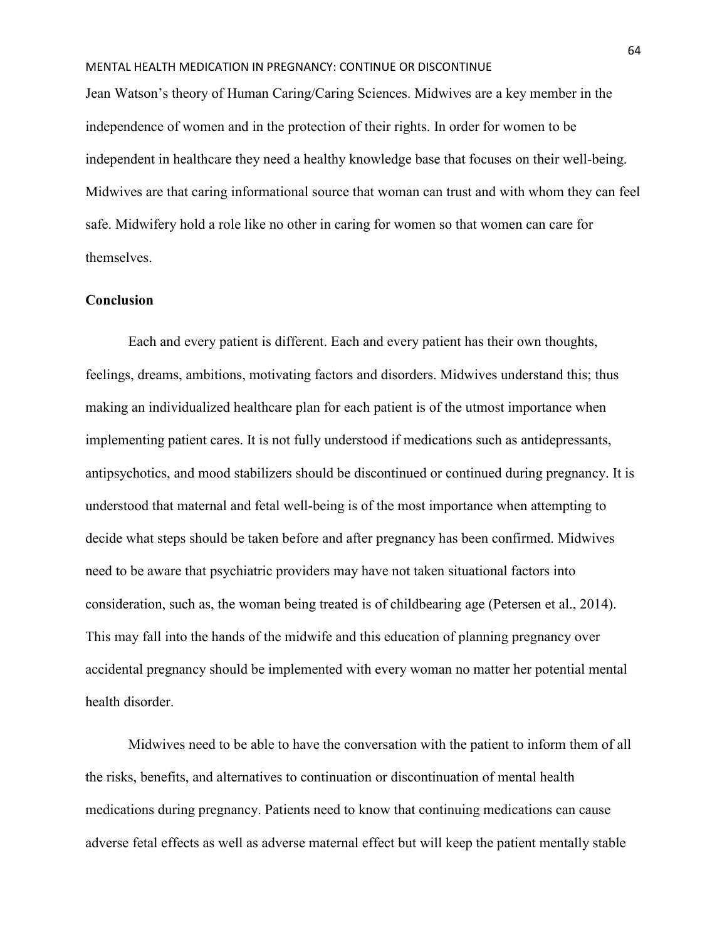Jean Watson's theory of Human Caring/Caring Sciences. Midwives are a key member in the independence of women and in the protection of their rights. In order for women to be independent in healthcare they need a healthy knowledge base that focuses on their well-being. Midwives are that caring informational source that woman can trust and with whom they can feel safe. Midwifery hold a role like no other in caring for women so that women can care for themselves.

## **Conclusion**

Each and every patient is different. Each and every patient has their own thoughts, feelings, dreams, ambitions, motivating factors and disorders. Midwives understand this; thus making an individualized healthcare plan for each patient is of the utmost importance when implementing patient cares. It is not fully understood if medications such as antidepressants, antipsychotics, and mood stabilizers should be discontinued or continued during pregnancy. It is understood that maternal and fetal well-being is of the most importance when attempting to decide what steps should be taken before and after pregnancy has been confirmed. Midwives need to be aware that psychiatric providers may have not taken situational factors into consideration, such as, the woman being treated is of childbearing age (Petersen et al., 2014). This may fall into the hands of the midwife and this education of planning pregnancy over accidental pregnancy should be implemented with every woman no matter her potential mental health disorder.

 Midwives need to be able to have the conversation with the patient to inform them of all the risks, benefits, and alternatives to continuation or discontinuation of mental health medications during pregnancy. Patients need to know that continuing medications can cause adverse fetal effects as well as adverse maternal effect but will keep the patient mentally stable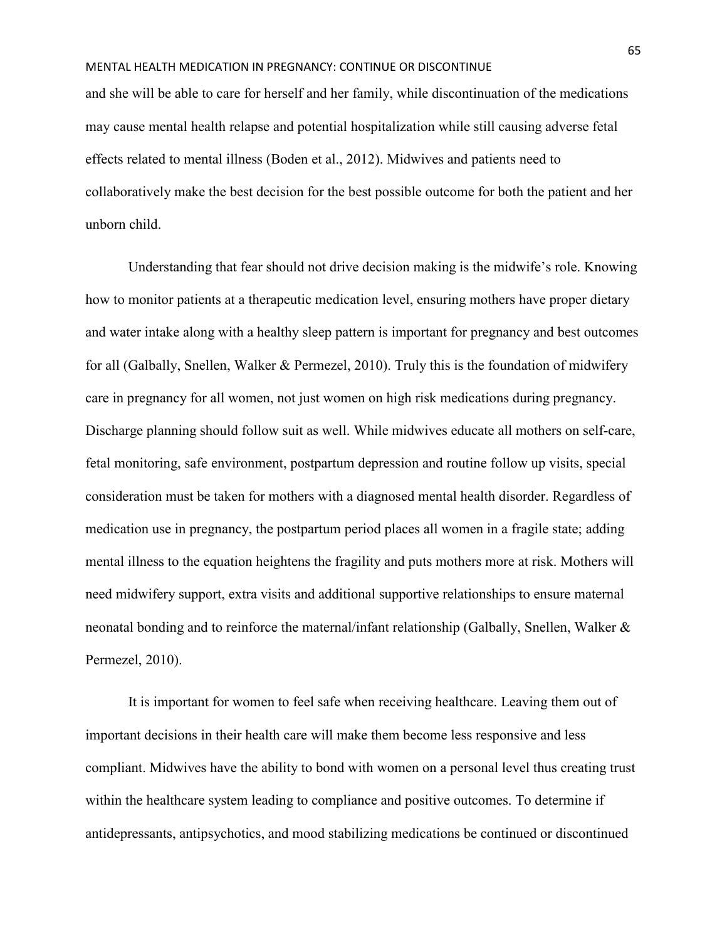and she will be able to care for herself and her family, while discontinuation of the medications may cause mental health relapse and potential hospitalization while still causing adverse fetal effects related to mental illness (Boden et al., 2012). Midwives and patients need to collaboratively make the best decision for the best possible outcome for both the patient and her unborn child.

 Understanding that fear should not drive decision making is the midwife's role. Knowing how to monitor patients at a therapeutic medication level, ensuring mothers have proper dietary and water intake along with a healthy sleep pattern is important for pregnancy and best outcomes for all (Galbally, Snellen, Walker & Permezel, 2010). Truly this is the foundation of midwifery care in pregnancy for all women, not just women on high risk medications during pregnancy. Discharge planning should follow suit as well. While midwives educate all mothers on self-care, fetal monitoring, safe environment, postpartum depression and routine follow up visits, special consideration must be taken for mothers with a diagnosed mental health disorder. Regardless of medication use in pregnancy, the postpartum period places all women in a fragile state; adding mental illness to the equation heightens the fragility and puts mothers more at risk. Mothers will need midwifery support, extra visits and additional supportive relationships to ensure maternal neonatal bonding and to reinforce the maternal/infant relationship (Galbally, Snellen, Walker & Permezel, 2010).

 It is important for women to feel safe when receiving healthcare. Leaving them out of important decisions in their health care will make them become less responsive and less compliant. Midwives have the ability to bond with women on a personal level thus creating trust within the healthcare system leading to compliance and positive outcomes. To determine if antidepressants, antipsychotics, and mood stabilizing medications be continued or discontinued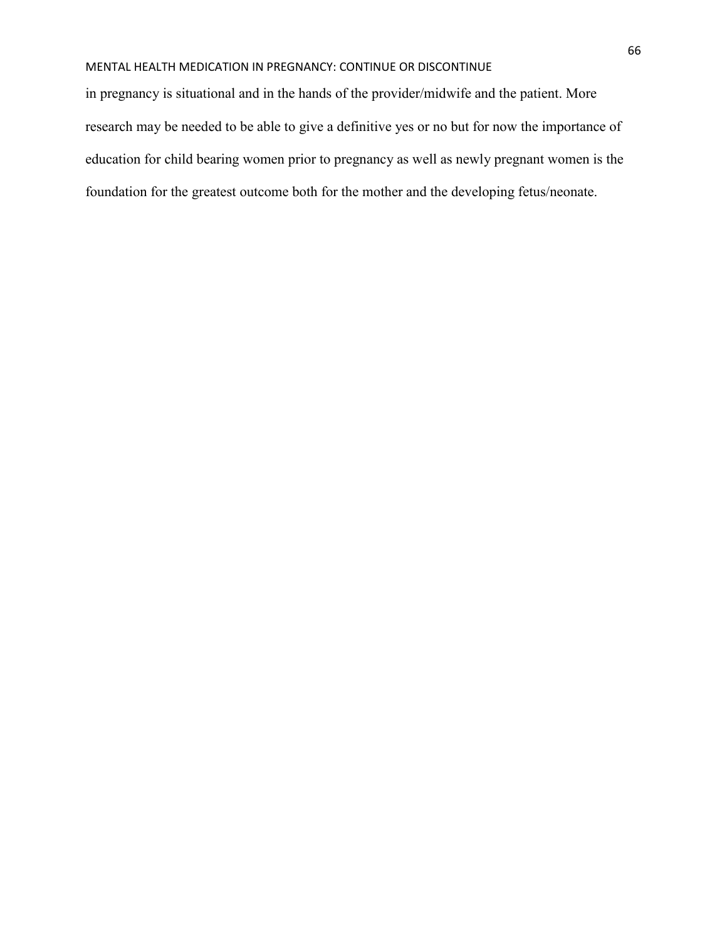in pregnancy is situational and in the hands of the provider/midwife and the patient. More research may be needed to be able to give a definitive yes or no but for now the importance of education for child bearing women prior to pregnancy as well as newly pregnant women is the foundation for the greatest outcome both for the mother and the developing fetus/neonate.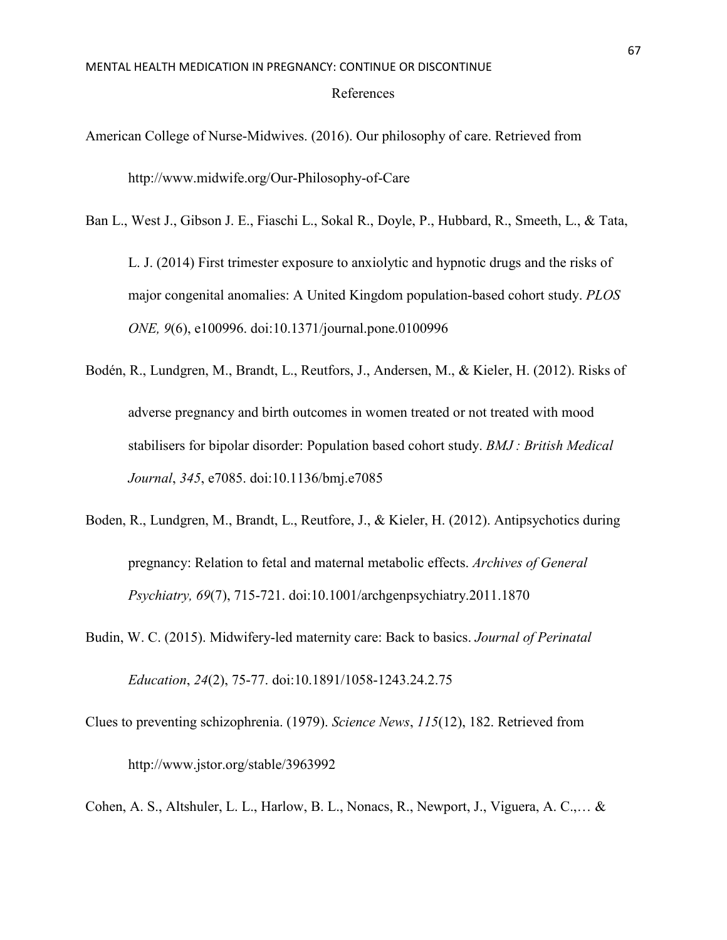- American College of Nurse-Midwives. (2016). Our philosophy of care. Retrieved from http://www.midwife.org/Our-Philosophy-of-Care
- Ban L., West J., Gibson J. E., Fiaschi L., Sokal R., Doyle, P., Hubbard, R., Smeeth, L., & Tata,

L. J. (2014) First trimester exposure to anxiolytic and hypnotic drugs and the risks of major congenital anomalies: A United Kingdom population-based cohort study. *PLOS ONE, 9*(6), e100996. doi:10.1371/journal.pone.0100996

- Bodén, R., Lundgren, M., Brandt, L., Reutfors, J., Andersen, M., & Kieler, H. (2012). Risks of adverse pregnancy and birth outcomes in women treated or not treated with mood stabilisers for bipolar disorder: Population based cohort study. *BMJ : British Medical Journal*, *345*, e7085. doi:10.1136/bmj.e7085
- Boden, R., Lundgren, M., Brandt, L., Reutfore, J., & Kieler, H. (2012). Antipsychotics during pregnancy: Relation to fetal and maternal metabolic effects. *Archives of General Psychiatry, 69*(7), 715-721. doi:10.1001/archgenpsychiatry.2011.1870
- Budin, W. C. (2015). Midwifery-led maternity care: Back to basics. *Journal of Perinatal Education*, *24*(2), 75-77. doi:10.1891/1058-1243.24.2.75
- Clues to preventing schizophrenia. (1979). *Science News*, *115*(12), 182. Retrieved from http://www.jstor.org/stable/3963992

Cohen, A. S., Altshuler, L. L., Harlow, B. L., Nonacs, R., Newport, J., Viguera, A. C.,… &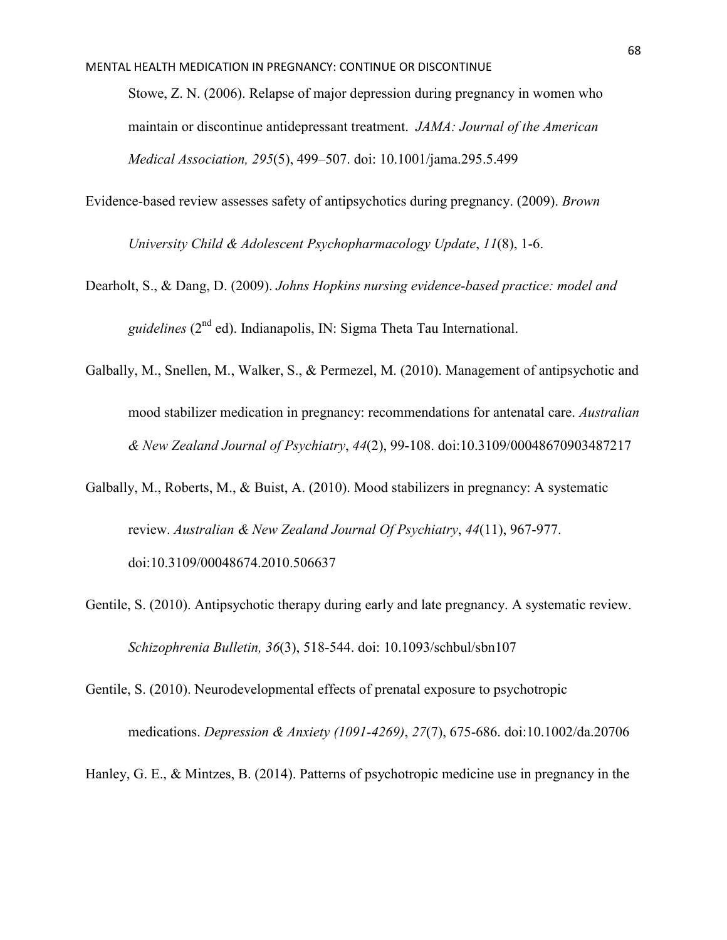Stowe, Z. N. (2006). Relapse of major depression during pregnancy in women who maintain or discontinue antidepressant treatment. *JAMA: Journal of the American Medical Association, 295*(5), 499–507. doi: 10.1001/jama.295.5.499

Evidence-based review assesses safety of antipsychotics during pregnancy. (2009). *Brown* 

*University Child & Adolescent Psychopharmacology Update*, *11*(8), 1-6.

- Dearholt, S., & Dang, D. (2009). *Johns Hopkins nursing evidence-based practice: model and guidelines* (2<sup>nd</sup> ed). Indianapolis, IN: Sigma Theta Tau International.
- Galbally, M., Snellen, M., Walker, S., & Permezel, M. (2010). Management of antipsychotic and mood stabilizer medication in pregnancy: recommendations for antenatal care. *Australian & New Zealand Journal of Psychiatry*, *44*(2), 99-108. doi:10.3109/00048670903487217
- Galbally, M., Roberts, M., & Buist, A. (2010). Mood stabilizers in pregnancy: A systematic review. *Australian & New Zealand Journal Of Psychiatry*, *44*(11), 967-977. doi:10.3109/00048674.2010.506637
- Gentile, S. (2010). Antipsychotic therapy during early and late pregnancy. A systematic review. *Schizophrenia Bulletin, 36*(3), 518-544. doi: 10.1093/schbul/sbn107
- Gentile, S. (2010). Neurodevelopmental effects of prenatal exposure to psychotropic medications. *Depression & Anxiety (1091-4269)*, *27*(7), 675-686. doi:10.1002/da.20706
- Hanley, G. E., & Mintzes, B. (2014). Patterns of psychotropic medicine use in pregnancy in the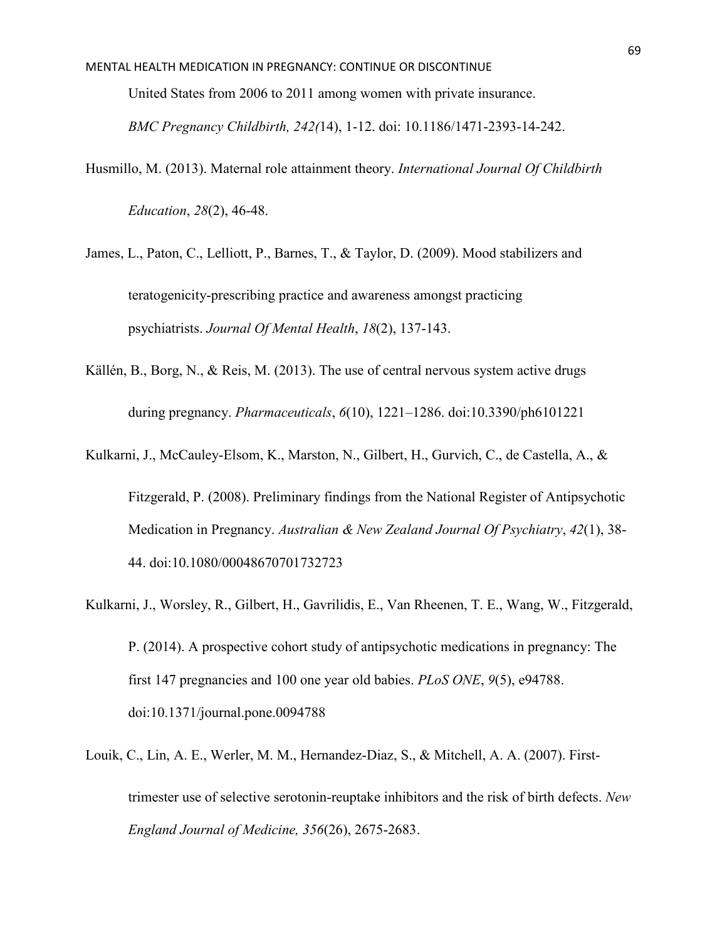United States from 2006 to 2011 among women with private insurance.

*BMC Pregnancy Childbirth, 242(*14), 1-12. doi: 10.1186/1471-2393-14-242.

- Husmillo, M. (2013). Maternal role attainment theory. *International Journal Of Childbirth Education*, *28*(2), 46-48.
- James, L., Paton, C., Lelliott, P., Barnes, T., & Taylor, D. (2009). Mood stabilizers and teratogenicity-prescribing practice and awareness amongst practicing psychiatrists. *Journal Of Mental Health*, *18*(2), 137-143.
- Källén, B., Borg, N., & Reis, M. (2013). The use of central nervous system active drugs during pregnancy. *Pharmaceuticals*, *6*(10), 1221–1286. doi:10.3390/ph6101221
- Kulkarni, J., McCauley-Elsom, K., Marston, N., Gilbert, H., Gurvich, C., de Castella, A., & Fitzgerald, P. (2008). Preliminary findings from the National Register of Antipsychotic

Medication in Pregnancy. *Australian & New Zealand Journal Of Psychiatry*, *42*(1), 38-

44. doi:10.1080/00048670701732723

- Kulkarni, J., Worsley, R., Gilbert, H., Gavrilidis, E., Van Rheenen, T. E., Wang, W., Fitzgerald, P. (2014). A prospective cohort study of antipsychotic medications in pregnancy: The first 147 pregnancies and 100 one year old babies. *PLoS ONE*, *9*(5), e94788. doi:10.1371/journal.pone.0094788
- Louik, C., Lin, A. E., Werler, M. M., Hernandez-Diaz, S., & Mitchell, A. A. (2007). Firsttrimester use of selective serotonin-reuptake inhibitors and the risk of birth defects. *New England Journal of Medicine, 356*(26), 2675-2683.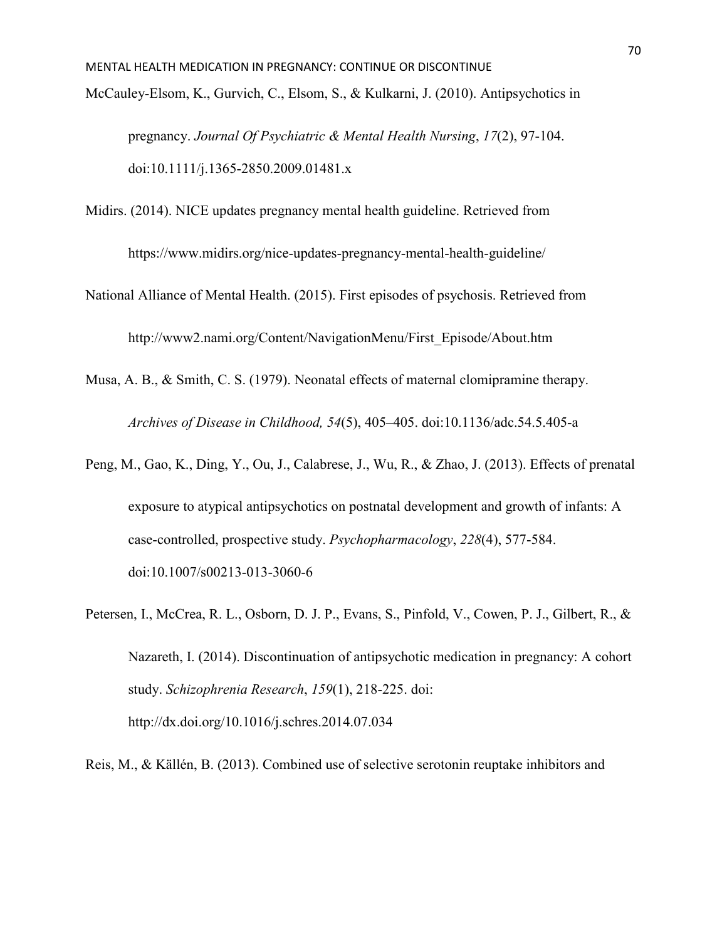pregnancy. *Journal Of Psychiatric & Mental Health Nursing*, *17*(2), 97-104. doi:10.1111/j.1365-2850.2009.01481.x

Midirs. (2014). NICE updates pregnancy mental health guideline. Retrieved from

https://www.midirs.org/nice-updates-pregnancy-mental-health-guideline/

National Alliance of Mental Health. (2015). First episodes of psychosis. Retrieved from http://www2.nami.org/Content/NavigationMenu/First\_Episode/About.htm

Musa, A. B., & Smith, C. S. (1979). Neonatal effects of maternal clomipramine therapy. *Archives of Disease in Childhood, 54*(5), 405–405. doi:10.1136/adc.54.5.405-a

- Peng, M., Gao, K., Ding, Y., Ou, J., Calabrese, J., Wu, R., & Zhao, J. (2013). Effects of prenatal exposure to atypical antipsychotics on postnatal development and growth of infants: A case-controlled, prospective study. *Psychopharmacology*, *228*(4), 577-584. doi:10.1007/s00213-013-3060-6
- Petersen, I., McCrea, R. L., Osborn, D. J. P., Evans, S., Pinfold, V., Cowen, P. J., Gilbert, R., & Nazareth, I. (2014). Discontinuation of antipsychotic medication in pregnancy: A cohort study. *Schizophrenia Research*, *159*(1), 218-225. doi: http://dx.doi.org/10.1016/j.schres.2014.07.034

Reis, M., & Källén, B. (2013). Combined use of selective serotonin reuptake inhibitors and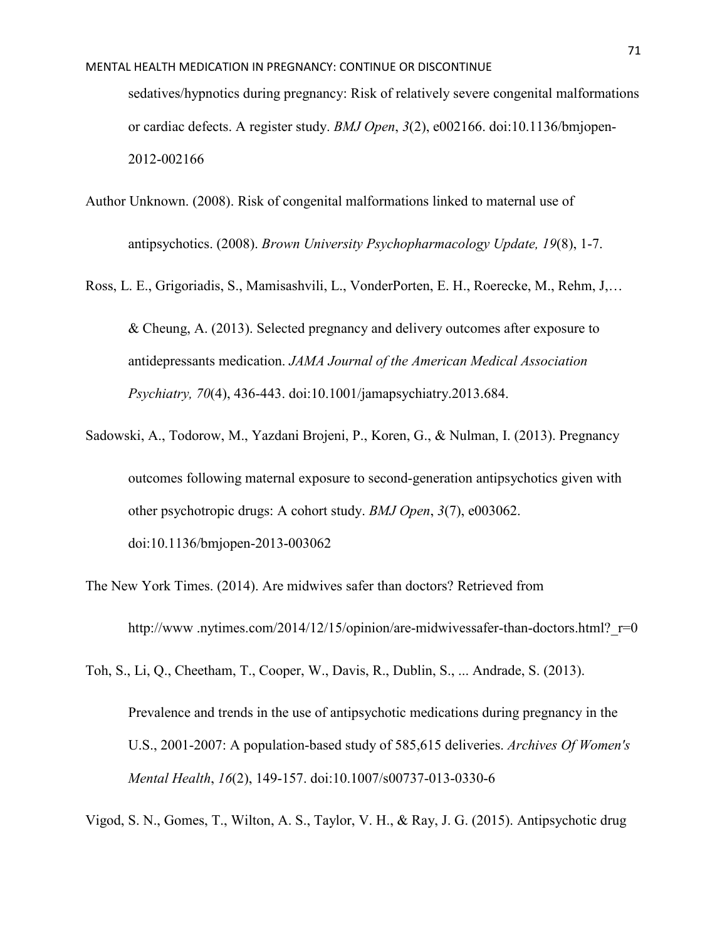- Author Unknown. (2008). Risk of congenital malformations linked to maternal use of antipsychotics. (2008). *Brown University Psychopharmacology Update, 19*(8), 1-7.
- Ross, L. E., Grigoriadis, S., Mamisashvili, L., VonderPorten, E. H., Roerecke, M., Rehm, J,… & Cheung, A. (2013). Selected pregnancy and delivery outcomes after exposure to antidepressants medication. *JAMA Journal of the American Medical Association Psychiatry, 70*(4), 436-443. doi:10.1001/jamapsychiatry.2013.684.
- Sadowski, A., Todorow, M., Yazdani Brojeni, P., Koren, G., & Nulman, I. (2013). Pregnancy outcomes following maternal exposure to second-generation antipsychotics given with other psychotropic drugs: A cohort study. *BMJ Open*, *3*(7), e003062. doi:10.1136/bmjopen-2013-003062
- The New York Times. (2014). Are midwives safer than doctors? Retrieved from http://www.nytimes.com/2014/12/15/opinion/are-midwivessafer-than-doctors.html? r=0
- Toh, S., Li, Q., Cheetham, T., Cooper, W., Davis, R., Dublin, S., ... Andrade, S. (2013).

Prevalence and trends in the use of antipsychotic medications during pregnancy in the U.S., 2001-2007: A population-based study of 585,615 deliveries. *Archives Of Women's Mental Health*, *16*(2), 149-157. doi:10.1007/s00737-013-0330-6

Vigod, S. N., Gomes, T., Wilton, A. S., Taylor, V. H., & Ray, J. G. (2015). Antipsychotic drug